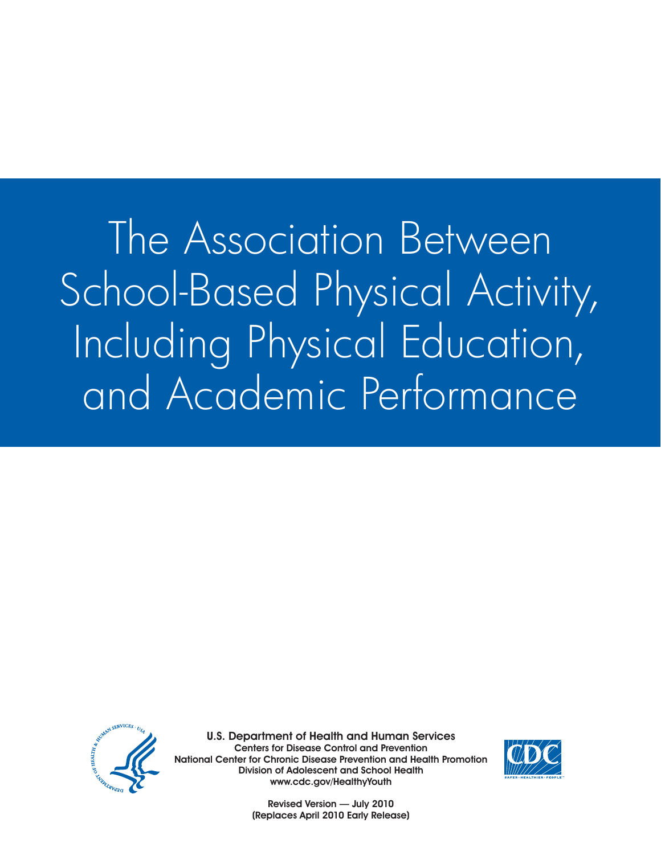The Association Between School-Based Physical Activity, Including Physical Education, and Academic Performance



U.S. Department of Health and Human Services Centers for Disease Control and Prevention National Center for Chronic Disease Prevention and Health Promotion Division of Adolescent and School Health www.cdc.gov/HealthyYouth



Revised Version — July 2010 (Replaces April 2010 Early Release)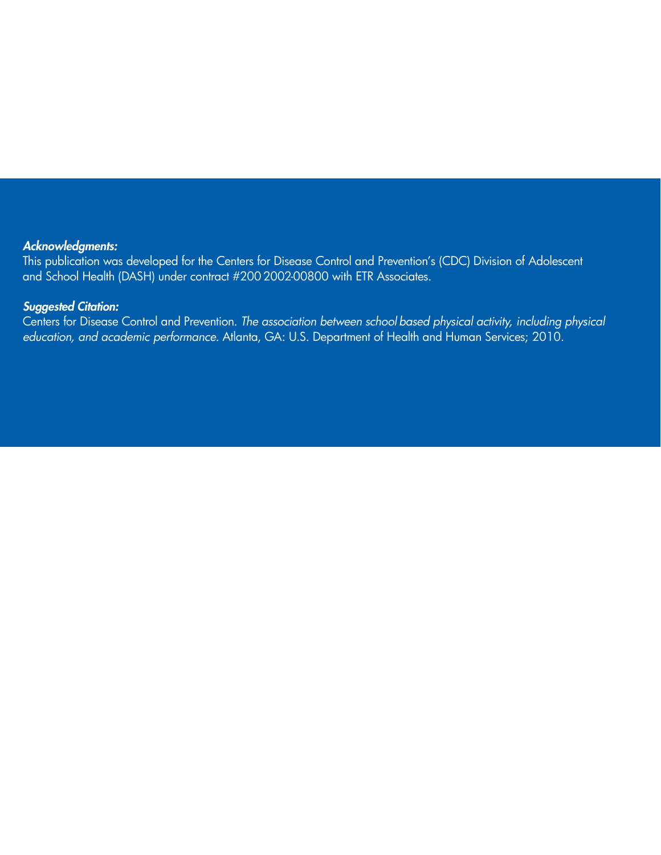#### *Acknowledgments:*

This publication was developed for the Centers for Disease Control and Prevention's (CDC) Division of Adolescent and School Health (DASH) under contract #200 2002-00800 with ETR Associates.

#### *Suggested Citation:*

Centers for Disease Control and Prevention. *The association between school based physical activity, including physical education, and academic performance.* Atlanta, GA: U.S. Department of Health and Human Services; 2010.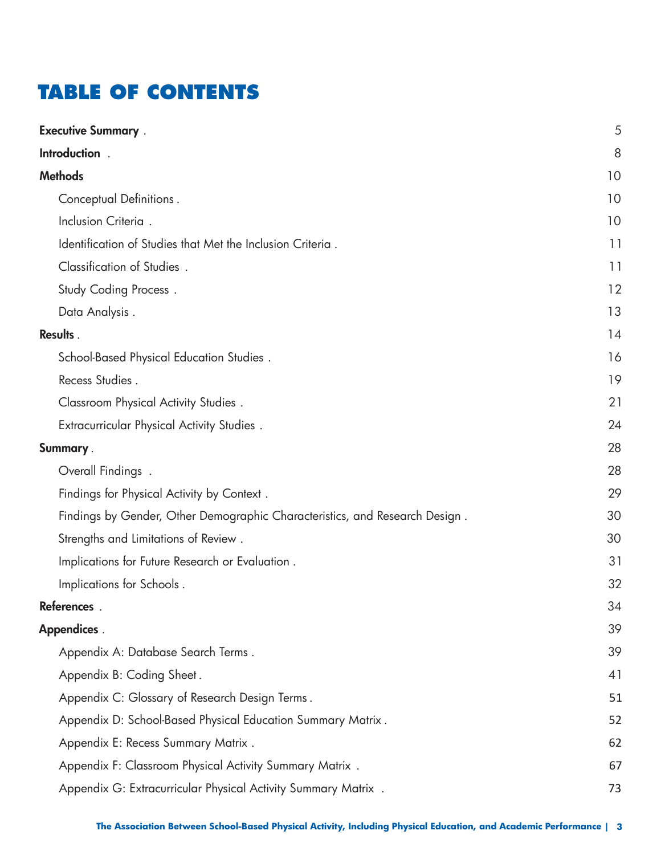# **TABLE OF CONTENTS**

| <b>Executive Summary</b> .                                                  | 5  |
|-----------------------------------------------------------------------------|----|
| Introduction .                                                              | 8  |
| <b>Methods</b>                                                              | 10 |
| Conceptual Definitions.                                                     | 10 |
| Inclusion Criteria.                                                         | 10 |
| Identification of Studies that Met the Inclusion Criteria.                  | 11 |
| Classification of Studies.                                                  | 11 |
| <b>Study Coding Process.</b>                                                | 12 |
| Data Analysis.                                                              | 13 |
| Results.                                                                    | 14 |
| School-Based Physical Education Studies.                                    | 16 |
| Recess Studies.                                                             | 19 |
| Classroom Physical Activity Studies.                                        | 21 |
| <b>Extracurricular Physical Activity Studies.</b>                           | 24 |
| Summary.                                                                    | 28 |
| Overall Findings.                                                           | 28 |
| Findings for Physical Activity by Context.                                  | 29 |
| Findings by Gender, Other Demographic Characteristics, and Research Design. | 30 |
| Strengths and Limitations of Review.                                        | 30 |
| Implications for Future Research or Evaluation.                             | 31 |
| Implications for Schools.                                                   | 32 |
| References.                                                                 | 34 |
| <b>Appendices</b> .                                                         | 39 |
| Appendix A: Database Search Terms.                                          | 39 |
| Appendix B: Coding Sheet.                                                   | 41 |
| Appendix C: Glossary of Research Design Terms.                              | 51 |
| Appendix D: School-Based Physical Education Summary Matrix.                 | 52 |
| Appendix E: Recess Summary Matrix.                                          | 62 |
| Appendix F: Classroom Physical Activity Summary Matrix.                     | 67 |
| Appendix G: Extracurricular Physical Activity Summary Matrix.               | 73 |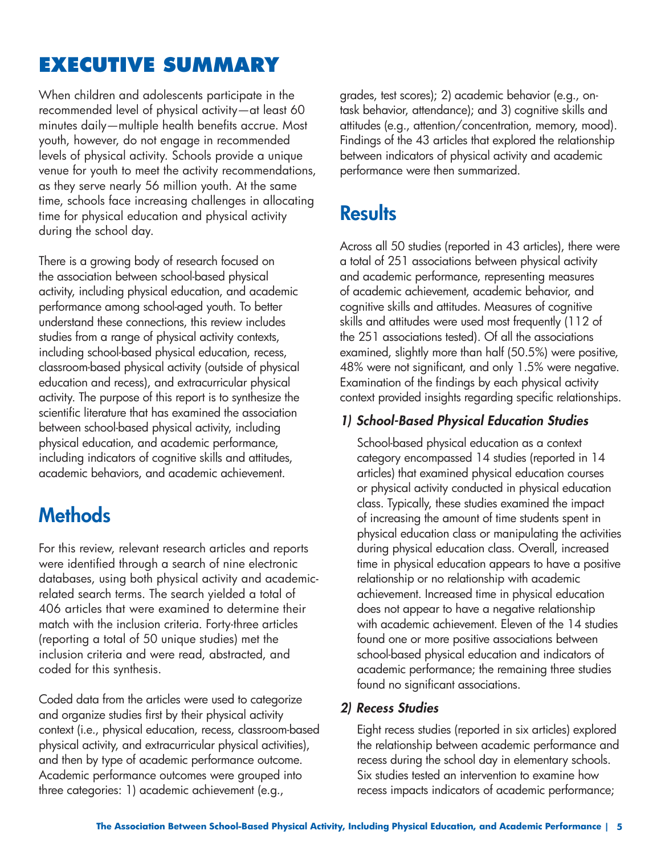# **EXECUTIVE SUMMARY**

When children and adolescents participate in the recommended level of physical activity—at least 60 minutes daily—multiple health benefits accrue. Most youth, however, do not engage in recommended levels of physical activity. Schools provide a unique venue for youth to meet the activity recommendations, as they serve nearly 56 million youth. At the same time, schools face increasing challenges in allocating time for physical education and physical activity during the school day.

There is a growing body of research focused on the association between school-based physical activity, including physical education, and academic performance among school-aged youth. To better understand these connections, this review includes studies from a range of physical activity contexts, including school-based physical education, recess, classroom-based physical activity (outside of physical education and recess), and extracurricular physical activity. The purpose of this report is to synthesize the scientific literature that has examined the association between school-based physical activity, including physical education, and academic performance, including indicators of cognitive skills and attitudes, academic behaviors, and academic achievement.

# **Methods**

For this review, relevant research articles and reports were identified through a search of nine electronic databases, using both physical activity and academicrelated search terms. The search yielded a total of 406 articles that were examined to determine their match with the inclusion criteria. Forty-three articles (reporting a total of 50 unique studies) met the inclusion criteria and were read, abstracted, and coded for this synthesis.

Coded data from the articles were used to categorize and organize studies first by their physical activity context (i.e., physical education, recess, classroom-based physical activity, and extracurricular physical activities), and then by type of academic performance outcome. Academic performance outcomes were grouped into three categories: 1) academic achievement (e.g.,

grades, test scores); 2) academic behavior (e.g., ontask behavior, attendance); and 3) cognitive skills and attitudes (e.g., attention/concentration, memory, mood). Findings of the 43 articles that explored the relationship between indicators of physical activity and academic performance were then summarized.

# **Results**

Across all 50 studies (reported in 43 articles), there were a total of 251 associations between physical activity and academic performance, representing measures of academic achievement, academic behavior, and cognitive skills and attitudes. Measures of cognitive skills and attitudes were used most frequently (112 of the 251 associations tested). Of all the associations examined, slightly more than half (50.5%) were positive, 48% were not significant, and only 1.5% were negative. Examination of the findings by each physical activity context provided insights regarding specific relationships.

### *1) School-Based Physical Education Studies*

School-based physical education as a context category encompassed 14 studies (reported in 14 articles) that examined physical education courses or physical activity conducted in physical education class. Typically, these studies examined the impact of increasing the amount of time students spent in physical education class or manipulating the activities during physical education class. Overall, increased time in physical education appears to have a positive relationship or no relationship with academic achievement. Increased time in physical education does not appear to have a negative relationship with academic achievement. Eleven of the 14 studies found one or more positive associations between school-based physical education and indicators of academic performance; the remaining three studies found no significant associations.

### *2) Recess Studies*

Eight recess studies (reported in six articles) explored the relationship between academic performance and recess during the school day in elementary schools. Six studies tested an intervention to examine how recess impacts indicators of academic performance;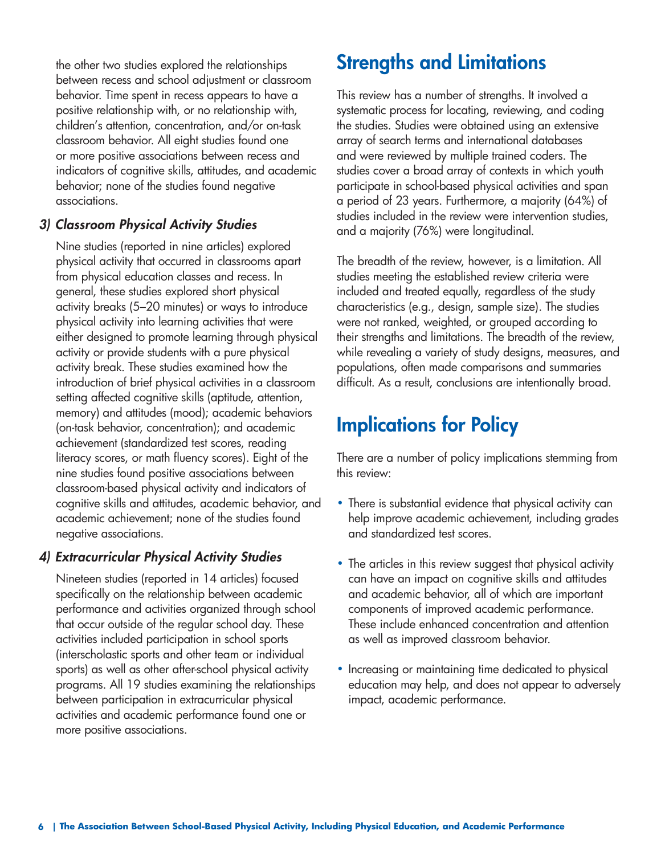the other two studies explored the relationships between recess and school adjustment or classroom behavior. Time spent in recess appears to have a positive relationship with, or no relationship with, children's attention, concentration, and/or on-task classroom behavior. All eight studies found one or more positive associations between recess and indicators of cognitive skills, attitudes, and academic behavior; none of the studies found negative associations.

### *3) Classroom Physical Activity Studies*

Nine studies (reported in nine articles) explored physical activity that occurred in classrooms apart from physical education classes and recess. In general, these studies explored short physical activity breaks (5–20 minutes) or ways to introduce physical activity into learning activities that were either designed to promote learning through physical activity or provide students with a pure physical activity break. These studies examined how the introduction of brief physical activities in a classroom setting affected cognitive skills (aptitude, attention, memory) and attitudes (mood); academic behaviors (on-task behavior, concentration); and academic achievement (standardized test scores, reading literacy scores, or math fluency scores). Eight of the nine studies found positive associations between classroom-based physical activity and indicators of cognitive skills and attitudes, academic behavior, and academic achievement; none of the studies found negative associations.

### *4) Extracurricular Physical Activity Studies*

Nineteen studies (reported in 14 articles) focused specifically on the relationship between academic performance and activities organized through school that occur outside of the regular school day. These activities included participation in school sports (interscholastic sports and other team or individual sports) as well as other after-school physical activity programs. All 19 studies examining the relationships between participation in extracurricular physical activities and academic performance found one or more positive associations.

# **Strengths and Limitations**

This review has a number of strengths. It involved a systematic process for locating, reviewing, and coding the studies. Studies were obtained using an extensive array of search terms and international databases and were reviewed by multiple trained coders. The studies cover a broad array of contexts in which youth participate in school-based physical activities and span a period of 23 years. Furthermore, a majority (64%) of studies included in the review were intervention studies, and a majority (76%) were longitudinal.

The breadth of the review, however, is a limitation. All studies meeting the established review criteria were included and treated equally, regardless of the study characteristics (e.g., design, sample size). The studies were not ranked, weighted, or grouped according to their strengths and limitations. The breadth of the review, while revealing a variety of study designs, measures, and populations, often made comparisons and summaries difficult. As a result, conclusions are intentionally broad.

# **Implications for Policy**

There are a number of policy implications stemming from this review:

- There is substantial evidence that physical activity can help improve academic achievement, including grades and standardized test scores.
- The articles in this review suggest that physical activity can have an impact on cognitive skills and attitudes and academic behavior, all of which are important components of improved academic performance. These include enhanced concentration and attention as well as improved classroom behavior.
- Increasing or maintaining time dedicated to physical education may help, and does not appear to adversely impact, academic performance.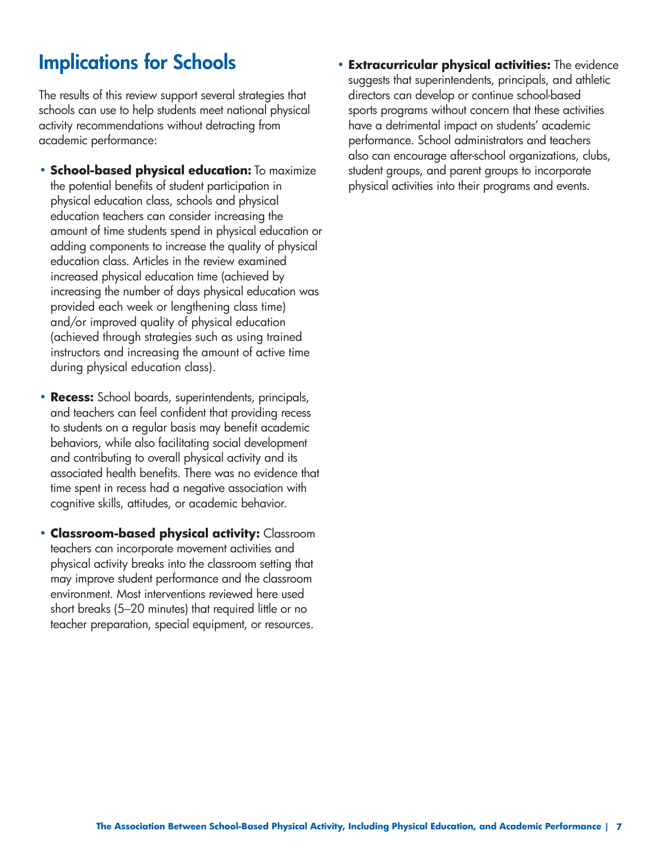# **Implications for Schools**

The results of this review support several strategies that schools can use to help students meet national physical activity recommendations without detracting from academic performance:

- **School-based physical education:** To maximize the potential benefits of student participation in physical education class, schools and physical education teachers can consider increasing the amount of time students spend in physical education or adding components to increase the quality of physical education class. Articles in the review examined increased physical education time (achieved by increasing the number of days physical education was provided each week or lengthening class time) and/or improved quality of physical education (achieved through strategies such as using trained instructors and increasing the amount of active time during physical education class).
- **Recess:** School boards, superintendents, principals, and teachers can feel confident that providing recess to students on a regular basis may benefit academic behaviors, while also facilitating social development and contributing to overall physical activity and its associated health benefits. There was no evidence that time spent in recess had a negative association with cognitive skills, attitudes, or academic behavior.
- **Classroom-based physical activity:** Classroom teachers can incorporate movement activities and physical activity breaks into the classroom setting that may improve student performance and the classroom environment. Most interventions reviewed here used short breaks (5–20 minutes) that required little or no teacher preparation, special equipment, or resources.

**• Extracurricular physical activities:** The evidence suggests that superintendents, principals, and athletic directors can develop or continue school-based sports programs without concern that these activities have a detrimental impact on students' academic performance. School administrators and teachers also can encourage after-school organizations, clubs, student groups, and parent groups to incorporate physical activities into their programs and events.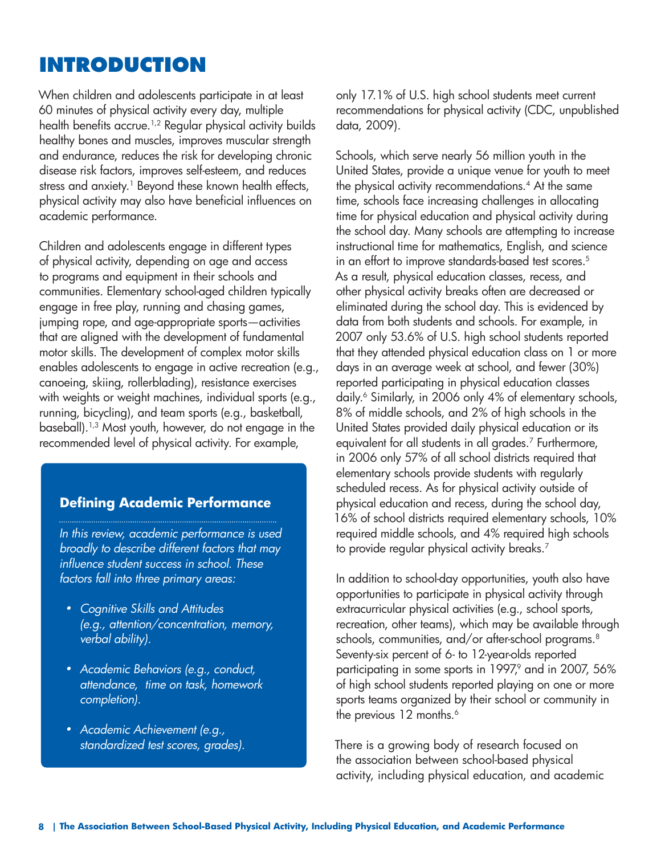## **INTRODUCTION**

When children and adolescents participate in at least 60 minutes of physical activity every day, multiple health benefits accrue.<sup>1,2</sup> Regular physical activity builds healthy bones and muscles, improves muscular strength and endurance, reduces the risk for developing chronic disease risk factors, improves self-esteem, and reduces stress and anxiety.<sup>1</sup> Beyond these known health effects, physical activity may also have beneficial influences on academic performance.

Children and adolescents engage in different types of physical activity, depending on age and access to programs and equipment in their schools and communities. Elementary school-aged children typically engage in free play, running and chasing games, jumping rope, and age-appropriate sports—activities that are aligned with the development of fundamental motor skills. The development of complex motor skills enables adolescents to engage in active recreation (e.g., canoeing, skiing, rollerblading), resistance exercises with weights or weight machines, individual sports (e.g., running, bicycling), and team sports (e.g., basketball, baseball).1,3 Most youth, however, do not engage in the recommended level of physical activity. For example,

### **Defining Academic Performance**

*In this review, academic performance is used broadly to describe different factors that may influence student success in school. These factors fall into three primary areas:* 

- *• Cognitive Skills and Attitudes (e.g., attention/concentration, memory, verbal ability).*
- *• Academic Behaviors (e.g., conduct, attendance, time on task, homework completion).*
- *• Academic Achievement (e.g., standardized test scores, grades).*

only 17.1% of U.S. high school students meet current recommendations for physical activity (CDC, unpublished data, 2009).

Schools, which serve nearly 56 million youth in the United States, provide a unique venue for youth to meet the physical activity recommendations.<sup>4</sup> At the same time, schools face increasing challenges in allocating time for physical education and physical activity during the school day. Many schools are attempting to increase instructional time for mathematics, English, and science in an effort to improve standards-based test scores.<sup>5</sup> As a result, physical education classes, recess, and other physical activity breaks often are decreased or eliminated during the school day. This is evidenced by data from both students and schools. For example, in 2007 only 53.6% of U.S. high school students reported that they attended physical education class on 1 or more days in an average week at school, and fewer (30%) reported participating in physical education classes daily.<sup>6</sup> Similarly, in 2006 only 4% of elementary schools, 8% of middle schools, and 2% of high schools in the United States provided daily physical education or its equivalent for all students in all grades.7 Furthermore, in 2006 only 57% of all school districts required that elementary schools provide students with regularly scheduled recess. As for physical activity outside of physical education and recess, during the school day, 16% of school districts required elementary schools, 10% required middle schools, and 4% required high schools to provide regular physical activity breaks.<sup>7</sup>

In addition to school-day opportunities, youth also have opportunities to participate in physical activity through extracurricular physical activities (e.g., school sports, recreation, other teams), which may be available through schools, communities, and/or after-school programs.<sup>8</sup> Seventy-six percent of 6- to 12-year-olds reported participating in some sports in 1997,<sup>9</sup> and in 2007, 56% of high school students reported playing on one or more sports teams organized by their school or community in the previous 12 months.<sup>6</sup>

There is a growing body of research focused on the association between school-based physical activity, including physical education, and academic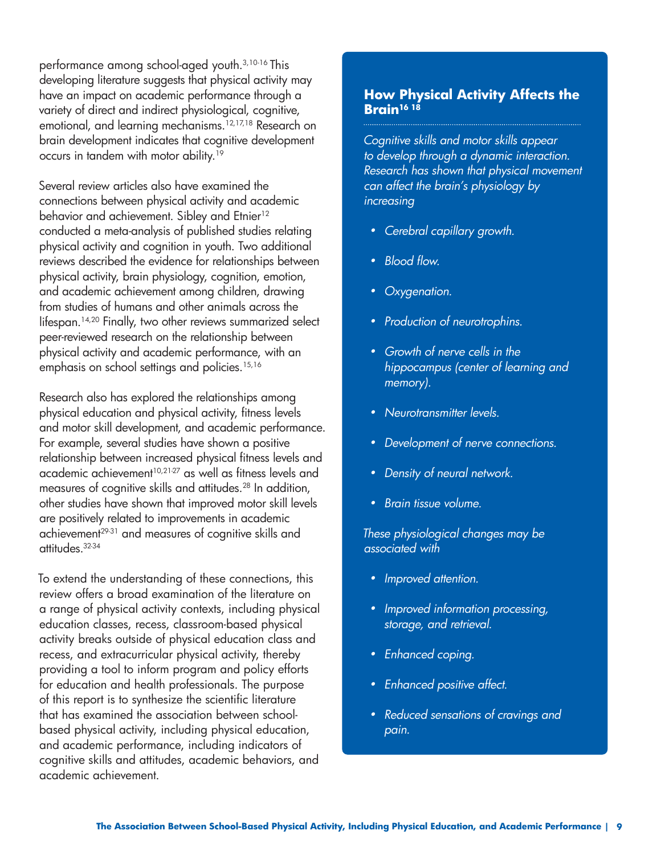performance among school-aged youth.3,10-16 This developing literature suggests that physical activity may have an impact on academic performance through a variety of direct and indirect physiological, cognitive, emotional, and learning mechanisms.12,17,18 Research on brain development indicates that cognitive development occurs in tandem with motor ability.19

Several review articles also have examined the connections between physical activity and academic behavior and achievement. Sibley and Etnier<sup>12</sup> conducted a meta-analysis of published studies relating physical activity and cognition in youth. Two additional reviews described the evidence for relationships between physical activity, brain physiology, cognition, emotion, and academic achievement among children, drawing from studies of humans and other animals across the lifespan.14,20 Finally, two other reviews summarized select peer-reviewed research on the relationship between physical activity and academic performance, with an emphasis on school settings and policies.<sup>15,16</sup>

Research also has explored the relationships among physical education and physical activity, fitness levels and motor skill development, and academic performance. For example, several studies have shown a positive relationship between increased physical fitness levels and academic achievement<sup>10,21-27</sup> as well as fitness levels and measures of cognitive skills and attitudes.<sup>28</sup> In addition, other studies have shown that improved motor skill levels are positively related to improvements in academic achievement<sup>29-31</sup> and measures of cognitive skills and attitudes.32-34

To extend the understanding of these connections, this review offers a broad examination of the literature on a range of physical activity contexts, including physical education classes, recess, classroom-based physical activity breaks outside of physical education class and recess, and extracurricular physical activity, thereby providing a tool to inform program and policy efforts for education and health professionals. The purpose of this report is to synthesize the scientific literature that has examined the association between schoolbased physical activity, including physical education, and academic performance, including indicators of cognitive skills and attitudes, academic behaviors, and academic achievement.

#### **How Physical Activity Affects the Brain16 18**

*Cognitive skills and motor skills appear to develop through a dynamic interaction. Research has shown that physical movement can affect the brain's physiology by increasing* 

- *• Cerebral capillary growth.*
- *• Blood flow.*
- *• Oxygenation.*
- *• Production of neurotrophins.*
- *• Growth of nerve cells in the hippocampus (center of learning and memory).*
- *• Neurotransmitter levels.*
- *• Development of nerve connections.*
- *• Density of neural network.*
- *• Brain tissue volume.*

*These physiological changes may be associated with* 

- *• Improved attention.*
- *• Improved information processing, storage, and retrieval.*
- *• Enhanced coping.*
- *• Enhanced positive affect.*
- *• Reduced sensations of cravings and pain.*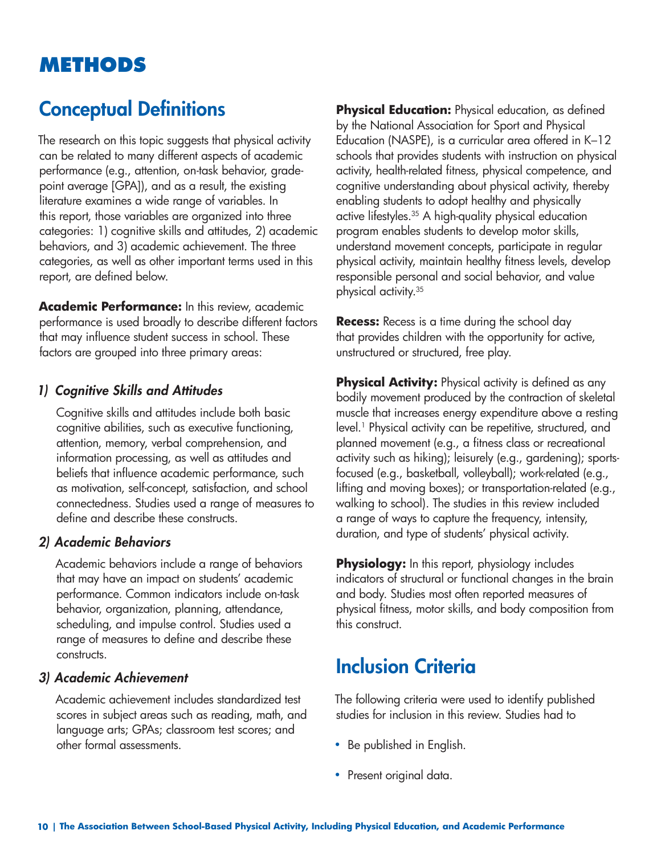# **METHODS**

# **Conceptual Definitions**

The research on this topic suggests that physical activity can be related to many different aspects of academic performance (e.g., attention, on-task behavior, gradepoint average [GPA]), and as a result, the existing literature examines a wide range of variables. In this report, those variables are organized into three categories: 1) cognitive skills and attitudes, 2) academic behaviors, and 3) academic achievement. The three categories, as well as other important terms used in this report, are defined below.

**Academic Performance:** In this review, academic performance is used broadly to describe different factors that may influence student success in school. These factors are grouped into three primary areas:

#### *1) Cognitive Skills and Attitudes*

Cognitive skills and attitudes include both basic cognitive abilities, such as executive functioning, attention, memory, verbal comprehension, and information processing, as well as attitudes and beliefs that influence academic performance, such as motivation, self-concept, satisfaction, and school connectedness. Studies used a range of measures to define and describe these constructs.

#### *2) Academic Behaviors*

Academic behaviors include a range of behaviors that may have an impact on students' academic performance. Common indicators include on-task behavior, organization, planning, attendance, scheduling, and impulse control. Studies used a range of measures to define and describe these constructs.

#### *3) Academic Achievement*

Academic achievement includes standardized test scores in subject areas such as reading, math, and language arts; GPAs; classroom test scores; and other formal assessments.

**Physical Education:** Physical education, as defined by the National Association for Sport and Physical Education (NASPE), is a curricular area offered in K–12 schools that provides students with instruction on physical activity, health-related fitness, physical competence, and cognitive understanding about physical activity, thereby enabling students to adopt healthy and physically active lifestyles.<sup>35</sup> A high-quality physical education program enables students to develop motor skills, understand movement concepts, participate in regular physical activity, maintain healthy fitness levels, develop responsible personal and social behavior, and value physical activity.35

**Recess:** Recess is a time during the school day that provides children with the opportunity for active, unstructured or structured, free play.

**Physical Activity:** Physical activity is defined as any bodily movement produced by the contraction of skeletal muscle that increases energy expenditure above a resting level.<sup>1</sup> Physical activity can be repetitive, structured, and planned movement (e.g., a fitness class or recreational activity such as hiking); leisurely (e.g., gardening); sportsfocused (e.g., basketball, volleyball); work-related (e.g., lifting and moving boxes); or transportation-related (e.g., walking to school). The studies in this review included a range of ways to capture the frequency, intensity, duration, and type of students' physical activity.

**Physiology:** In this report, physiology includes indicators of structural or functional changes in the brain and body. Studies most often reported measures of physical fitness, motor skills, and body composition from this construct.

## **Inclusion Criteria**

The following criteria were used to identify published studies for inclusion in this review. Studies had to

- Be published in English.
- Present original data.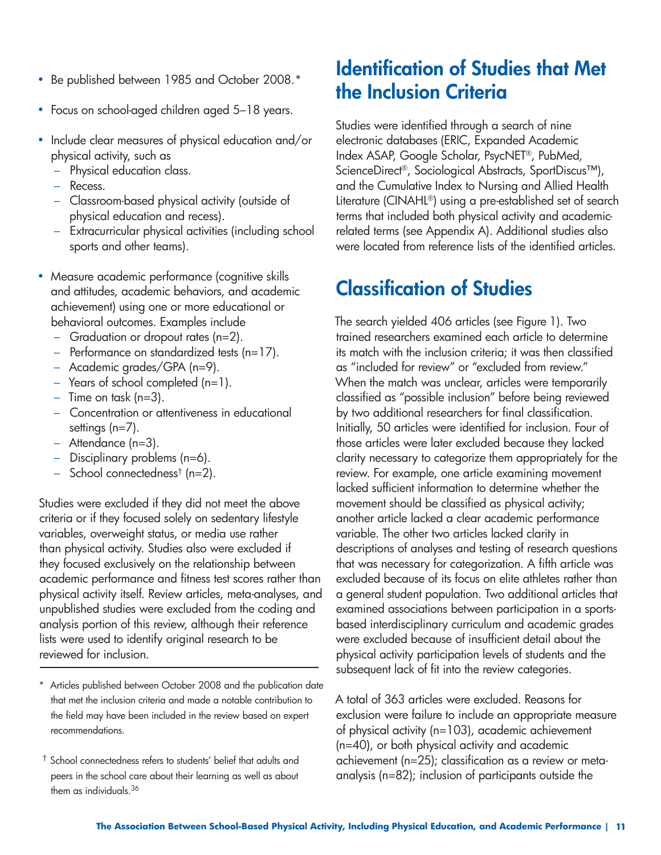- Be published between 1985 and October 2008.\*
- Focus on school-aged children aged 5–18 years.
- Include clear measures of physical education and/or physical activity, such as
	- Physical education class.
	- Recess.
	- Classroom-based physical activity (outside of physical education and recess).
	- Extracurricular physical activities (including school sports and other teams).
- Measure academic performance (cognitive skills and attitudes, academic behaviors, and academic achievement) using one or more educational or behavioral outcomes. Examples include
	- Graduation or dropout rates (n=2).
	- Performance on standardized tests (n=17).
	- Academic grades/GPA (n=9).
	- $-$  Years of school completed (n=1).
	- $-$  Time on task (n=3).
	- Concentration or attentiveness in educational settings (n=7).
	- Attendance (n=3).
	- Disciplinary problems (n=6).
	- School connectedness<sup>†</sup> (n=2).

Studies were excluded if they did not meet the above criteria or if they focused solely on sedentary lifestyle variables, overweight status, or media use rather than physical activity. Studies also were excluded if they focused exclusively on the relationship between academic performance and fitness test scores rather than physical activity itself. Review articles, meta-analyses, and unpublished studies were excluded from the coding and analysis portion of this review, although their reference lists were used to identify original research to be reviewed for inclusion.

- \* Articles published between October 2008 and the publication date that met the inclusion criteria and made a notable contribution to the field may have been included in the review based on expert recommendations.
- † School connectedness refers to students' belief that adults and peers in the school care about their learning as well as about them as individuals.<sup>36</sup>

## **Identification of Studies that Met the Inclusion Criteria**

Studies were identified through a search of nine electronic databases (ERIC, Expanded Academic Index ASAP, Google Scholar, PsycNET®, PubMed, ScienceDirect®, Sociological Abstracts, SportDiscus™), and the Cumulative Index to Nursing and Allied Health Literature (CINAHL®) using a pre-established set of search terms that included both physical activity and academicrelated terms (see Appendix A). Additional studies also were located from reference lists of the identified articles.

## **Classification of Studies**

The search yielded 406 articles (see Figure 1). Two trained researchers examined each article to determine its match with the inclusion criteria; it was then classified as "included for review" or "excluded from review." When the match was unclear, articles were temporarily classified as "possible inclusion" before being reviewed by two additional researchers for final classification. Initially, 50 articles were identified for inclusion. Four of those articles were later excluded because they lacked clarity necessary to categorize them appropriately for the review. For example, one article examining movement lacked sufficient information to determine whether the movement should be classified as physical activity; another article lacked a clear academic performance variable. The other two articles lacked clarity in descriptions of analyses and testing of research questions that was necessary for categorization. A fifth article was excluded because of its focus on elite athletes rather than a general student population. Two additional articles that examined associations between participation in a sportsbased interdisciplinary curriculum and academic grades were excluded because of insufficient detail about the physical activity participation levels of students and the subsequent lack of fit into the review categories.

A total of 363 articles were excluded. Reasons for exclusion were failure to include an appropriate measure of physical activity (n=103), academic achievement (n=40), or both physical activity and academic achievement (n=25); classification as a review or metaanalysis (n=82); inclusion of participants outside the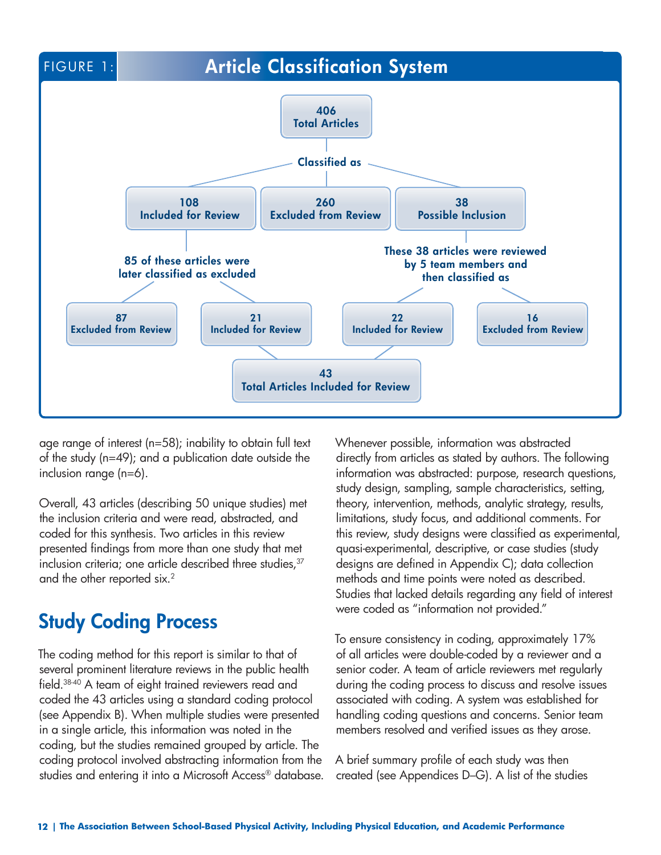

age range of interest (n=58); inability to obtain full text of the study (n=49); and a publication date outside the inclusion range (n=6).

Overall, 43 articles (describing 50 unique studies) met the inclusion criteria and were read, abstracted, and coded for this synthesis. Two articles in this review presented findings from more than one study that met inclusion criteria; one article described three studies, <sup>37</sup> and the other reported six.<sup>2</sup>

## **Study Coding Process**

The coding method for this report is similar to that of several prominent literature reviews in the public health field.38-40 A team of eight trained reviewers read and coded the 43 articles using a standard coding protocol (see Appendix B). When multiple studies were presented in a single article, this information was noted in the coding, but the studies remained grouped by article. The coding protocol involved abstracting information from the studies and entering it into a Microsoft Access® database. Whenever possible, information was abstracted directly from articles as stated by authors. The following information was abstracted: purpose, research questions, study design, sampling, sample characteristics, setting, theory, intervention, methods, analytic strategy, results, limitations, study focus, and additional comments. For this review, study designs were classified as experimental, quasi-experimental, descriptive, or case studies (study designs are defined in Appendix C); data collection methods and time points were noted as described. Studies that lacked details regarding any field of interest were coded as "information not provided."

To ensure consistency in coding, approximately 17% of all articles were double-coded by a reviewer and a senior coder. A team of article reviewers met regularly during the coding process to discuss and resolve issues associated with coding. A system was established for handling coding questions and concerns. Senior team members resolved and verified issues as they arose.

A brief summary profile of each study was then created (see Appendices D–G). A list of the studies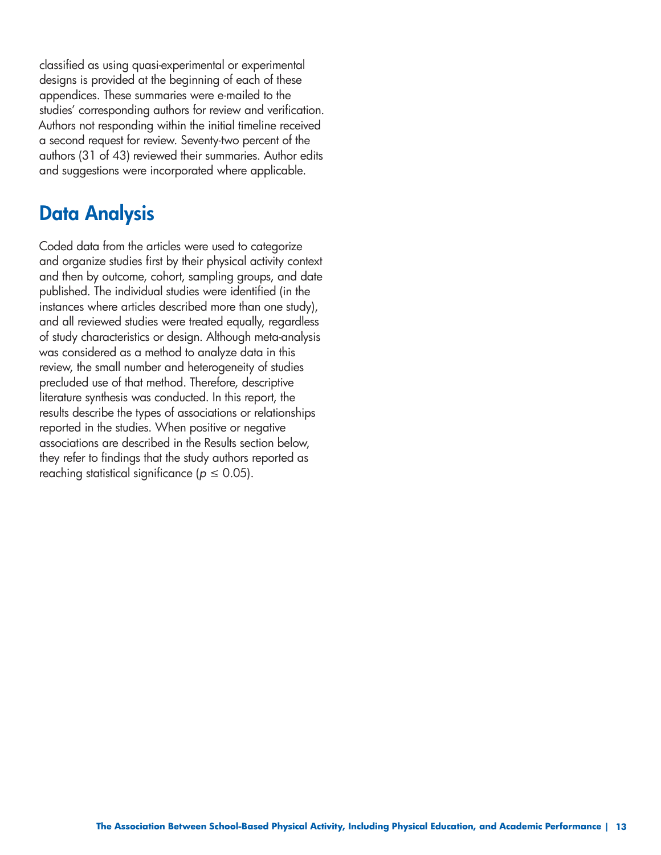classified as using quasi-experimental or experimental designs is provided at the beginning of each of these appendices. These summaries were e-mailed to the studies' corresponding authors for review and verification. Authors not responding within the initial timeline received a second request for review. Seventy-two percent of the authors (31 of 43) reviewed their summaries. Author edits and suggestions were incorporated where applicable.

## **Data Analysis**

Coded data from the articles were used to categorize and organize studies first by their physical activity context and then by outcome, cohort, sampling groups, and date published. The individual studies were identified (in the instances where articles described more than one study), and all reviewed studies were treated equally, regardless of study characteristics or design. Although meta-analysis was considered as a method to analyze data in this review, the small number and heterogeneity of studies precluded use of that method. Therefore, descriptive literature synthesis was conducted. In this report, the results describe the types of associations or relationships reported in the studies. When positive or negative associations are described in the Results section below, they refer to findings that the study authors reported as reaching statistical significance ( $p \leq 0.05$ ).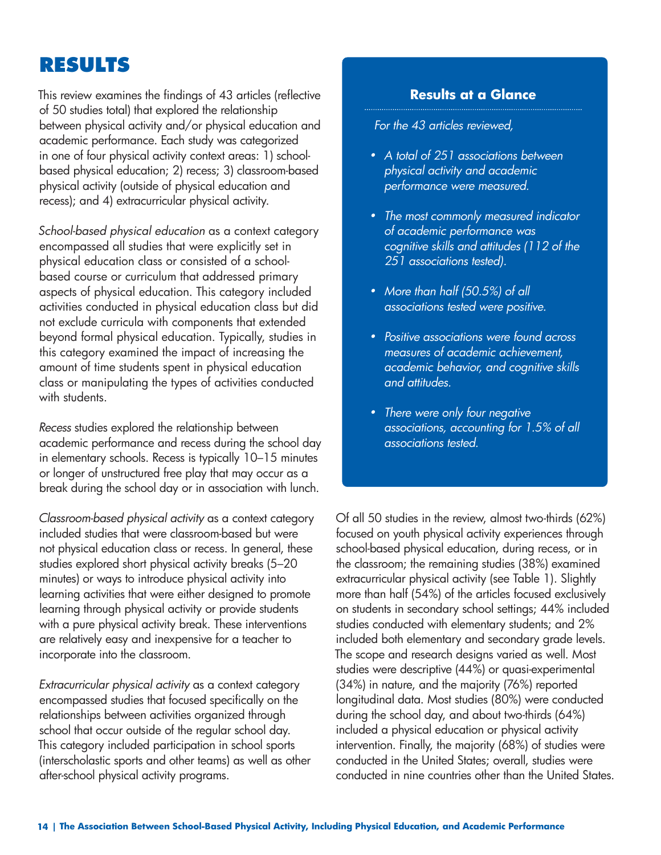## **RESULTS**

This review examines the findings of 43 articles (reflective of 50 studies total) that explored the relationship between physical activity and/or physical education and academic performance. Each study was categorized in one of four physical activity context areas: 1) schoolbased physical education; 2) recess; 3) classroom-based physical activity (outside of physical education and recess); and 4) extracurricular physical activity.

*School-based physical education* as a context category encompassed all studies that were explicitly set in physical education class or consisted of a schoolbased course or curriculum that addressed primary aspects of physical education. This category included activities conducted in physical education class but did not exclude curricula with components that extended beyond formal physical education. Typically, studies in this category examined the impact of increasing the amount of time students spent in physical education class or manipulating the types of activities conducted with students.

*Recess* studies explored the relationship between academic performance and recess during the school day in elementary schools. Recess is typically 10–15 minutes or longer of unstructured free play that may occur as a break during the school day or in association with lunch.

*Classroom-based physical activity* as a context category included studies that were classroom-based but were not physical education class or recess. In general, these studies explored short physical activity breaks (5–20 minutes) or ways to introduce physical activity into learning activities that were either designed to promote learning through physical activity or provide students with a pure physical activity break. These interventions are relatively easy and inexpensive for a teacher to incorporate into the classroom.

*Extracurricular physical activity* as a context category encompassed studies that focused specifically on the relationships between activities organized through school that occur outside of the regular school day. This category included participation in school sports (interscholastic sports and other teams) as well as other after-school physical activity programs.

#### **Results at a Glance**

*• For the 43 articles reviewed,* 

- *• A total of 251 associations between physical activity and academic performance were measured.*
- *• The most commonly measured indicator of academic performance was cognitive skills and attitudes (112 of the 251 associations tested).*
- *• More than half (50.5%) of all associations tested were positive.*
- *• Positive associations were found across measures of academic achievement, academic behavior, and cognitive skills and attitudes.*
- *• There were only four negative associations, accounting for 1.5% of all associations tested.*

Of all 50 studies in the review, almost two-thirds (62%) focused on youth physical activity experiences through school-based physical education, during recess, or in the classroom; the remaining studies (38%) examined extracurricular physical activity (see Table 1). Slightly more than half (54%) of the articles focused exclusively on students in secondary school settings; 44% included studies conducted with elementary students; and 2% included both elementary and secondary grade levels. The scope and research designs varied as well. Most studies were descriptive (44%) or quasi-experimental (34%) in nature, and the majority (76%) reported longitudinal data. Most studies (80%) were conducted during the school day, and about two-thirds (64%) included a physical education or physical activity intervention. Finally, the majority (68%) of studies were conducted in the United States; overall, studies were conducted in nine countries other than the United States.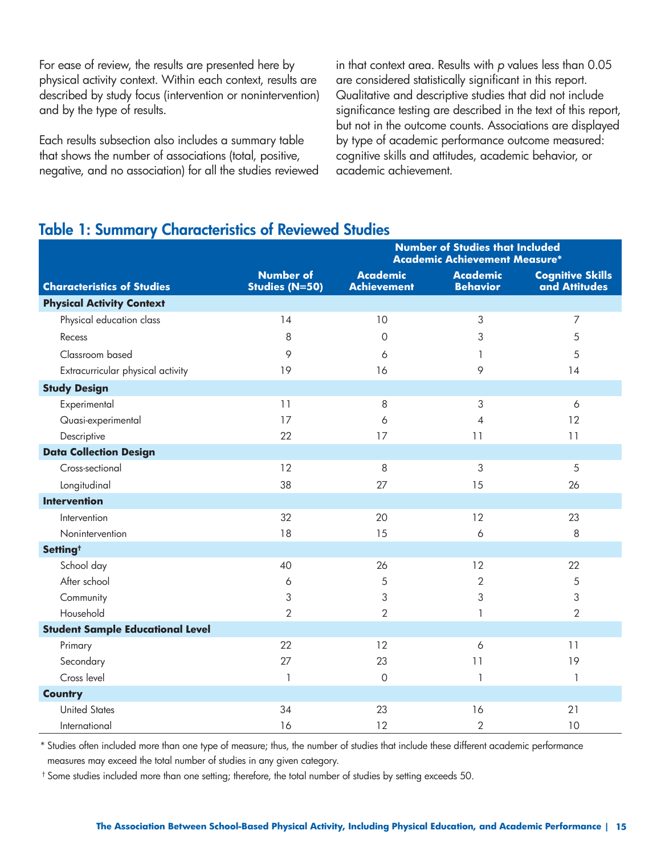For ease of review, the results are presented here by physical activity context. Within each context, results are described by study focus (intervention or nonintervention) and by the type of results.

Each results subsection also includes a summary table that shows the number of associations (total, positive, negative, and no association) for all the studies reviewed

in that context area. Results with *p* values less than 0.05 are considered statistically significant in this report. Qualitative and descriptive studies that did not include significance testing are described in the text of this report, but not in the outcome counts. Associations are displayed by type of academic performance outcome measured: cognitive skills and attitudes, academic behavior, or academic achievement.

### **Table 1: Summary Characteristics of Reviewed Studies**

|                                         |                                    | <b>Number of Studies that Included</b><br><b>Academic Achievement Measure*</b> |                                    |                                          |
|-----------------------------------------|------------------------------------|--------------------------------------------------------------------------------|------------------------------------|------------------------------------------|
| <b>Characteristics of Studies</b>       | <b>Number of</b><br>Studies (N=50) | <b>Academic</b><br><b>Achievement</b>                                          | <b>Academic</b><br><b>Behavior</b> | <b>Cognitive Skills</b><br>and Attitudes |
| <b>Physical Activity Context</b>        |                                    |                                                                                |                                    |                                          |
| Physical education class                | 14                                 | 10                                                                             | 3                                  | 7                                        |
| Recess                                  | 8                                  | $\mathbf 0$                                                                    | 3                                  | 5                                        |
| Classroom based                         | 9                                  | 6                                                                              | 1                                  | 5                                        |
| Extracurricular physical activity       | 19                                 | 16                                                                             | 9                                  | 14                                       |
| <b>Study Design</b>                     |                                    |                                                                                |                                    |                                          |
| Experimental                            | 11                                 | 8                                                                              | 3                                  | 6                                        |
| Quasi-experimental                      | 17                                 | 6                                                                              | $\overline{4}$                     | 12                                       |
| Descriptive                             | 22                                 | 17                                                                             | 11                                 | 11                                       |
| <b>Data Collection Design</b>           |                                    |                                                                                |                                    |                                          |
| Cross-sectional                         | 12                                 | 8                                                                              | 3                                  | 5                                        |
| Longitudinal                            | 38                                 | 27                                                                             | 15                                 | 26                                       |
| <b>Intervention</b>                     |                                    |                                                                                |                                    |                                          |
| Intervention                            | 32                                 | 20                                                                             | 12                                 | 23                                       |
| Nonintervention                         | 18                                 | 15                                                                             | 6                                  | 8                                        |
| Setting <sup>+</sup>                    |                                    |                                                                                |                                    |                                          |
| School day                              | 40                                 | 26                                                                             | 12                                 | 22                                       |
| After school                            | 6                                  | 5                                                                              | $\overline{2}$                     | 5                                        |
| Community                               | 3                                  | 3                                                                              | 3                                  | 3                                        |
| Household                               | $\overline{2}$                     | $\overline{2}$                                                                 | 1                                  | $\overline{2}$                           |
| <b>Student Sample Educational Level</b> |                                    |                                                                                |                                    |                                          |
| Primary                                 | 22                                 | 12                                                                             | 6                                  | 11                                       |
| Secondary                               | 27                                 | 23                                                                             | 11                                 | 19                                       |
| Cross level                             | 1                                  | 0                                                                              | $\mathbf{1}$                       | 1                                        |
| <b>Country</b>                          |                                    |                                                                                |                                    |                                          |
| <b>United States</b>                    | 34                                 | 23                                                                             | 16                                 | 21                                       |
| International                           | 16                                 | 12                                                                             | $\overline{2}$                     | 10                                       |

\* Studies often included more than one type of measure; thus, the number of studies that include these different academic performance measures may exceed the total number of studies in any given category.

† Some studies included more than one setting; therefore, the total number of studies by setting exceeds 50.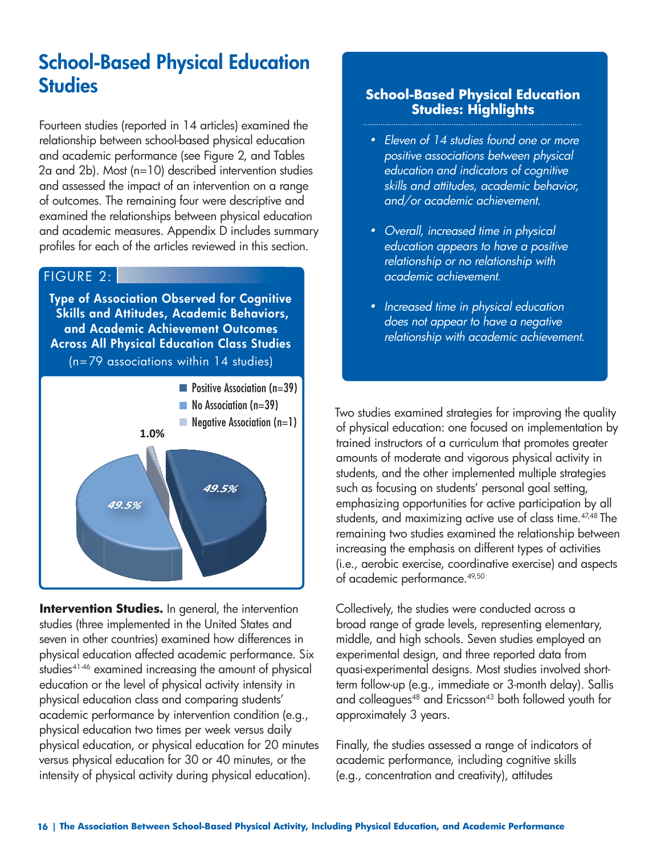# **School-Based Physical Education Studies**

Fourteen studies (reported in 14 articles) examined the relationship between school-based physical education and academic performance (see Figure 2, and Tables 2a and 2b). Most (n=10) described intervention studies and assessed the impact of an intervention on a range of outcomes. The remaining four were descriptive and examined the relationships between physical education and academic measures. Appendix D includes summary profiles for each of the articles reviewed in this section.

#### FIGURE 2:

**Type of Association Observed for Cognitive Skills and Attitudes, Academic Behaviors, and Academic Achievement Outcomes Across All Physical Education Class Studies**  (n=79 associations within 14 studies)



**Intervention Studies.** In general, the intervention studies (three implemented in the United States and seven in other countries) examined how differences in physical education affected academic performance. Six studies<sup>41-46</sup> examined increasing the amount of physical education or the level of physical activity intensity in physical education class and comparing students' academic performance by intervention condition (e.g., physical education two times per week versus daily physical education, or physical education for 20 minutes versus physical education for 30 or 40 minutes, or the intensity of physical activity during physical education).

#### **School-Based Physical Education Studies: Highlights**

- *• Eleven of 14 studies found one or more positive associations between physical education and indicators of cognitive skills and attitudes, academic behavior, and/or academic achievement.*
- *• Overall, increased time in physical education appears to have a positive relationship or no relationship with academic achievement.*
- *• Increased time in physical education does not appear to have a negative relationship with academic achievement.*

Two studies examined strategies for improving the quality of physical education: one focused on implementation by trained instructors of a curriculum that promotes greater amounts of moderate and vigorous physical activity in students, and the other implemented multiple strategies such as focusing on students' personal goal setting, emphasizing opportunities for active participation by all students, and maximizing active use of class time.<sup>47,48</sup> The remaining two studies examined the relationship between increasing the emphasis on different types of activities (i.e., aerobic exercise, coordinative exercise) and aspects of academic performance.<sup>49,50</sup>

Collectively, the studies were conducted across a broad range of grade levels, representing elementary, middle, and high schools. Seven studies employed an experimental design, and three reported data from quasi-experimental designs. Most studies involved shortterm follow-up (e.g., immediate or 3-month delay). Sallis and colleagues<sup>48</sup> and Ericsson<sup>43</sup> both followed youth for approximately 3 years.

Finally, the studies assessed a range of indicators of academic performance, including cognitive skills (e.g., concentration and creativity), attitudes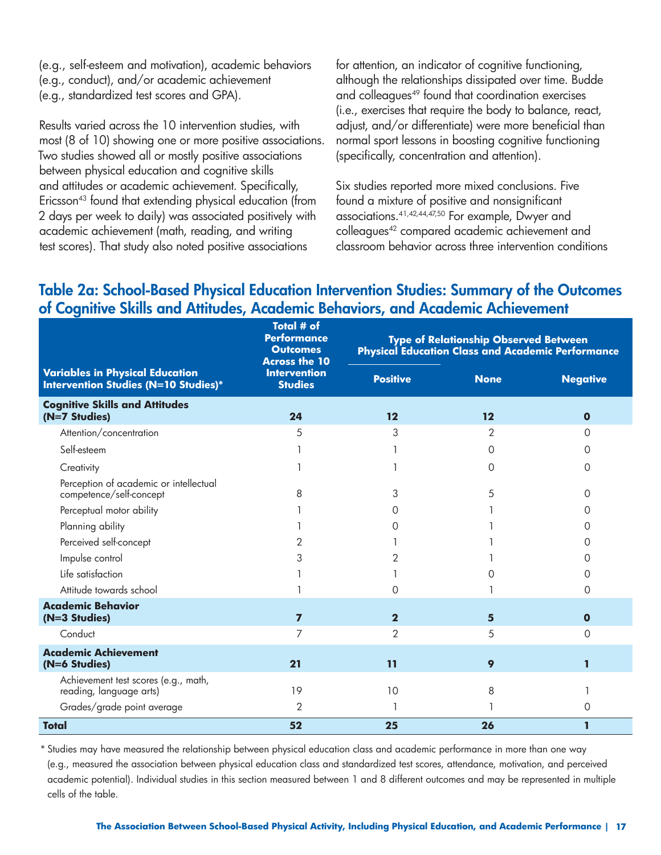(e.g., self-esteem and motivation), academic behaviors (e.g., conduct), and/or academic achievement (e.g., standardized test scores and GPA).

Results varied across the 10 intervention studies, with most (8 of 10) showing one or more positive associations. Two studies showed all or mostly positive associations between physical education and cognitive skills and attitudes or academic achievement. Specifically, Ericsson<sup>43</sup> found that extending physical education (from 2 days per week to daily) was associated positively with academic achievement (math, reading, and writing test scores). That study also noted positive associations

for attention, an indicator of cognitive functioning, although the relationships dissipated over time. Budde and colleagues<sup>49</sup> found that coordination exercises (i.e., exercises that require the body to balance, react, adjust, and/or differentiate) were more beneficial than normal sport lessons in boosting cognitive functioning (specifically, concentration and attention).

Six studies reported more mixed conclusions. Five found a mixture of positive and nonsignificant associations.41,42,44,47,50 For example, Dwyer and colleagues42 compared academic achievement and classroom behavior across three intervention conditions

### **Table 2a: School-Based Physical Education Intervention Studies: Summary of the Outcomes of Cognitive Skills and Attitudes, Academic Behaviors, and Academic Achievement**

|                                                                                       | <b>Total # of</b><br><b>Performance</b><br><b>Outcomes</b><br><b>Across the 10</b> | <b>Type of Relationship Observed Between</b><br><b>Physical Education Class and Academic Performance</b> |                   |                 |
|---------------------------------------------------------------------------------------|------------------------------------------------------------------------------------|----------------------------------------------------------------------------------------------------------|-------------------|-----------------|
| <b>Variables in Physical Education</b><br><b>Intervention Studies (N=10 Studies)*</b> | <b>Intervention</b><br><b>Studies</b>                                              | <b>Positive</b>                                                                                          | <b>None</b>       | <b>Negative</b> |
| <b>Cognitive Skills and Attitudes</b><br>(N=7 Studies)                                | 24                                                                                 | $12 \overline{ }$                                                                                        | $12 \overline{ }$ | $\mathbf 0$     |
| Attention/concentration                                                               | 5                                                                                  | 3                                                                                                        | $\mathbf{2}$      | $\Omega$        |
| Self-esteem                                                                           |                                                                                    |                                                                                                          | $\Omega$          | 0               |
| Creativity                                                                            |                                                                                    |                                                                                                          | $\Omega$          | $\Omega$        |
| Perception of academic or intellectual<br>competence/self-concept                     | 8                                                                                  | 3                                                                                                        | 5                 | $\Omega$        |
| Perceptual motor ability                                                              |                                                                                    | $\left( \right)$                                                                                         |                   | $\Omega$        |
| Planning ability                                                                      |                                                                                    | 0                                                                                                        |                   | $\Omega$        |
| Perceived self-concept                                                                | 2                                                                                  |                                                                                                          |                   | $\Omega$        |
| Impulse control                                                                       | 3                                                                                  | 2                                                                                                        |                   | O               |
| Life satisfaction                                                                     |                                                                                    |                                                                                                          | Ω                 | O               |
| Attitude towards school                                                               |                                                                                    | 0                                                                                                        |                   | $\Omega$        |
| <b>Academic Behavior</b><br>(N=3 Studies)                                             | $\overline{7}$                                                                     | $\mathbf{2}$                                                                                             | 5                 | $\mathbf 0$     |
| Conduct                                                                               | 7                                                                                  | $\mathcal{P}$                                                                                            | 5                 | $\Omega$        |
| <b>Academic Achievement</b><br>(N=6 Studies)                                          | 21                                                                                 | 11                                                                                                       | 9                 | 1               |
| Achievement test scores (e.g., math,<br>reading, language arts)                       | 19                                                                                 | 10                                                                                                       | 8                 |                 |
| Grades/grade point average                                                            | 2                                                                                  |                                                                                                          |                   | 0               |
| <b>Total</b>                                                                          | 52                                                                                 | 25                                                                                                       | 26                | $\mathbf 1$     |

\* Studies may have measured the relationship between physical education class and academic performance in more than one way (e.g., measured the association between physical education class and standardized test scores, attendance, motivation, and perceived academic potential). Individual studies in this section measured between 1 and 8 different outcomes and may be represented in multiple cells of the table.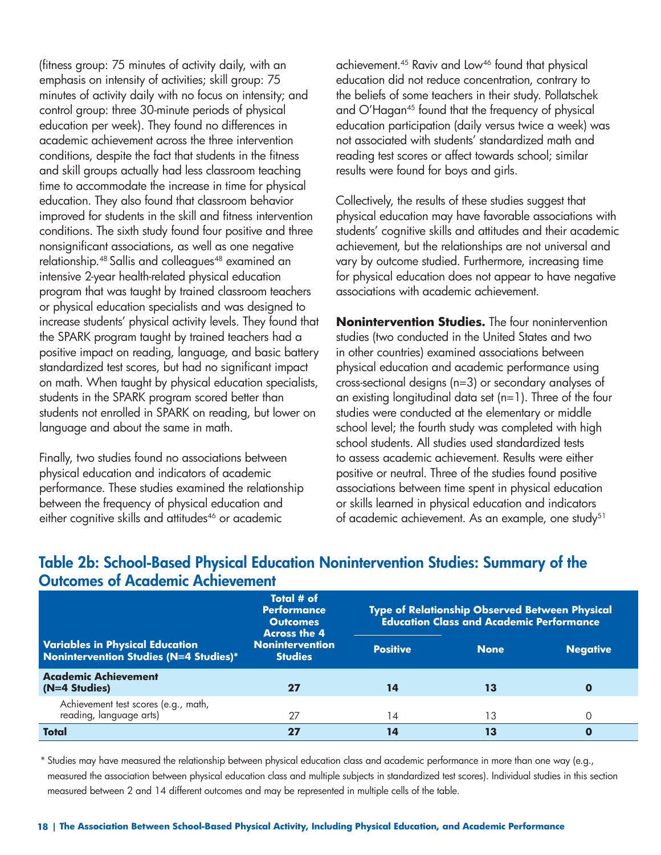(fitness group: 75 minutes of activity daily, with an emphasis on intensity of activities; skill group: 75 minutes of activity daily with no focus on intensity; and control group: three 30-minute periods of physical education per week). They found no differences in academic achievement across the three intervention conditions, despite the fact that students in the fitness and skill groups actually had less classroom teaching time to accommodate the increase in time for physical education. They also found that classroom behavior improved for students in the skill and fitness intervention conditions. The sixth study found four positive and three nonsignificant associations, as well as one negative relationship.<sup>48</sup> Sallis and colleagues<sup>48</sup> examined an intensive 2-year health-related physical education program that was taught by trained classroom teachers or physical education specialists and was designed to increase students' physical activity levels. They found that the SPARK program taught by trained teachers had a positive impact on reading, language, and basic battery standardized test scores, but had no significant impact on math. When taught by physical education specialists, students in the SPARK program scored better than students not enrolled in SPARK on reading, but lower on language and about the same in math.

Finally, two studies found no associations between physical education and indicators of academic performance. These studies examined the relationship between the frequency of physical education and either cognitive skills and attitudes<sup>46</sup> or academic

achievement.<sup>45</sup> Raviv and Low<sup>46</sup> found that physical education did not reduce concentration, contrary to the beliefs of some teachers in their study. Pollatschek and O'Hagan<sup>45</sup> found that the frequency of physical education participation (daily versus twice a week) was not associated with students' standardized math and reading test scores or affect towards school; similar results were found for boys and girls.

Collectively, the results of these studies suggest that physical education may have favorable associations with students' cognitive skills and attitudes and their academic achievement, but the relationships are not universal and vary by outcome studied. Furthermore, increasing time for physical education does not appear to have negative associations with academic achievement.

**Nonintervention Studies.** The four nonintervention studies (two conducted in the United States and two in other countries) examined associations between physical education and academic performance using cross-sectional designs (n=3) or secondary analyses of an existing longitudinal data set (n=1). Three of the four studies were conducted at the elementary or middle school level; the fourth study was completed with high school students. All studies used standardized tests to assess academic achievement. Results were either positive or neutral. Three of the studies found positive associations between time spent in physical education or skills learned in physical education and indicators of academic achievement. As an example, one study<sup>51</sup>

|                                                                                         | Total # of<br><b>Performance</b><br><b>Outcomes</b><br><b>Across the 4</b><br><b>Nonintervention</b><br><b>Studies</b> | <b>Type of Relationship Observed Between Physical</b><br><b>Education Class and Academic Performance</b> |             |                 |  |
|-----------------------------------------------------------------------------------------|------------------------------------------------------------------------------------------------------------------------|----------------------------------------------------------------------------------------------------------|-------------|-----------------|--|
| <b>Variables in Physical Education</b><br><b>Nonintervention Studies (N=4 Studies)*</b> |                                                                                                                        | <b>Positive</b>                                                                                          | <b>None</b> | <b>Negative</b> |  |
| <b>Academic Achievement</b><br>(N=4 Studies)                                            |                                                                                                                        | 14                                                                                                       | 13          | O               |  |
| Achievement test scores (e.g., math,<br>reading, language arts)                         |                                                                                                                        | 14                                                                                                       | 13          | O               |  |
| <b>Total</b>                                                                            |                                                                                                                        | Ł                                                                                                        | 13          | 0               |  |

### **Table 2b: School-Based Physical Education Nonintervention Studies: Summary of the Outcomes of Academic Achievement**

\* Studies may have measured the relationship between physical education class and academic performance in more than one way (e.g., measured the association between physical education class and multiple subjects in standardized test scores). Individual studies in this section measured between 2 and 14 different outcomes and may be represented in multiple cells of the table.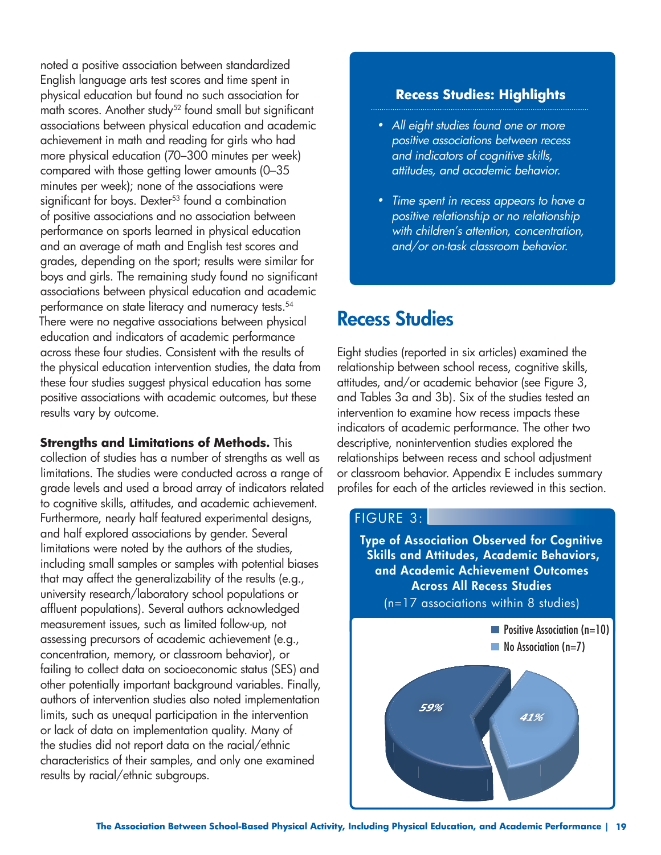noted a positive association between standardized English language arts test scores and time spent in physical education but found no such association for math scores. Another study<sup>52</sup> found small but significant associations between physical education and academic achievement in math and reading for girls who had more physical education (70–300 minutes per week) compared with those getting lower amounts (0–35 minutes per week); none of the associations were significant for boys. Dexter<sup>53</sup> found a combination of positive associations and no association between performance on sports learned in physical education and an average of math and English test scores and grades, depending on the sport; results were similar for boys and girls. The remaining study found no significant associations between physical education and academic performance on state literacy and numeracy tests.<sup>54</sup> There were no negative associations between physical education and indicators of academic performance across these four studies. Consistent with the results of the physical education intervention studies, the data from these four studies suggest physical education has some positive associations with academic outcomes, but these results vary by outcome.

**Strengths and Limitations of Methods.** This

collection of studies has a number of strengths as well as limitations. The studies were conducted across a range of grade levels and used a broad array of indicators related to cognitive skills, attitudes, and academic achievement. Furthermore, nearly half featured experimental designs, and half explored associations by gender. Several limitations were noted by the authors of the studies, including small samples or samples with potential biases that may affect the generalizability of the results (e.g., university research/laboratory school populations or affluent populations). Several authors acknowledged measurement issues, such as limited follow-up, not assessing precursors of academic achievement (e.g., concentration, memory, or classroom behavior), or failing to collect data on socioeconomic status (SES) and other potentially important background variables. Finally, authors of intervention studies also noted implementation limits, such as unequal participation in the intervention or lack of data on implementation quality. Many of the studies did not report data on the racial/ethnic characteristics of their samples, and only one examined results by racial/ethnic subgroups.

#### **Recess Studies: Highlights**

- *• All eight studies found one or more positive associations between recess and indicators of cognitive skills, attitudes, and academic behavior.*
- *• Time spent in recess appears to have a positive relationship or no relationship with children's attention, concentration, and/or on-task classroom behavior.*

# **Recess Studies**

Eight studies (reported in six articles) examined the relationship between school recess, cognitive skills, attitudes, and/or academic behavior (see Figure 3, and Tables 3a and 3b). Six of the studies tested an intervention to examine how recess impacts these indicators of academic performance. The other two descriptive, nonintervention studies explored the relationships between recess and school adjustment or classroom behavior. Appendix E includes summary profiles for each of the articles reviewed in this section.

#### FIGURE 3:

**Type of Association Observed for Cognitive Skills and Attitudes, Academic Behaviors, and Academic Achievement Outcomes Across All Recess Studies**  (n=17 associations within 8 studies)

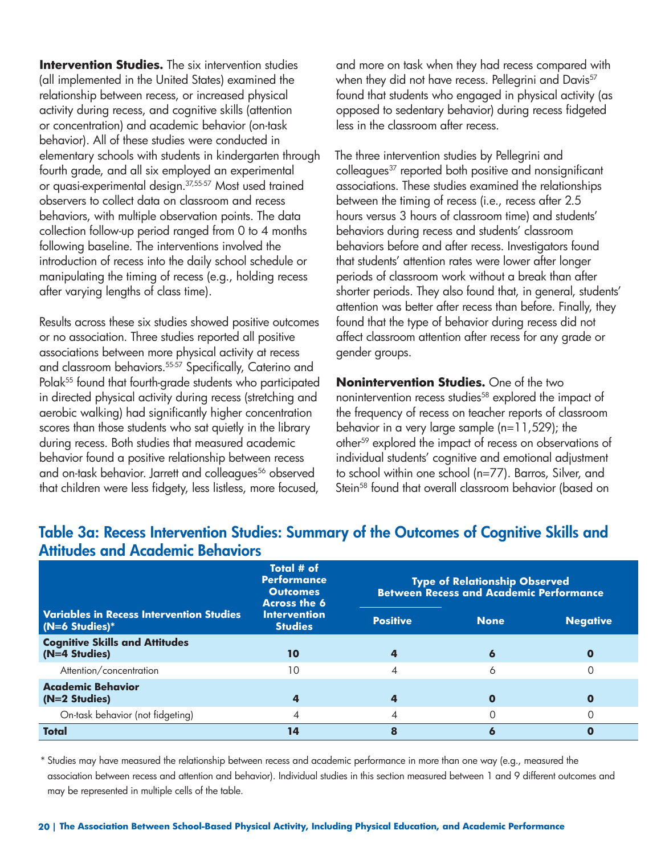**Intervention Studies.** The six intervention studies (all implemented in the United States) examined the relationship between recess, or increased physical activity during recess, and cognitive skills (attention or concentration) and academic behavior (on-task behavior). All of these studies were conducted in elementary schools with students in kindergarten through fourth grade, and all six employed an experimental or quasi-experimental design.37,55-57 Most used trained observers to collect data on classroom and recess behaviors, with multiple observation points. The data collection follow-up period ranged from 0 to 4 months following baseline. The interventions involved the introduction of recess into the daily school schedule or manipulating the timing of recess (e.g., holding recess after varying lengths of class time).

Results across these six studies showed positive outcomes or no association. Three studies reported all positive associations between more physical activity at recess and classroom behaviors.<sup>55-57</sup> Specifically, Caterino and Polak<sup>55</sup> found that fourth-grade students who participated in directed physical activity during recess (stretching and aerobic walking) had significantly higher concentration scores than those students who sat quietly in the library during recess. Both studies that measured academic behavior found a positive relationship between recess and on-task behavior. Jarrett and colleagues<sup>56</sup> observed that children were less fidgety, less listless, more focused,

and more on task when they had recess compared with when they did not have recess. Pellegrini and Davis<sup>57</sup> found that students who engaged in physical activity (as opposed to sedentary behavior) during recess fidgeted less in the classroom after recess.

The three intervention studies by Pellegrini and colleagues<sup>37</sup> reported both positive and nonsignificant associations. These studies examined the relationships between the timing of recess (i.e., recess after 2.5 hours versus 3 hours of classroom time) and students' behaviors during recess and students' classroom behaviors before and after recess. Investigators found that students' attention rates were lower after longer periods of classroom work without a break than after shorter periods. They also found that, in general, students' attention was better after recess than before. Finally, they found that the type of behavior during recess did not affect classroom attention after recess for any grade or gender groups.

**Nonintervention Studies.** One of the two nonintervention recess studies<sup>58</sup> explored the impact of the frequency of recess on teacher reports of classroom behavior in a very large sample (n=11,529); the other<sup>59</sup> explored the impact of recess on observations of individual students' cognitive and emotional adjustment to school within one school (n=77). Barros, Silver, and Stein<sup>58</sup> found that overall classroom behavior (based on

|                                                                     | Total # of<br><b>Performance</b><br><b>Outcomes</b><br><b>Across the 6</b><br><b>Intervention</b><br><b>Studies</b> | <b>Type of Relationship Observed</b><br><b>Between Recess and Academic Performance</b> |             |                 |
|---------------------------------------------------------------------|---------------------------------------------------------------------------------------------------------------------|----------------------------------------------------------------------------------------|-------------|-----------------|
| <b>Variables in Recess Intervention Studies</b><br>$(N=6$ Studies)* |                                                                                                                     | <b>Positive</b>                                                                        | <b>None</b> | <b>Negative</b> |
| <b>Cognitive Skills and Attitudes</b><br>(N=4 Studies)              | 10                                                                                                                  | 4                                                                                      | 6           |                 |
| Attention/concentration                                             | 10                                                                                                                  | $\overline{\mathcal{A}}$                                                               | 6           |                 |
| <b>Academic Behavior</b><br>(N=2 Studies)                           |                                                                                                                     | 4                                                                                      | O           |                 |
| On-task behavior (not fidgeting)                                    | 4                                                                                                                   | $\overline{4}$                                                                         | $\Omega$    |                 |
| <b>Total</b>                                                        | 14                                                                                                                  | 8                                                                                      | 6           |                 |

### **Table 3a: Recess Intervention Studies: Summary of the Outcomes of Cognitive Skills and Attitudes and Academic Behaviors**

\* Studies may have measured the relationship between recess and academic performance in more than one way (e.g., measured the association between recess and attention and behavior). Individual studies in this section measured between 1 and 9 different outcomes and may be represented in multiple cells of the table.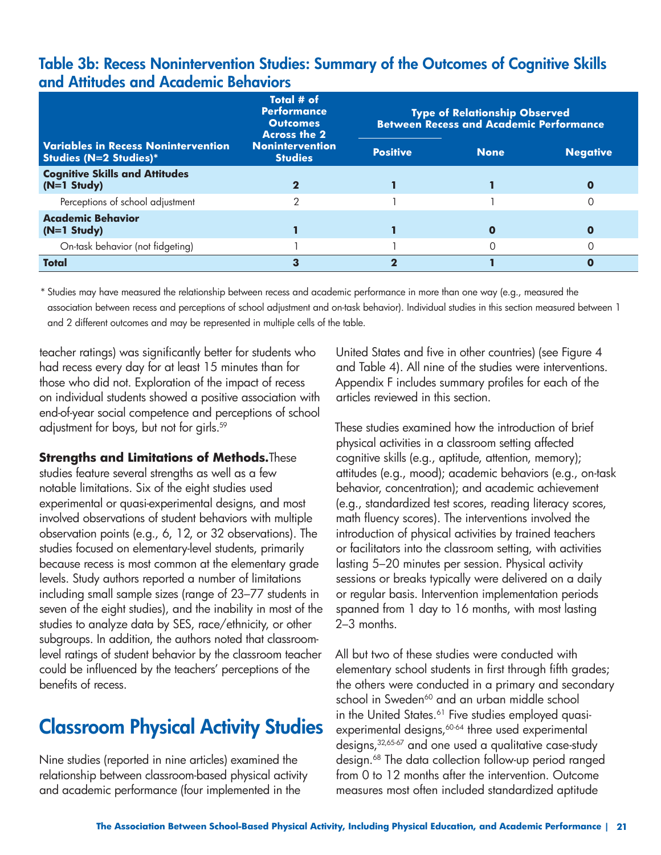### **Table 3b: Recess Nonintervention Studies: Summary of the Outcomes of Cognitive Skills and Attitudes and Academic Behaviors**

|                                                                             | Total # of<br><b>Performance</b><br><b>Outcomes</b><br><b>Across the 2</b> |                 |             | <b>Type of Relationship Observed</b><br><b>Between Recess and Academic Performance</b> |  |  |
|-----------------------------------------------------------------------------|----------------------------------------------------------------------------|-----------------|-------------|----------------------------------------------------------------------------------------|--|--|
| <b>Variables in Recess Nonintervention</b><br><b>Studies (N=2 Studies)*</b> | <b>Nonintervention</b><br><b>Studies</b>                                   | <b>Positive</b> | <b>None</b> | <b>Negative</b>                                                                        |  |  |
| <b>Cognitive Skills and Attitudes</b><br>$(N=1$ Study)                      |                                                                            |                 |             |                                                                                        |  |  |
| Perceptions of school adjustment                                            | っ                                                                          |                 |             |                                                                                        |  |  |
| <b>Academic Behavior</b><br>$(N=1$ Study)                                   |                                                                            |                 |             |                                                                                        |  |  |
| On-task behavior (not fidgeting)                                            |                                                                            |                 |             |                                                                                        |  |  |
| <b>Total</b>                                                                |                                                                            |                 |             |                                                                                        |  |  |

\* Studies may have measured the relationship between recess and academic performance in more than one way (e.g., measured the association between recess and perceptions of school adjustment and on-task behavior). Individual studies in this section measured between 1 and 2 different outcomes and may be represented in multiple cells of the table.

teacher ratings) was significantly better for students who had recess every day for at least 15 minutes than for those who did not. Exploration of the impact of recess on individual students showed a positive association with end-of-year social competence and perceptions of school adjustment for boys, but not for girls.59

#### **Strengths and Limitations of Methods.**These

studies feature several strengths as well as a few notable limitations. Six of the eight studies used experimental or quasi-experimental designs, and most involved observations of student behaviors with multiple observation points (e.g., 6, 12, or 32 observations). The studies focused on elementary-level students, primarily because recess is most common at the elementary grade levels. Study authors reported a number of limitations including small sample sizes (range of 23–77 students in seven of the eight studies), and the inability in most of the studies to analyze data by SES, race/ethnicity, or other subgroups. In addition, the authors noted that classroomlevel ratings of student behavior by the classroom teacher could be influenced by the teachers' perceptions of the benefits of recess.

## **Classroom Physical Activity Studies**

Nine studies (reported in nine articles) examined the relationship between classroom-based physical activity and academic performance (four implemented in the

United States and five in other countries) (see Figure 4 and Table 4). All nine of the studies were interventions. Appendix F includes summary profiles for each of the articles reviewed in this section.

These studies examined how the introduction of brief physical activities in a classroom setting affected cognitive skills (e.g., aptitude, attention, memory); attitudes (e.g., mood); academic behaviors (e.g., on-task behavior, concentration); and academic achievement (e.g., standardized test scores, reading literacy scores, math fluency scores). The interventions involved the introduction of physical activities by trained teachers or facilitators into the classroom setting, with activities lasting 5–20 minutes per session. Physical activity sessions or breaks typically were delivered on a daily or regular basis. Intervention implementation periods spanned from 1 day to 16 months, with most lasting 2–3 months.

All but two of these studies were conducted with elementary school students in first through fifth grades; the others were conducted in a primary and secondary school in Sweden<sup>60</sup> and an urban middle school in the United States.<sup>61</sup> Five studies employed quasiexperimental designs,<sup>60-64</sup> three used experimental designs,32,65-67 and one used a qualitative case-study design.<sup>68</sup> The data collection follow-up period ranged from 0 to 12 months after the intervention. Outcome measures most often included standardized aptitude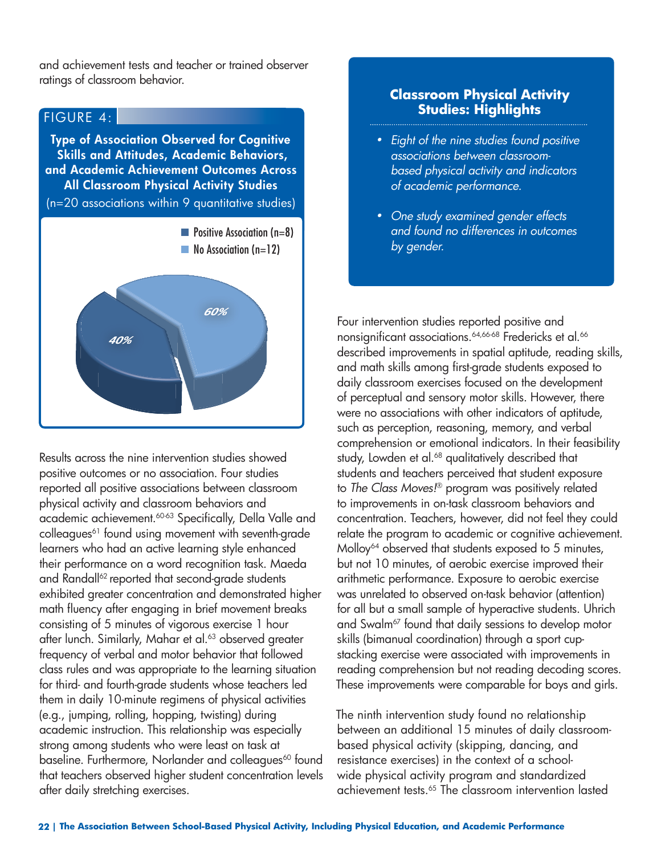and achievement tests and teacher or trained observer ratings of classroom behavior.

#### FIGURE 4:

**Type of Association Observed for Cognitive Skills and Attitudes, Academic Behaviors, and Academic Achievement Outcomes Across All Classroom Physical Activity Studies** 

(n=20 associations within 9 quantitative studies)



Results across the nine intervention studies showed positive outcomes or no association. Four studies reported all positive associations between classroom physical activity and classroom behaviors and academic achievement.60-63 Specifically, Della Valle and colleagues<sup>61</sup> found using movement with seventh-grade learners who had an active learning style enhanced their performance on a word recognition task. Maeda and Randall<sup>62</sup> reported that second-grade students exhibited greater concentration and demonstrated higher math fluency after engaging in brief movement breaks consisting of 5 minutes of vigorous exercise 1 hour after lunch. Similarly, Mahar et al.<sup>63</sup> observed greater frequency of verbal and motor behavior that followed class rules and was appropriate to the learning situation for third- and fourth-grade students whose teachers led them in daily 10-minute regimens of physical activities (e.g., jumping, rolling, hopping, twisting) during academic instruction. This relationship was especially strong among students who were least on task at baseline. Furthermore, Norlander and colleagues<sup>60</sup> found that teachers observed higher student concentration levels after daily stretching exercises.

#### **Classroom Physical Activity Studies: Highlights**

- *• Eight of the nine studies found positive associations between classroom based physical activity and indicators of academic performance.*
- *• One study examined gender effects and found no differences in outcomes by gender.*

Four intervention studies reported positive and nonsignificant associations.<sup>64,66-68</sup> Fredericks et al.<sup>66</sup> described improvements in spatial aptitude, reading skills, and math skills among first-grade students exposed to daily classroom exercises focused on the development of perceptual and sensory motor skills. However, there were no associations with other indicators of aptitude, such as perception, reasoning, memory, and verbal comprehension or emotional indicators. In their feasibility study, Lowden et al.<sup>68</sup> qualitatively described that students and teachers perceived that student exposure to *The Class Moves!*® program was positively related to improvements in on-task classroom behaviors and concentration. Teachers, however, did not feel they could relate the program to academic or cognitive achievement. Molloy<sup>64</sup> observed that students exposed to 5 minutes, but not 10 minutes, of aerobic exercise improved their arithmetic performance. Exposure to aerobic exercise was unrelated to observed on-task behavior (attention) for all but a small sample of hyperactive students. Uhrich and Swalm<sup>67</sup> found that daily sessions to develop motor skills (bimanual coordination) through a sport cupstacking exercise were associated with improvements in reading comprehension but not reading decoding scores. These improvements were comparable for boys and girls.

The ninth intervention study found no relationship between an additional 15 minutes of daily classroombased physical activity (skipping, dancing, and resistance exercises) in the context of a schoolwide physical activity program and standardized achievement tests.65 The classroom intervention lasted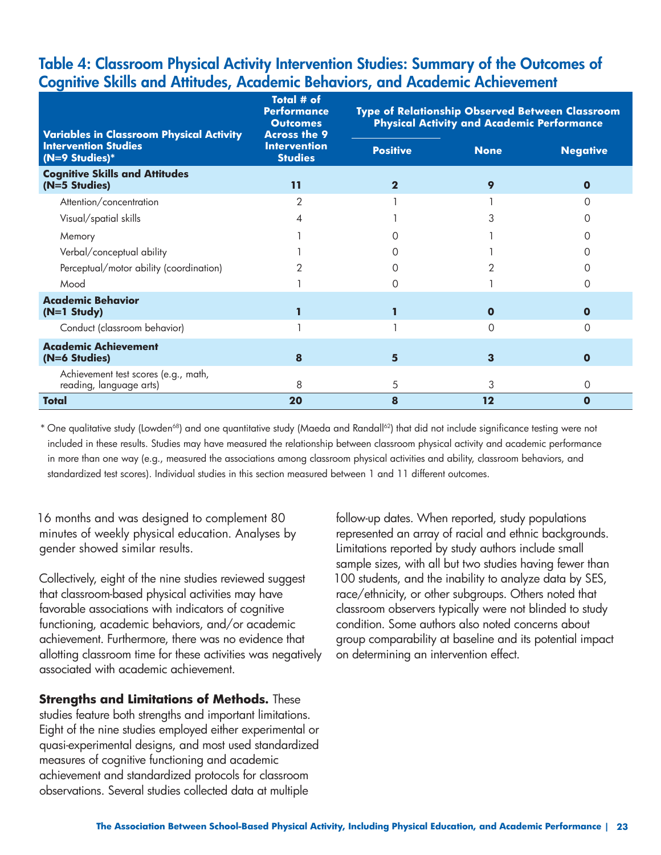### **Table 4: Classroom Physical Activity Intervention Studies: Summary of the Outcomes of Cognitive Skills and Attitudes, Academic Behaviors, and Academic Achievement**

| <b>Variables in Classroom Physical Activity</b>                 | Total # of<br><b>Performance</b><br><b>Outcomes</b><br><b>Across the 9</b> | <b>Type of Relationship Observed Between Classroom</b><br><b>Physical Activity and Academic Performance</b> |             |                 |
|-----------------------------------------------------------------|----------------------------------------------------------------------------|-------------------------------------------------------------------------------------------------------------|-------------|-----------------|
| <b>Intervention Studies</b><br>(N=9 Studies)*                   | <b>Intervention</b><br><b>Studies</b>                                      | <b>Positive</b>                                                                                             | <b>None</b> | <b>Negative</b> |
| <b>Cognitive Skills and Attitudes</b><br>(N=5 Studies)          | $\overline{11}$                                                            | $\mathbf 2$                                                                                                 | 9           | $\Omega$        |
| Attention/concentration                                         | 2                                                                          |                                                                                                             |             |                 |
| Visual/spatial skills                                           |                                                                            |                                                                                                             |             |                 |
| Memory                                                          |                                                                            |                                                                                                             |             |                 |
| Verbal/conceptual ability                                       |                                                                            |                                                                                                             |             |                 |
| Perceptual/motor ability (coordination)                         |                                                                            |                                                                                                             |             |                 |
| Mood                                                            |                                                                            | ∩                                                                                                           |             |                 |
| <b>Academic Behavior</b><br>$(N=1$ Study)                       |                                                                            |                                                                                                             | $\Omega$    | $\mathbf{o}$    |
| Conduct (classroom behavior)                                    |                                                                            |                                                                                                             | ∩           | Ω               |
| <b>Academic Achievement</b><br>(N=6 Studies)                    | 8                                                                          | 5.                                                                                                          | 3           | $\mathbf{o}$    |
| Achievement test scores (e.g., math,<br>reading, language arts) | 8                                                                          | 5                                                                                                           | 3           | 0               |
| Total                                                           | 20                                                                         | 8                                                                                                           | $12 \,$     | $\mathbf 0$     |

\* One qualitative study (Lowden68) and one quantitative study (Maeda and Randall62) that did not include significance testing were not included in these results. Studies may have measured the relationship between classroom physical activity and academic performance in more than one way (e.g., measured the associations among classroom physical activities and ability, classroom behaviors, and standardized test scores). Individual studies in this section measured between 1 and 11 different outcomes.

16 months and was designed to complement 80 minutes of weekly physical education. Analyses by gender showed similar results.

Collectively, eight of the nine studies reviewed suggest that classroom-based physical activities may have favorable associations with indicators of cognitive functioning, academic behaviors, and/or academic achievement. Furthermore, there was no evidence that allotting classroom time for these activities was negatively associated with academic achievement.

**Strengths and Limitations of Methods.** These

studies feature both strengths and important limitations. Eight of the nine studies employed either experimental or quasi-experimental designs, and most used standardized measures of cognitive functioning and academic achievement and standardized protocols for classroom observations. Several studies collected data at multiple

follow-up dates. When reported, study populations represented an array of racial and ethnic backgrounds. Limitations reported by study authors include small sample sizes, with all but two studies having fewer than 100 students, and the inability to analyze data by SES, race/ethnicity, or other subgroups. Others noted that classroom observers typically were not blinded to study condition. Some authors also noted concerns about group comparability at baseline and its potential impact on determining an intervention effect.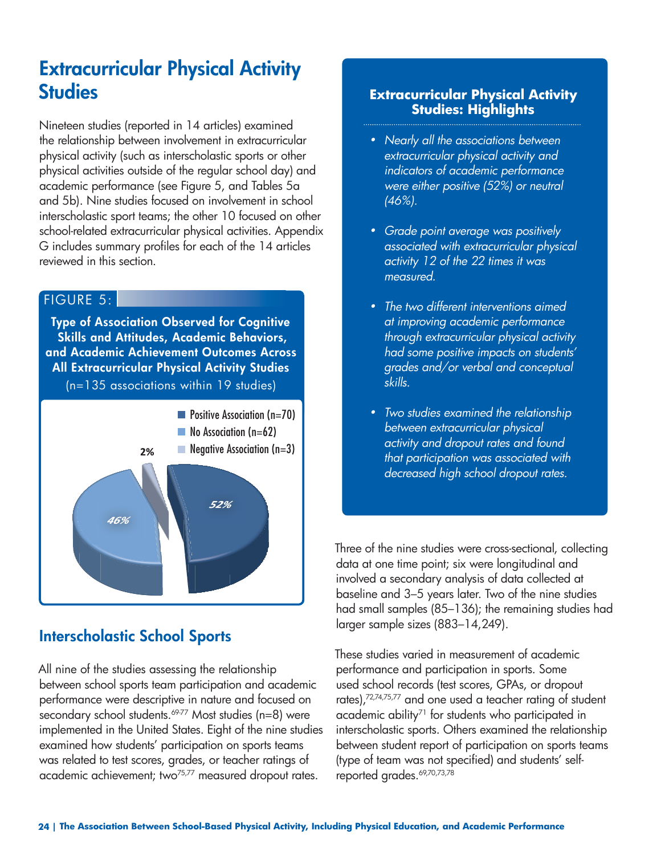# **Extracurricular Physical Activity Studies**

Nineteen studies (reported in 14 articles) examined the relationship between involvement in extracurricular physical activity (such as interscholastic sports or other physical activities outside of the regular school day) and academic performance (see Figure 5, and Tables 5a and 5b). Nine studies focused on involvement in school interscholastic sport teams; the other 10 focused on other school-related extracurricular physical activities. Appendix G includes summary profiles for each of the 14 articles reviewed in this section.

### FIGURE 5:

**Type of Association Observed for Cognitive Skills and Attitudes, Academic Behaviors, and Academic Achievement Outcomes Across All Extracurricular Physical Activity Studies** (n=135 associations within 19 studies)



## **Interscholastic School Sports**

All nine of the studies assessing the relationship between school sports team participation and academic performance were descriptive in nature and focused on secondary school students.<sup>69-77</sup> Most studies (n=8) were implemented in the United States. Eight of the nine studies examined how students' participation on sports teams was related to test scores, grades, or teacher ratings of academic achievement; two<sup>75,77</sup> measured dropout rates.

### **Extracurricular Physical Activity Studies: Highlights**

- *• Nearly all the associations between extracurricular physical activity and indicators of academic performance were either positive (52%) or neutral (46%).*
- *• Grade point average was positively associated with extracurricular physical activity 12 of the 22 times it was measured.*
- *• The two different interventions aimed at improving academic performance through extracurricular physical activity had some positive impacts on students' grades and/or verbal and conceptual skills.*
- *• Two studies examined the relationship between extracurricular physical activity and dropout rates and found that participation was associated with decreased high school dropout rates.*

Three of the nine studies were cross-sectional, collecting data at one time point; six were longitudinal and involved a secondary analysis of data collected at baseline and 3–5 years later. Two of the nine studies had small samples (85–136); the remaining studies had larger sample sizes (883–14,249).

These studies varied in measurement of academic performance and participation in sports. Some used school records (test scores, GPAs, or dropout rates),72,74,75,77 and one used a teacher rating of student academic ability<sup>71</sup> for students who participated in interscholastic sports. Others examined the relationship between student report of participation on sports teams (type of team was not specified) and students' selfreported grades. 69,70,73,78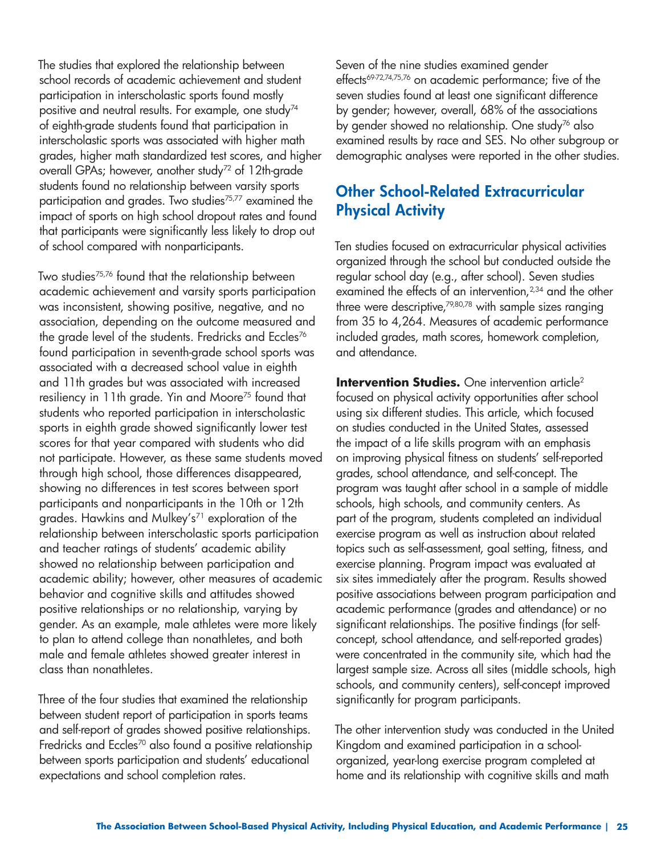The studies that explored the relationship between school records of academic achievement and student participation in interscholastic sports found mostly positive and neutral results. For example, one study<sup>74</sup> of eighth-grade students found that participation in interscholastic sports was associated with higher math grades, higher math standardized test scores, and higher overall GPAs; however, another study<sup>72</sup> of 12th-grade students found no relationship between varsity sports participation and grades. Two studies<sup>75,77</sup> examined the impact of sports on high school dropout rates and found that participants were significantly less likely to drop out of school compared with nonparticipants.

Two studies75,76 found that the relationship between academic achievement and varsity sports participation was inconsistent, showing positive, negative, and no association, depending on the outcome measured and the grade level of the students. Fredricks and Eccles<sup>76</sup> found participation in seventh-grade school sports was associated with a decreased school value in eighth and 11th grades but was associated with increased resiliency in 11th grade. Yin and Moore<sup>75</sup> found that students who reported participation in interscholastic sports in eighth grade showed significantly lower test scores for that year compared with students who did not participate. However, as these same students moved through high school, those differences disappeared, showing no differences in test scores between sport participants and nonparticipants in the 10th or 12th grades. Hawkins and Mulkey's<sup>71</sup> exploration of the relationship between interscholastic sports participation and teacher ratings of students' academic ability showed no relationship between participation and academic ability; however, other measures of academic behavior and cognitive skills and attitudes showed positive relationships or no relationship, varying by gender. As an example, male athletes were more likely to plan to attend college than nonathletes, and both male and female athletes showed greater interest in class than nonathletes.

Three of the four studies that examined the relationship between student report of participation in sports teams and self-report of grades showed positive relationships. Fredricks and Eccles<sup>70</sup> also found a positive relationship between sports participation and students' educational expectations and school completion rates.

Seven of the nine studies examined gender effects<sup>69-72,74,75,76</sup> on academic performance; five of the seven studies found at least one significant difference by gender; however, overall, 68% of the associations by gender showed no relationship. One study<sup>76</sup> also examined results by race and SES. No other subgroup or demographic analyses were reported in the other studies.

### **Other School-Related Extracurricular Physical Activity**

Ten studies focused on extracurricular physical activities organized through the school but conducted outside the regular school day (e.g., after school). Seven studies examined the effects of an intervention,<sup>2,34</sup> and the other three were descriptive,<sup>79,80,78</sup> with sample sizes ranging from 35 to 4,264. Measures of academic performance included grades, math scores, homework completion, and attendance.

**Intervention Studies.** One intervention article<sup>2</sup> focused on physical activity opportunities after school using six different studies. This article, which focused on studies conducted in the United States, assessed the impact of a life skills program with an emphasis on improving physical fitness on students' self-reported grades, school attendance, and self-concept. The program was taught after school in a sample of middle schools, high schools, and community centers. As part of the program, students completed an individual exercise program as well as instruction about related topics such as self-assessment, goal setting, fitness, and exercise planning. Program impact was evaluated at six sites immediately after the program. Results showed positive associations between program participation and academic performance (grades and attendance) or no significant relationships. The positive findings (for selfconcept, school attendance, and self-reported grades) were concentrated in the community site, which had the largest sample size. Across all sites (middle schools, high schools, and community centers), self-concept improved significantly for program participants.

The other intervention study was conducted in the United Kingdom and examined participation in a schoolorganized, year-long exercise program completed at home and its relationship with cognitive skills and math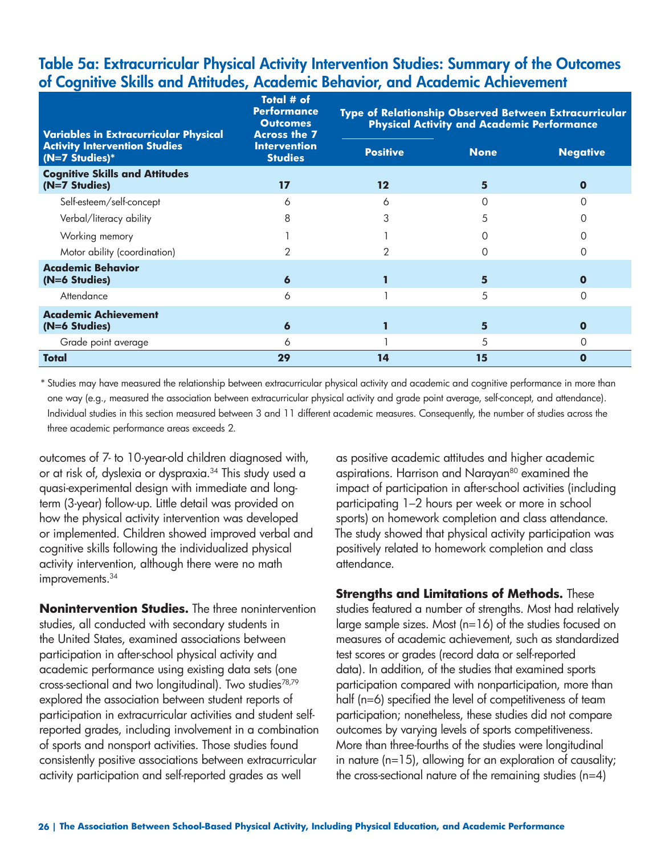### **Table 5a: Extracurricular Physical Activity Intervention Studies: Summary of the Outcomes of Cognitive Skills and Attitudes, Academic Behavior, and Academic Achievement**

| <b>Variables in Extracurricular Physical</b>             | Total # of<br><b>Performance</b><br><b>Outcomes</b><br><b>Across the 7</b><br><b>Intervention</b><br><b>Studies</b> | Type of Relationship Observed Between Extracurricular<br><b>Physical Activity and Academic Performance</b> |             |                 |  |
|----------------------------------------------------------|---------------------------------------------------------------------------------------------------------------------|------------------------------------------------------------------------------------------------------------|-------------|-----------------|--|
| <b>Activity Intervention Studies</b><br>$(N=7$ Studies)* |                                                                                                                     | <b>Positive</b>                                                                                            | <b>None</b> | <b>Negative</b> |  |
| <b>Cognitive Skills and Attitudes</b><br>(N=7 Studies)   | 17                                                                                                                  | $12 \,$                                                                                                    | 5           | $\Omega$        |  |
| Self-esteem/self-concept                                 | 6                                                                                                                   | 6                                                                                                          |             |                 |  |
| Verbal/literacy ability                                  | 8                                                                                                                   | 3                                                                                                          | 5           |                 |  |
| Working memory                                           |                                                                                                                     |                                                                                                            |             |                 |  |
| Motor ability (coordination)                             |                                                                                                                     |                                                                                                            |             |                 |  |
| <b>Academic Behavior</b><br>(N=6 Studies)                | 6                                                                                                                   |                                                                                                            | 5           | $\Omega$        |  |
| Attendance                                               | 6                                                                                                                   |                                                                                                            | 5           | Ω               |  |
| <b>Academic Achievement</b><br>(N=6 Studies)             | 6                                                                                                                   |                                                                                                            | 5           | $\mathbf 0$     |  |
| Grade point average<br>Total                             | 6<br>29                                                                                                             | 14                                                                                                         | 5<br>15     | $\Omega$<br>0   |  |

\* Studies may have measured the relationship between extracurricular physical activity and academic and cognitive performance in more than one way (e.g., measured the association between extracurricular physical activity and grade point average, self-concept, and attendance). Individual studies in this section measured between 3 and 11 different academic measures. Consequently, the number of studies across the three academic performance areas exceeds 2.

outcomes of 7- to 10-year-old children diagnosed with, or at risk of, dyslexia or dyspraxia.<sup>34</sup> This study used a quasi-experimental design with immediate and longterm (3-year) follow-up. Little detail was provided on how the physical activity intervention was developed or implemented. Children showed improved verbal and cognitive skills following the individualized physical activity intervention, although there were no math improvements.<sup>34</sup>

**Nonintervention Studies.** The three nonintervention studies, all conducted with secondary students in the United States, examined associations between participation in after-school physical activity and academic performance using existing data sets (one cross-sectional and two longitudinal). Two studies78,79 explored the association between student reports of participation in extracurricular activities and student selfreported grades, including involvement in a combination of sports and nonsport activities. Those studies found consistently positive associations between extracurricular activity participation and self-reported grades as well

as positive academic attitudes and higher academic aspirations. Harrison and Narayan<sup>80</sup> examined the impact of participation in after-school activities (including participating 1–2 hours per week or more in school sports) on homework completion and class attendance. The study showed that physical activity participation was positively related to homework completion and class attendance.

**Strengths and Limitations of Methods.** These studies featured a number of strengths. Most had relatively large sample sizes. Most (n=16) of the studies focused on measures of academic achievement, such as standardized test scores or grades (record data or self-reported data). In addition, of the studies that examined sports participation compared with nonparticipation, more than half (n=6) specified the level of competitiveness of team participation; nonetheless, these studies did not compare outcomes by varying levels of sports competitiveness. More than three-fourths of the studies were longitudinal in nature (n=15), allowing for an exploration of causality; the cross-sectional nature of the remaining studies (n=4)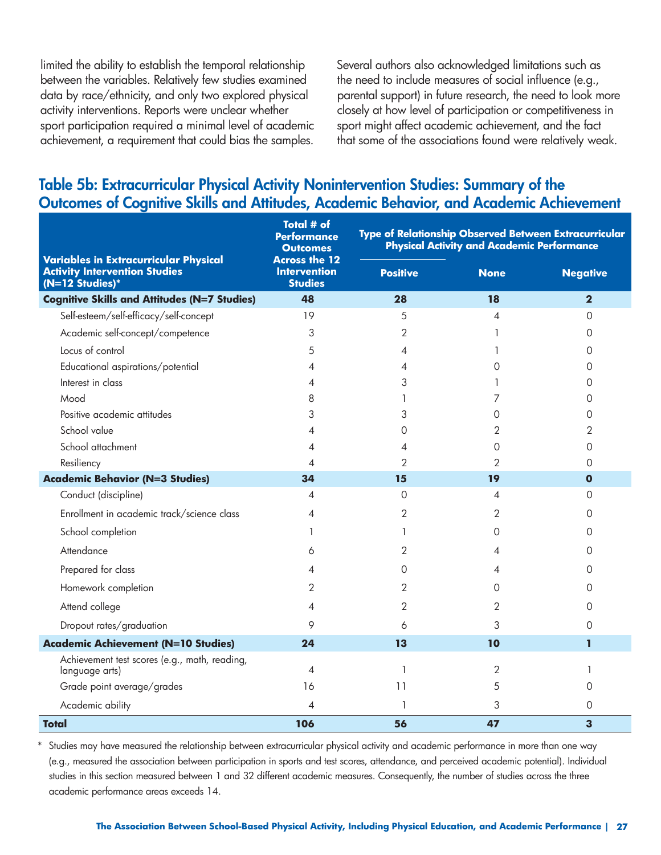limited the ability to establish the temporal relationship between the variables. Relatively few studies examined data by race/ethnicity, and only two explored physical activity interventions. Reports were unclear whether sport participation required a minimal level of academic achievement, a requirement that could bias the samples.

Several authors also acknowledged limitations such as the need to include measures of social influence (e.g., parental support) in future research, the need to look more closely at how level of participation or competitiveness in sport might affect academic achievement, and the fact that some of the associations found were relatively weak.

### **Table 5b: Extracurricular Physical Activity Nonintervention Studies: Summary of the Outcomes of Cognitive Skills and Attitudes, Academic Behavior, and Academic Achievement**

|                                                                                                         | <b>Total # of</b><br>Performance<br><b>Outcomes</b>           | Type of Relationship Observed Between Extracurricular<br><b>Physical Activity and Academic Performance</b> |                |                         |
|---------------------------------------------------------------------------------------------------------|---------------------------------------------------------------|------------------------------------------------------------------------------------------------------------|----------------|-------------------------|
| <b>Variables in Extracurricular Physical</b><br><b>Activity Intervention Studies</b><br>(N=12 Studies)* | <b>Across the 12</b><br><b>Intervention</b><br><b>Studies</b> | <b>Positive</b>                                                                                            | <b>None</b>    | <b>Negative</b>         |
| <b>Cognitive Skills and Attitudes (N=7 Studies)</b>                                                     | 48                                                            | 28                                                                                                         | 18             | $\overline{\mathbf{2}}$ |
| Self-esteem/self-efficacy/self-concept                                                                  | 19                                                            | 5                                                                                                          | 4              | $\Omega$                |
| Academic self-concept/competence                                                                        | 3                                                             | 2                                                                                                          |                | $\Omega$                |
| Locus of control                                                                                        | 5                                                             | 4                                                                                                          |                | $\circ$                 |
| Educational aspirations/potential                                                                       | 4                                                             | 4                                                                                                          | 0              | $\circ$                 |
| Interest in class                                                                                       | 4                                                             | 3                                                                                                          |                | 0                       |
| Mood                                                                                                    | 8                                                             |                                                                                                            | 7              | $\circ$                 |
| Positive academic attitudes                                                                             | 3                                                             | 3                                                                                                          | $\Omega$       | 0                       |
| School value                                                                                            | 4                                                             | Ω                                                                                                          | 2              | 2                       |
| School attachment                                                                                       | 4                                                             | 4                                                                                                          | 0              | $\circ$                 |
| Resiliency                                                                                              | $\overline{\mathcal{A}}$                                      | $\overline{2}$                                                                                             | $\overline{2}$ | $\Omega$                |
| <b>Academic Behavior (N=3 Studies)</b>                                                                  | 34                                                            | 15                                                                                                         | 19             | $\mathbf{o}$            |
| Conduct (discipline)                                                                                    | 4                                                             | $\Omega$                                                                                                   | 4              | $\Omega$                |
| Enrollment in academic track/science class                                                              | 4                                                             | 2                                                                                                          | 2              | 0                       |
| School completion                                                                                       | 1                                                             | 1                                                                                                          | 0              | 0                       |
| Attendance                                                                                              | 6                                                             | 2                                                                                                          | 4              | $\Omega$                |
| Prepared for class                                                                                      | 4                                                             | Ω                                                                                                          | 4              | 0                       |
| Homework completion                                                                                     | $\overline{2}$                                                | $\overline{2}$                                                                                             | 0              | $\Omega$                |
| Attend college                                                                                          | 4                                                             | $\overline{2}$                                                                                             | 2              | 0                       |
| Dropout rates/graduation                                                                                | 9                                                             | 6                                                                                                          | 3              | 0                       |
| <b>Academic Achievement (N=10 Studies)</b>                                                              | 24                                                            | 13                                                                                                         | 10             | 1                       |
| Achievement test scores (e.g., math, reading,<br>language arts)                                         | $\overline{4}$                                                | 1                                                                                                          | 2              | 1                       |
| Grade point average/grades                                                                              | 16                                                            | 11                                                                                                         | 5              | 0                       |
| Academic ability                                                                                        | 4                                                             | 1                                                                                                          | 3              | $\circ$                 |
| <b>Total</b>                                                                                            | 106                                                           | 56                                                                                                         | 47             | 3                       |

Studies may have measured the relationship between extracurricular physical activity and academic performance in more than one way (e.g., measured the association between participation in sports and test scores, attendance, and perceived academic potential). Individual studies in this section measured between 1 and 32 different academic measures. Consequently, the number of studies across the three academic performance areas exceeds 14.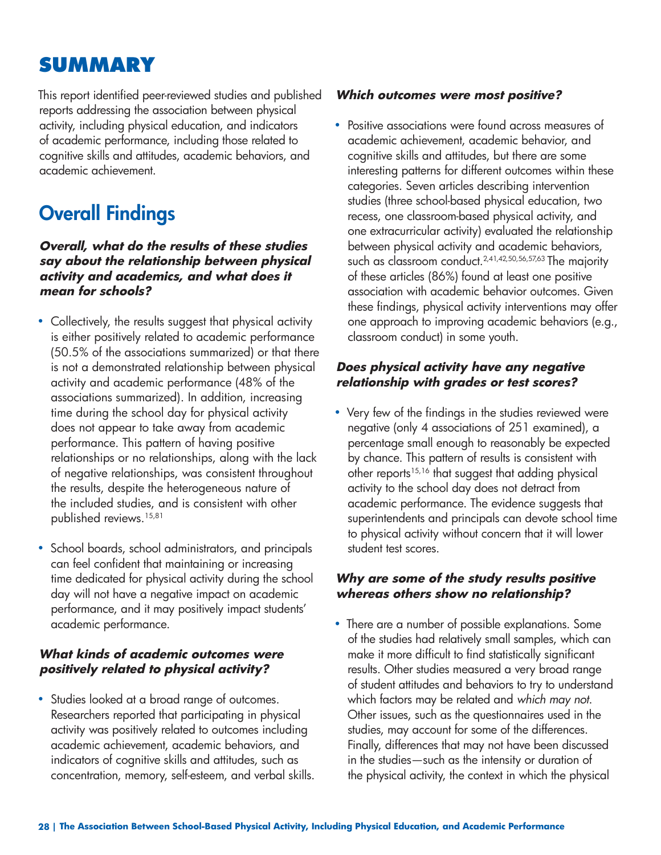## **SUMMARY**

This report identified peer-reviewed studies and published reports addressing the association between physical activity, including physical education, and indicators of academic performance, including those related to cognitive skills and attitudes, academic behaviors, and academic achievement.

# **Overall Findings**

#### **Overall, what do the results of these studies say about the relationship between physical activity and academics, and what does it mean for schools?**

- Collectively, the results suggest that physical activity is either positively related to academic performance (50.5% of the associations summarized) or that there is not a demonstrated relationship between physical activity and academic performance (48% of the associations summarized). In addition, increasing time during the school day for physical activity does not appear to take away from academic performance. This pattern of having positive relationships or no relationships, along with the lack of negative relationships, was consistent throughout the results, despite the heterogeneous nature of the included studies, and is consistent with other published reviews.15,81
- School boards, school administrators, and principals can feel confident that maintaining or increasing time dedicated for physical activity during the school day will not have a negative impact on academic performance, and it may positively impact students' academic performance.

#### **What kinds of academic outcomes were positively related to physical activity?**

• Studies looked at a broad range of outcomes. Researchers reported that participating in physical activity was positively related to outcomes including academic achievement, academic behaviors, and indicators of cognitive skills and attitudes, such as concentration, memory, self-esteem, and verbal skills.

#### **Which outcomes were most positive?**

• Positive associations were found across measures of academic achievement, academic behavior, and cognitive skills and attitudes, but there are some interesting patterns for different outcomes within these categories. Seven articles describing intervention studies (three school-based physical education, two recess, one classroom-based physical activity, and one extracurricular activity) evaluated the relationship between physical activity and academic behaviors, such as classroom conduct.<sup>2,41,42,50,56,57,63</sup> The majority of these articles (86%) found at least one positive association with academic behavior outcomes. Given these findings, physical activity interventions may offer one approach to improving academic behaviors (e.g., classroom conduct) in some youth.

#### **Does physical activity have any negative relationship with grades or test scores?**

• Very few of the findings in the studies reviewed were negative (only 4 associations of 251 examined), a percentage small enough to reasonably be expected by chance. This pattern of results is consistent with other reports $15,16$  that suggest that adding physical activity to the school day does not detract from academic performance. The evidence suggests that superintendents and principals can devote school time to physical activity without concern that it will lower student test scores.

#### **Why are some of the study results positive whereas others show no relationship?**

• There are a number of possible explanations. Some of the studies had relatively small samples, which can make it more difficult to find statistically significant results. Other studies measured a very broad range of student attitudes and behaviors to try to understand which factors may be related and *which may not*. Other issues, such as the questionnaires used in the studies, may account for some of the differences. Finally, differences that may not have been discussed in the studies—such as the intensity or duration of the physical activity, the context in which the physical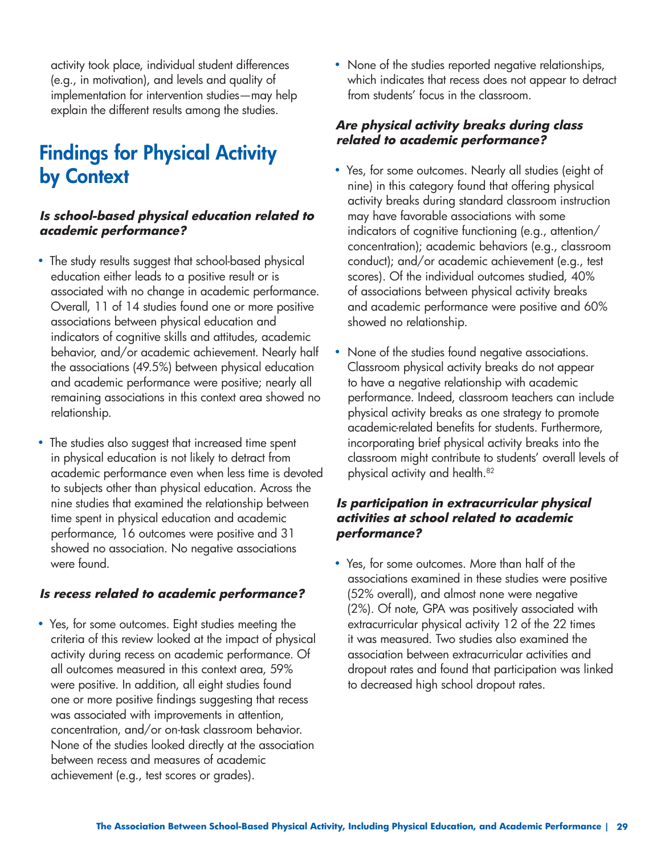activity took place, individual student differences (e.g., in motivation), and levels and quality of implementation for intervention studies—may help explain the different results among the studies.

## **Findings for Physical Activity by Context**

#### **Is school-based physical education related to academic performance?**

- The study results suggest that school-based physical education either leads to a positive result or is associated with no change in academic performance. Overall, 11 of 14 studies found one or more positive associations between physical education and indicators of cognitive skills and attitudes, academic behavior, and/or academic achievement. Nearly half the associations (49.5%) between physical education and academic performance were positive; nearly all remaining associations in this context area showed no relationship.
- The studies also suggest that increased time spent in physical education is not likely to detract from academic performance even when less time is devoted to subjects other than physical education. Across the nine studies that examined the relationship between time spent in physical education and academic performance, 16 outcomes were positive and 31 showed no association. No negative associations were found.

#### **Is recess related to academic performance?**

• Yes, for some outcomes. Eight studies meeting the criteria of this review looked at the impact of physical activity during recess on academic performance. Of all outcomes measured in this context area, 59% were positive. In addition, all eight studies found one or more positive findings suggesting that recess was associated with improvements in attention, concentration, and/or on-task classroom behavior. None of the studies looked directly at the association between recess and measures of academic achievement (e.g., test scores or grades).

• None of the studies reported negative relationships, which indicates that recess does not appear to detract from students' focus in the classroom.

#### **Are physical activity breaks during class related to academic performance?**

- Yes, for some outcomes. Nearly all studies (eight of nine) in this category found that offering physical activity breaks during standard classroom instruction may have favorable associations with some indicators of cognitive functioning (e.g., attention/ concentration); academic behaviors (e.g., classroom conduct); and/or academic achievement (e.g., test scores). Of the individual outcomes studied, 40% of associations between physical activity breaks and academic performance were positive and 60% showed no relationship.
- None of the studies found negative associations. Classroom physical activity breaks do not appear to have a negative relationship with academic performance. Indeed, classroom teachers can include physical activity breaks as one strategy to promote academic-related benefits for students. Furthermore, incorporating brief physical activity breaks into the classroom might contribute to students' overall levels of physical activity and health.<sup>82</sup>

#### **Is participation in extracurricular physical activities at school related to academic performance?**

• Yes, for some outcomes. More than half of the associations examined in these studies were positive (52% overall), and almost none were negative (2%). Of note, GPA was positively associated with extracurricular physical activity 12 of the 22 times it was measured. Two studies also examined the association between extracurricular activities and dropout rates and found that participation was linked to decreased high school dropout rates.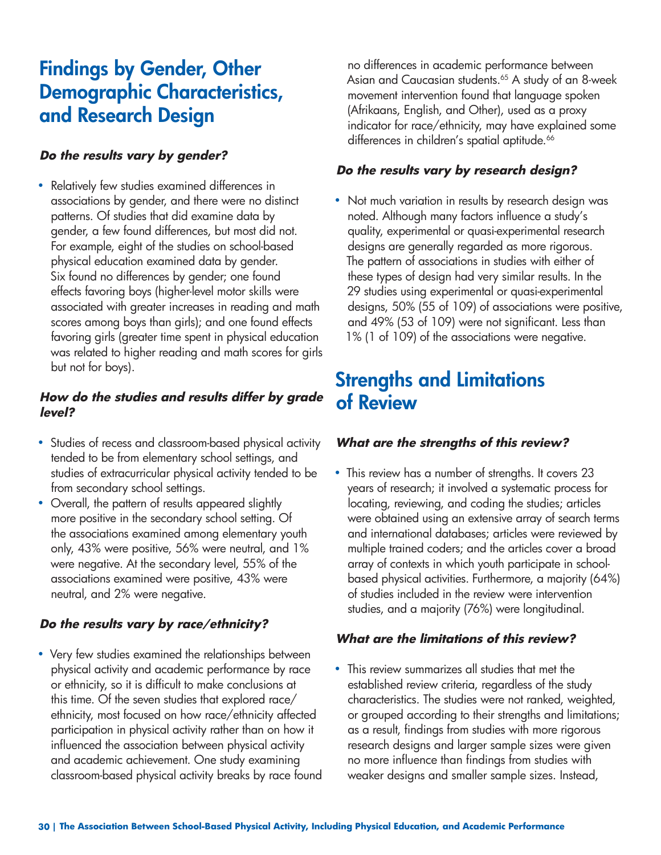## **Findings by Gender, Other Demographic Characteristics, and Research Design**

#### **Do the results vary by gender?**

• Relatively few studies examined differences in associations by gender, and there were no distinct patterns. Of studies that did examine data by gender, a few found differences, but most did not. For example, eight of the studies on school-based physical education examined data by gender. Six found no differences by gender; one found effects favoring boys (higher-level motor skills were associated with greater increases in reading and math scores among boys than girls); and one found effects favoring girls (greater time spent in physical education was related to higher reading and math scores for girls but not for boys).

#### **How do the studies and results differ by grade level?**

- Studies of recess and classroom-based physical activity tended to be from elementary school settings, and studies of extracurricular physical activity tended to be from secondary school settings.
- Overall, the pattern of results appeared slightly more positive in the secondary school setting. Of the associations examined among elementary youth only, 43% were positive, 56% were neutral, and 1% were negative. At the secondary level, 55% of the associations examined were positive, 43% were neutral, and 2% were negative.

#### **Do the results vary by race/ethnicity?**

• Very few studies examined the relationships between physical activity and academic performance by race or ethnicity, so it is difficult to make conclusions at this time. Of the seven studies that explored race/ ethnicity, most focused on how race/ethnicity affected participation in physical activity rather than on how it influenced the association between physical activity and academic achievement. One study examining classroom-based physical activity breaks by race found

no differences in academic performance between Asian and Caucasian students.<sup>65</sup> A study of an 8-week movement intervention found that language spoken (Afrikaans, English, and Other), used as a proxy indicator for race/ethnicity, may have explained some differences in children's spatial aptitude.<sup>66</sup>

#### **Do the results vary by research design?**

• Not much variation in results by research design was noted. Although many factors influence a study's quality, experimental or quasi-experimental research designs are generally regarded as more rigorous. The pattern of associations in studies with either of these types of design had very similar results. In the 29 studies using experimental or quasi-experimental designs, 50% (55 of 109) of associations were positive, and 49% (53 of 109) were not significant. Less than 1% (1 of 109) of the associations were negative.

## **Strengths and Limitations of Review**

#### **What are the strengths of this review?**

• This review has a number of strengths. It covers 23 years of research; it involved a systematic process for locating, reviewing, and coding the studies; articles were obtained using an extensive array of search terms and international databases; articles were reviewed by multiple trained coders; and the articles cover a broad array of contexts in which youth participate in schoolbased physical activities. Furthermore, a majority (64%) of studies included in the review were intervention studies, and a majority (76%) were longitudinal.

#### **What are the limitations of this review?**

• This review summarizes all studies that met the established review criteria, regardless of the study characteristics. The studies were not ranked, weighted, or grouped according to their strengths and limitations; as a result, findings from studies with more rigorous research designs and larger sample sizes were given no more influence than findings from studies with weaker designs and smaller sample sizes. Instead,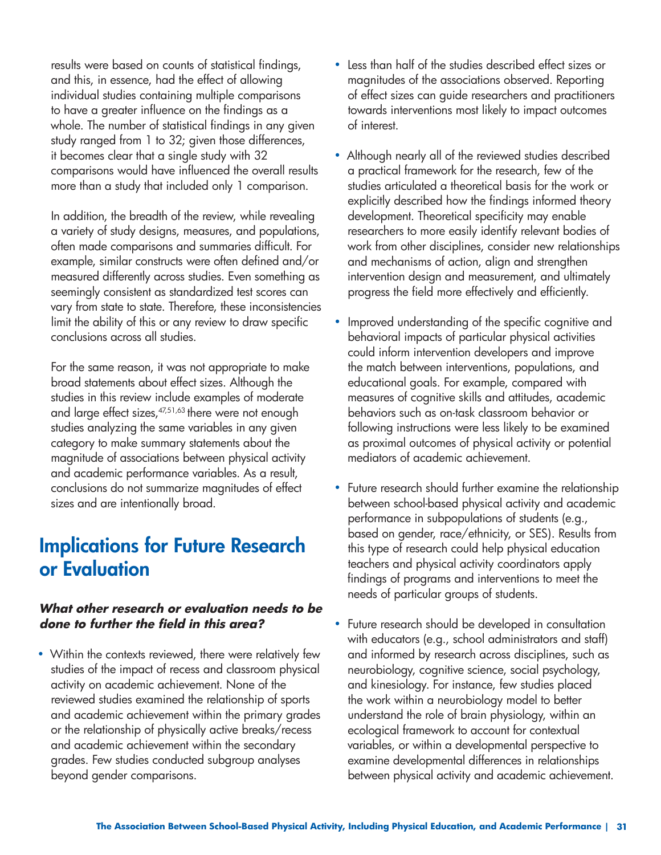results were based on counts of statistical findings, and this, in essence, had the effect of allowing individual studies containing multiple comparisons to have a greater influence on the findings as a whole. The number of statistical findings in any given study ranged from 1 to 32; given those differences, it becomes clear that a single study with 32 comparisons would have influenced the overall results more than a study that included only 1 comparison.

In addition, the breadth of the review, while revealing a variety of study designs, measures, and populations, often made comparisons and summaries difficult. For example, similar constructs were often defined and/or measured differently across studies. Even something as seemingly consistent as standardized test scores can vary from state to state. Therefore, these inconsistencies limit the ability of this or any review to draw specific conclusions across all studies.

For the same reason, it was not appropriate to make broad statements about effect sizes. Although the studies in this review include examples of moderate and large effect sizes, <sup>47,51,63</sup> there were not enough studies analyzing the same variables in any given category to make summary statements about the magnitude of associations between physical activity and academic performance variables. As a result, conclusions do not summarize magnitudes of effect sizes and are intentionally broad.

## **Implications for Future Research or Evaluation**

#### **What other research or evaluation needs to be done to further the field in this area?**

• Within the contexts reviewed, there were relatively few studies of the impact of recess and classroom physical activity on academic achievement. None of the reviewed studies examined the relationship of sports and academic achievement within the primary grades or the relationship of physically active breaks/recess and academic achievement within the secondary grades. Few studies conducted subgroup analyses beyond gender comparisons.

- Less than half of the studies described effect sizes or magnitudes of the associations observed. Reporting of effect sizes can guide researchers and practitioners towards interventions most likely to impact outcomes of interest.
- Although nearly all of the reviewed studies described a practical framework for the research, few of the studies articulated a theoretical basis for the work or explicitly described how the findings informed theory development. Theoretical specificity may enable researchers to more easily identify relevant bodies of work from other disciplines, consider new relationships and mechanisms of action, align and strengthen intervention design and measurement, and ultimately progress the field more effectively and efficiently.
- Improved understanding of the specific cognitive and behavioral impacts of particular physical activities could inform intervention developers and improve the match between interventions, populations, and educational goals. For example, compared with measures of cognitive skills and attitudes, academic behaviors such as on-task classroom behavior or following instructions were less likely to be examined as proximal outcomes of physical activity or potential mediators of academic achievement.
- Future research should further examine the relationship between school-based physical activity and academic performance in subpopulations of students (e.g., based on gender, race/ethnicity, or SES). Results from this type of research could help physical education teachers and physical activity coordinators apply findings of programs and interventions to meet the needs of particular groups of students.
- Future research should be developed in consultation with educators (e.g., school administrators and staff) and informed by research across disciplines, such as neurobiology, cognitive science, social psychology, and kinesiology. For instance, few studies placed the work within a neurobiology model to better understand the role of brain physiology, within an ecological framework to account for contextual variables, or within a developmental perspective to examine developmental differences in relationships between physical activity and academic achievement.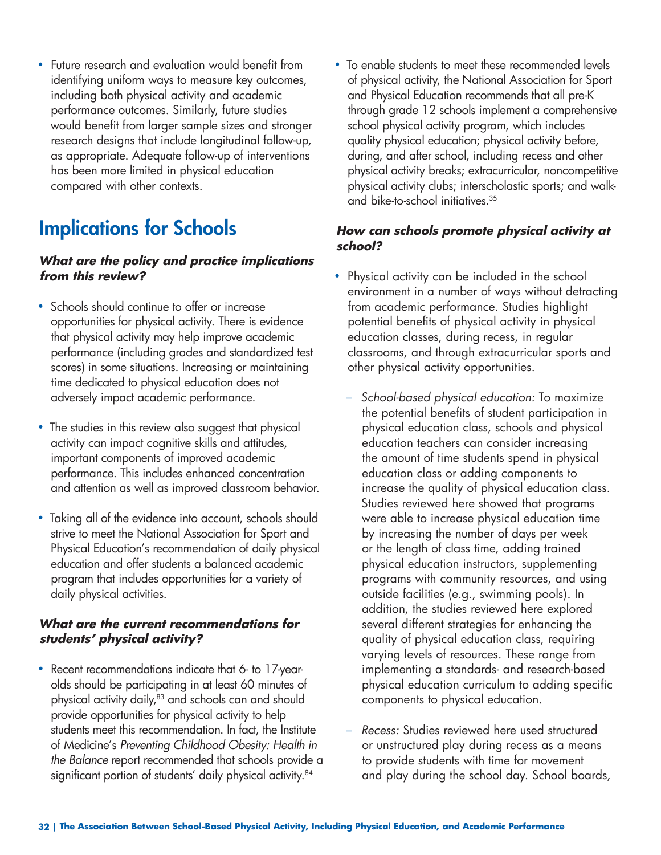• Future research and evaluation would benefit from identifying uniform ways to measure key outcomes, including both physical activity and academic performance outcomes. Similarly, future studies would benefit from larger sample sizes and stronger research designs that include longitudinal follow-up, as appropriate. Adequate follow-up of interventions has been more limited in physical education compared with other contexts.

# **Implications for Schools**

#### **What are the policy and practice implications from this review?**

- Schools should continue to offer or increase opportunities for physical activity. There is evidence that physical activity may help improve academic performance (including grades and standardized test scores) in some situations. Increasing or maintaining time dedicated to physical education does not adversely impact academic performance.
- The studies in this review also suggest that physical activity can impact cognitive skills and attitudes, important components of improved academic performance. This includes enhanced concentration and attention as well as improved classroom behavior.
- Taking all of the evidence into account, schools should strive to meet the National Association for Sport and Physical Education's recommendation of daily physical education and offer students a balanced academic program that includes opportunities for a variety of daily physical activities.

#### **What are the current recommendations for students' physical activity?**

• Recent recommendations indicate that 6- to 17-yearolds should be participating in at least 60 minutes of physical activity daily,<sup>83</sup> and schools can and should provide opportunities for physical activity to help students meet this recommendation. In fact, the Institute of Medicine's *Preventing Childhood Obesity: Health in the Balance* report recommended that schools provide a significant portion of students' daily physical activity.<sup>84</sup>

• To enable students to meet these recommended levels of physical activity, the National Association for Sport and Physical Education recommends that all pre-K through grade 12 schools implement a comprehensive school physical activity program, which includes quality physical education; physical activity before, during, and after school, including recess and other physical activity breaks; extracurricular, noncompetitive physical activity clubs; interscholastic sports; and walkand bike-to-school initiatives.35

#### **How can schools promote physical activity at school?**

- Physical activity can be included in the school environment in a number of ways without detracting from academic performance. Studies highlight potential benefits of physical activity in physical education classes, during recess, in regular classrooms, and through extracurricular sports and other physical activity opportunities.
	- *School-based physical education:* To maximize the potential benefits of student participation in physical education class, schools and physical education teachers can consider increasing the amount of time students spend in physical education class or adding components to increase the quality of physical education class. Studies reviewed here showed that programs were able to increase physical education time by increasing the number of days per week or the length of class time, adding trained physical education instructors, supplementing programs with community resources, and using outside facilities (e.g., swimming pools). In addition, the studies reviewed here explored several different strategies for enhancing the quality of physical education class, requiring varying levels of resources. These range from implementing a standards- and research-based physical education curriculum to adding specific components to physical education.
	- *Recess:* Studies reviewed here used structured or unstructured play during recess as a means to provide students with time for movement and play during the school day. School boards,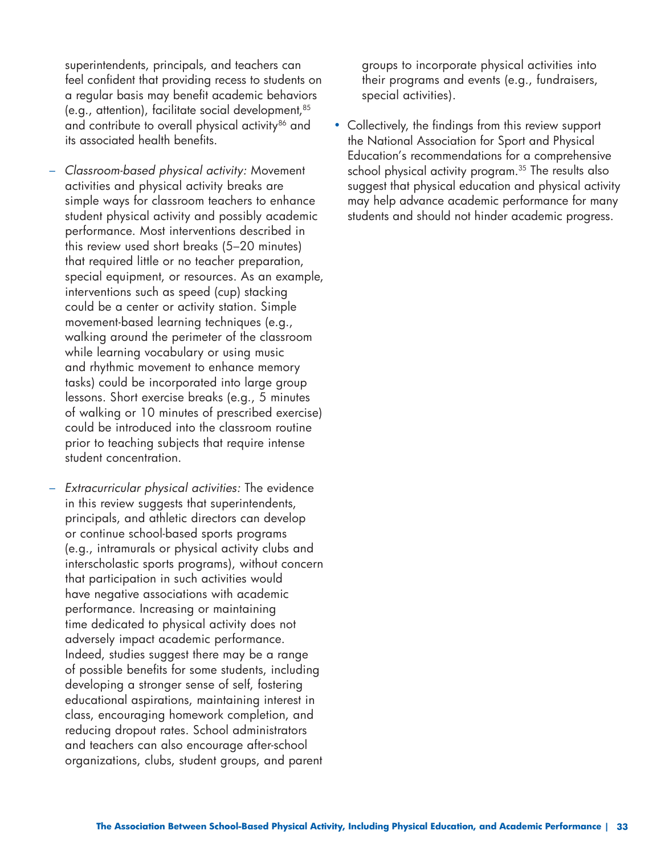superintendents, principals, and teachers can feel confident that providing recess to students on a regular basis may benefit academic behaviors (e.g., attention), facilitate social development,85 and contribute to overall physical activity<sup>86</sup> and its associated health benefits.

- *Classroom-based physical activity:* Movement activities and physical activity breaks are simple ways for classroom teachers to enhance student physical activity and possibly academic performance. Most interventions described in this review used short breaks (5–20 minutes) that required little or no teacher preparation, special equipment, or resources. As an example, interventions such as speed (cup) stacking could be a center or activity station. Simple movement-based learning techniques (e.g., walking around the perimeter of the classroom while learning vocabulary or using music and rhythmic movement to enhance memory tasks) could be incorporated into large group lessons. Short exercise breaks (e.g., 5 minutes of walking or 10 minutes of prescribed exercise) could be introduced into the classroom routine prior to teaching subjects that require intense student concentration.
- *Extracurricular physical activities:* The evidence in this review suggests that superintendents, principals, and athletic directors can develop or continue school-based sports programs (e.g., intramurals or physical activity clubs and interscholastic sports programs), without concern that participation in such activities would have negative associations with academic performance. Increasing or maintaining time dedicated to physical activity does not adversely impact academic performance. Indeed, studies suggest there may be a range of possible benefits for some students, including developing a stronger sense of self, fostering educational aspirations, maintaining interest in class, encouraging homework completion, and reducing dropout rates. School administrators and teachers can also encourage after-school organizations, clubs, student groups, and parent

groups to incorporate physical activities into their programs and events (e.g., fundraisers, special activities).

• Collectively, the findings from this review support the National Association for Sport and Physical Education's recommendations for a comprehensive school physical activity program.<sup>35</sup> The results also suggest that physical education and physical activity may help advance academic performance for many students and should not hinder academic progress.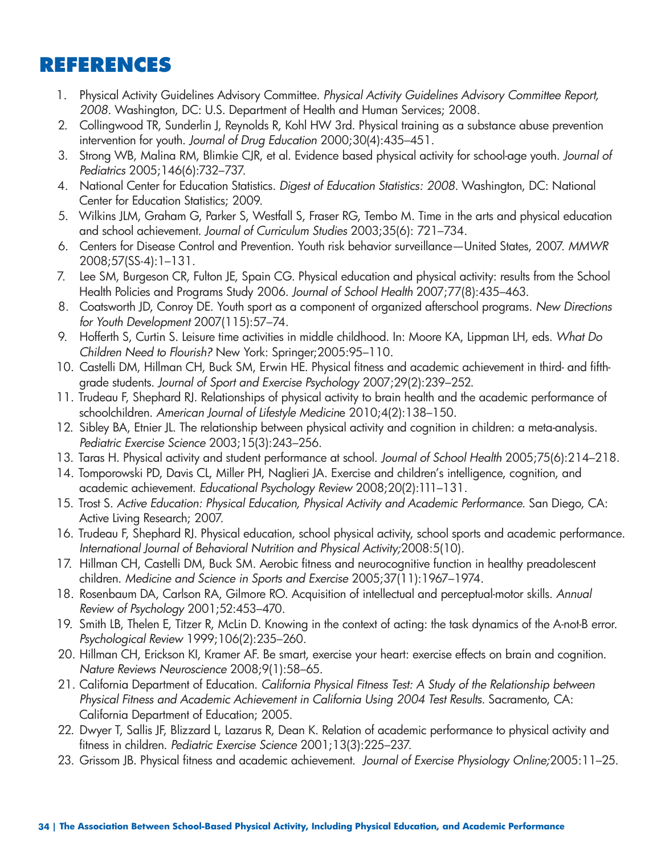## **REFERENCES**

- 1. Physical Activity Guidelines Advisory Committee. *Physical Activity Guidelines Advisory Committee Report, 2008.* Washington, DC: U.S. Department of Health and Human Services; 2008.
- 2. Collingwood TR, Sunderlin J, Reynolds R, Kohl HW 3rd. Physical training as a substance abuse prevention intervention for youth. *Journal of Drug Education* 2000;30(4):435–451.
- 3. Strong WB, Malina RM, Blimkie CJR, et al. Evidence based physical activity for school-age youth. *Journal of Pediatrics* 2005;146(6):732–737.
- 4. National Center for Education Statistics. *Digest of Education Statistics: 2008.* Washington, DC: National Center for Education Statistics; 2009.
- 5. Wilkins JLM, Graham G, Parker S, Westfall S, Fraser RG, Tembo M. Time in the arts and physical education and school achievement. *Journal of Curriculum Studies* 2003;35(6): 721–734.
- 6. Centers for Disease Control and Prevention. Youth risk behavior surveillance—United States, 2007. *MMWR*  2008;57(SS-4):1–131.
- 7. Lee SM, Burgeson CR, Fulton JE, Spain CG. Physical education and physical activity: results from the School Health Policies and Programs Study 2006. *Journal of School Health* 2007;77(8):435–463.
- 8. Coatsworth JD, Conroy DE. Youth sport as a component of organized afterschool programs. *New Directions for Youth Development* 2007(115):57–74.
- 9. Hofferth S, Curtin S. Leisure time activities in middle childhood. In: Moore KA, Lippman LH, eds. *What Do Children Need to Flourish?* New York: Springer;2005:95–110.
- 10. Castelli DM, Hillman CH, Buck SM, Erwin HE. Physical fitness and academic achievement in third- and fifthgrade students. *Journal of Sport and Exercise Psychology* 2007;29(2):239–252.
- 11. Trudeau F, Shephard RJ. Relationships of physical activity to brain health and the academic performance of schoolchildren. *American Journal of Lifestyle Medicin*e 2010;4(2):138–150.
- 12. Sibley BA, Etnier JL. The relationship between physical activity and cognition in children: a meta-analysis. *Pediatric Exercise Science* 2003;15(3):243–256.
- 13. Taras H. Physical activity and student performance at school. *Journal of School Health* 2005;75(6):214–218.
- 14. Tomporowski PD, Davis CL, Miller PH, Naglieri JA. Exercise and children's intelligence, cognition, and academic achievement. *Educational Psychology Review* 2008;20(2):111–131.
- 15. Trost S. *Active Education: Physical Education, Physical Activity and Academic Performance.* San Diego, CA: Active Living Research; 2007.
- 16. Trudeau F, Shephard RJ. Physical education, school physical activity, school sports and academic performance. *International Journal of Behavioral Nutrition and Physical Activity;*2008:5(10).
- 17. Hillman CH, Castelli DM, Buck SM. Aerobic fitness and neurocognitive function in healthy preadolescent children. *Medicine and Science in Sports and Exercise* 2005;37(11):1967–1974.
- 18. Rosenbaum DA, Carlson RA, Gilmore RO. Acquisition of intellectual and perceptual-motor skills. *Annual Review of Psychology* 2001;52:453–470.
- 19. Smith LB, Thelen E, Titzer R, McLin D. Knowing in the context of acting: the task dynamics of the A-not-B error. *Psychological Review* 1999;106(2):235–260.
- 20. Hillman CH, Erickson KI, Kramer AF. Be smart, exercise your heart: exercise effects on brain and cognition. *Nature Reviews Neuroscience* 2008;9(1):58–65.
- 21. California Department of Education. *California Physical Fitness Test: A Study of the Relationship between Physical Fitness and Academic Achievement in California Using 2004 Test Results.* Sacramento, CA: California Department of Education; 2005.
- 22. Dwyer T, Sallis JF, Blizzard L, Lazarus R, Dean K. Relation of academic performance to physical activity and fitness in children. *Pediatric Exercise Science* 2001;13(3):225–237.
- 23. Grissom JB. Physical fitness and academic achievement. *Journal of Exercise Physiology Online;*2005:11–25.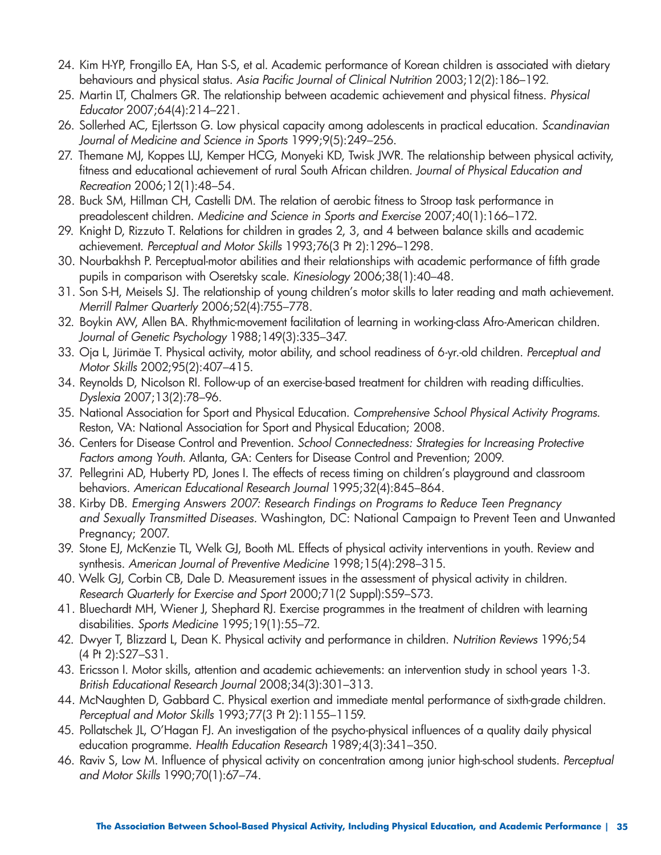- 24. Kim H-YP, Frongillo EA, Han S-S, et al. Academic performance of Korean children is associated with dietary behaviours and physical status. *Asia Pacific Journal of Clinical Nutrition* 2003;12(2):186–192.
- 25. Martin LT, Chalmers GR. The relationship between academic achievement and physical fitness. *Physical Educator* 2007;64(4):214–221.
- 26. Sollerhed AC, Ejlertsson G. Low physical capacity among adolescents in practical education. *Scandinavian Journal of Medicine and Science in Sports* 1999;9(5):249–256.
- 27. Themane MJ, Koppes LLJ, Kemper HCG, Monyeki KD, Twisk JWR. The relationship between physical activity, fitness and educational achievement of rural South African children. *Journal of Physical Education and Recreation* 2006;12(1):48–54.
- 28. Buck SM, Hillman CH, Castelli DM. The relation of aerobic fitness to Stroop task performance in preadolescent children. *Medicine and Science in Sports and Exercise* 2007;40(1):166–172.
- 29. Knight D, Rizzuto T. Relations for children in grades 2, 3, and 4 between balance skills and academic achievement. *Perceptual and Motor Skills* 1993;76(3 Pt 2):1296–1298.
- 30. Nourbakhsh P. Perceptual-motor abilities and their relationships with academic performance of fifth grade pupils in comparison with Oseretsky scale. *Kinesiology* 2006;38(1):40–48.
- 31. Son S-H, Meisels SJ. The relationship of young children's motor skills to later reading and math achievement. *Merrill Palmer Quarterly* 2006;52(4):755–778.
- 32. Boykin AW, Allen BA. Rhythmic-movement facilitation of learning in working-class Afro-American children. *Journal of Genetic Psychology* 1988;149(3):335–347.
- 33. Oja L, Jürimäe T. Physical activity, motor ability, and school readiness of 6-yr.-old children. *Perceptual and Motor Skills* 2002;95(2):407–415.
- 34. Reynolds D, Nicolson RI. Follow-up of an exercise-based treatment for children with reading difficulties. *Dyslexia* 2007;13(2):78–96.
- 35. National Association for Sport and Physical Education. *Comprehensive School Physical Activity Programs.*  Reston, VA: National Association for Sport and Physical Education; 2008.
- 36. Centers for Disease Control and Prevention. *School Connectedness: Strategies for Increasing Protective Factors among Youth.* Atlanta, GA: Centers for Disease Control and Prevention; 2009.
- 37. Pellegrini AD, Huberty PD, Jones I. The effects of recess timing on children's playground and classroom behaviors. *American Educational Research Journal* 1995;32(4):845–864.
- 38. Kirby DB. *Emerging Answers 2007: Research Findings on Programs to Reduce Teen Pregnancy and Sexually Transmitted Diseases.* Washington, DC: National Campaign to Prevent Teen and Unwanted Pregnancy; 2007.
- 39. Stone EJ, McKenzie TL, Welk GJ, Booth ML. Effects of physical activity interventions in youth. Review and synthesis. *American Journal of Preventive Medicine* 1998;15(4):298–315.
- 40. Welk GJ, Corbin CB, Dale D. Measurement issues in the assessment of physical activity in children. *Research Quarterly for Exercise and Sport* 2000;71(2 Suppl):S59–S73.
- 41. Bluechardt MH, Wiener J, Shephard RJ. Exercise programmes in the treatment of children with learning disabilities. *Sports Medicine* 1995;19(1):55–72.
- 42. Dwyer T, Blizzard L, Dean K. Physical activity and performance in children. *Nutrition Reviews* 1996;54 (4 Pt 2):S27–S31.
- 43. Ericsson I. Motor skills, attention and academic achievements: an intervention study in school years 1-3. *British Educational Research Journal* 2008;34(3):301–313.
- 44. McNaughten D, Gabbard C. Physical exertion and immediate mental performance of sixth-grade children. *Perceptual and Motor Skills* 1993;77(3 Pt 2):1155–1159.
- 45. Pollatschek JL, O'Hagan FJ. An investigation of the psycho-physical influences of a quality daily physical education programme. *Health Education Research* 1989;4(3):341–350.
- 46. Raviv S, Low M. Influence of physical activity on concentration among junior high-school students. *Perceptual and Motor Skills* 1990;70(1):67–74.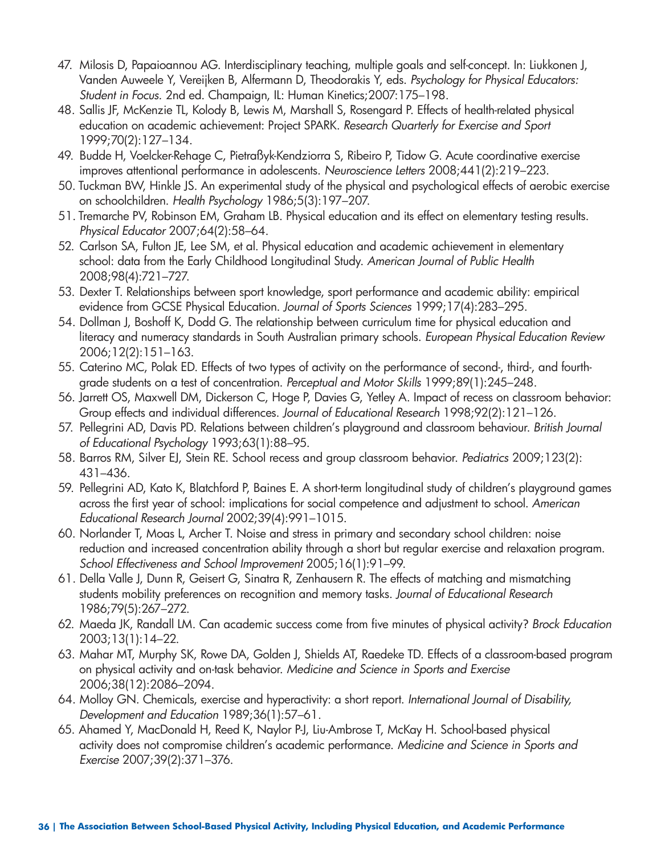- 47. Milosis D, Papaioannou AG. Interdisciplinary teaching, multiple goals and self-concept. In: Liukkonen J, Vanden Auweele Y, Vereijken B, Alfermann D, Theodorakis Y, eds. *Psychology for Physical Educators: Student in Focus.* 2nd ed. Champaign, IL: Human Kinetics;2007:175–198.
- 48. Sallis JF, McKenzie TL, Kolody B, Lewis M, Marshall S, Rosengard P. Effects of health-related physical education on academic achievement: Project SPARK. *Research Quarterly for Exercise and Sport*  1999;70(2):127–134.
- 49. Budde H, Voelcker-Rehage C, Pietraßyk-Kendziorra S, Ribeiro P, Tidow G. Acute coordinative exercise improves attentional performance in adolescents. *Neuroscience Letters* 2008;441(2):219–223.
- 50. Tuckman BW, Hinkle JS. An experimental study of the physical and psychological effects of aerobic exercise on schoolchildren. *Health Psychology* 1986;5(3):197–207.
- 51. Tremarche PV, Robinson EM, Graham LB. Physical education and its effect on elementary testing results. *Physical Educator* 2007;64(2):58–64.
- 52. Carlson SA, Fulton JE, Lee SM, et al. Physical education and academic achievement in elementary school: data from the Early Childhood Longitudinal Study. *American Journal of Public Health*  2008;98(4):721–727.
- 53. Dexter T. Relationships between sport knowledge, sport performance and academic ability: empirical evidence from GCSE Physical Education. *Journal of Sports Sciences* 1999;17(4):283–295.
- 54. Dollman J, Boshoff K, Dodd G. The relationship between curriculum time for physical education and literacy and numeracy standards in South Australian primary schools. *European Physical Education Review*  2006;12(2):151–163.
- 55. Caterino MC, Polak ED. Effects of two types of activity on the performance of second-, third-, and fourthgrade students on a test of concentration. *Perceptual and Motor Skills* 1999;89(1):245–248.
- 56. Jarrett OS, Maxwell DM, Dickerson C, Hoge P, Davies G, Yetley A. Impact of recess on classroom behavior: Group effects and individual differences. *Journal of Educational Research* 1998;92(2):121–126.
- 57. Pellegrini AD, Davis PD. Relations between children's playground and classroom behaviour. *British Journal of Educational Psychology* 1993;63(1):88–95.
- 58. Barros RM, Silver EJ, Stein RE. School recess and group classroom behavior. *Pediatrics* 2009;123(2): 431–436.
- 59. Pellegrini AD, Kato K, Blatchford P, Baines E. A short-term longitudinal study of children's playground games across the first year of school: implications for social competence and adjustment to school. *American Educational Research Journal* 2002;39(4):991–1015.
- 60. Norlander T, Moas L, Archer T. Noise and stress in primary and secondary school children: noise reduction and increased concentration ability through a short but regular exercise and relaxation program. *School Effectiveness and School Improvement* 2005;16(1):91–99.
- 61. Della Valle J, Dunn R, Geisert G, Sinatra R, Zenhausern R. The effects of matching and mismatching students mobility preferences on recognition and memory tasks. *Journal of Educational Research*  1986;79(5):267–272.
- 62. Maeda JK, Randall LM. Can academic success come from five minutes of physical activity? *Brock Education*  2003;13(1):14–22.
- 63. Mahar MT, Murphy SK, Rowe DA, Golden J, Shields AT, Raedeke TD. Effects of a classroom-based program on physical activity and on-task behavior. *Medicine and Science in Sports and Exercise*  2006;38(12):2086–2094.
- 64. Molloy GN. Chemicals, exercise and hyperactivity: a short report. *International Journal of Disability, Development and Education* 1989;36(1):57–61.
- 65. Ahamed Y, MacDonald H, Reed K, Naylor P-J, Liu-Ambrose T, McKay H. School-based physical activity does not compromise children's academic performance. *Medicine and Science in Sports and Exercise* 2007;39(2):371–376.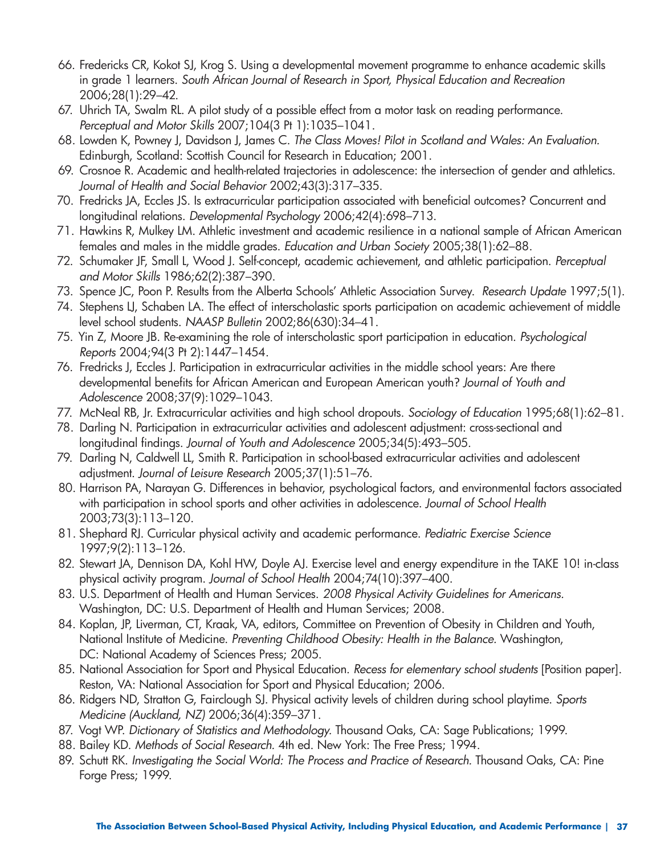- 66. Fredericks CR, Kokot SJ, Krog S. Using a developmental movement programme to enhance academic skills in grade 1 learners. *South African Journal of Research in Sport, Physical Education and Recreation*  2006;28(1):29–42.
- 67. Uhrich TA, Swalm RL. A pilot study of a possible effect from a motor task on reading performance. *Perceptual and Motor Skills* 2007;104(3 Pt 1):1035–1041.
- 68. Lowden K, Powney J, Davidson J, James C. *The Class Moves! Pilot in Scotland and Wales: An Evaluation.*  Edinburgh, Scotland: Scottish Council for Research in Education; 2001.
- 69. Crosnoe R. Academic and health-related trajectories in adolescence: the intersection of gender and athletics. *Journal of Health and Social Behavior* 2002;43(3):317–335.
- 70. Fredricks JA, Eccles JS. Is extracurricular participation associated with beneficial outcomes? Concurrent and longitudinal relations. *Developmental Psychology* 2006;42(4):698–713.
- 71. Hawkins R, Mulkey LM. Athletic investment and academic resilience in a national sample of African American females and males in the middle grades. *Education and Urban Society* 2005;38(1):62–88.
- 72. Schumaker JF, Small L, Wood J. Self-concept, academic achievement, and athletic participation. *Perceptual and Motor Skills* 1986;62(2):387–390.
- 73. Spence JC, Poon P. Results from the Alberta Schools' Athletic Association Survey. *Research Update* 1997;5(1).
- 74. Stephens LJ, Schaben LA. The effect of interscholastic sports participation on academic achievement of middle level school students. *NAASP Bulletin* 2002;86(630):34–41.
- 75. Yin Z, Moore JB. Re-examining the role of interscholastic sport participation in education. *Psychological Reports* 2004;94(3 Pt 2):1447–1454.
- 76. Fredricks J, Eccles J. Participation in extracurricular activities in the middle school years: Are there developmental benefits for African American and European American youth? *Journal of Youth and Adolescence* 2008;37(9):1029–1043.
- 77. McNeal RB, Jr. Extracurricular activities and high school dropouts. *Sociology of Education* 1995;68(1):62–81.
- 78. Darling N. Participation in extracurricular activities and adolescent adjustment: cross-sectional and longitudinal findings. *Journal of Youth and Adolescence* 2005;34(5):493–505.
- 79. Darling N, Caldwell LL, Smith R. Participation in school-based extracurricular activities and adolescent adjustment. *Journal of Leisure Research* 2005;37(1):51–76.
- 80. Harrison PA, Narayan G. Differences in behavior, psychological factors, and environmental factors associated with participation in school sports and other activities in adolescence. *Journal of School Health*  2003;73(3):113–120.
- 81. Shephard RJ. Curricular physical activity and academic performance. *Pediatric Exercise Science*  1997;9(2):113–126.
- 82. Stewart JA, Dennison DA, Kohl HW, Doyle AJ. Exercise level and energy expenditure in the TAKE 10! in-class physical activity program. *Journal of School Health* 2004;74(10):397–400.
- 83. U.S. Department of Health and Human Services. *2008 Physical Activity Guidelines for Americans.*  Washington, DC: U.S. Department of Health and Human Services; 2008.
- 84. Koplan, JP, Liverman, CT, Kraak, VA, editors, Committee on Prevention of Obesity in Children and Youth, National Institute of Medicine. *Preventing Childhood Obesity: Health in the Balance.* Washington, DC: National Academy of Sciences Press; 2005.
- 85. National Association for Sport and Physical Education. *Recess for elementary school students* [Position paper]. Reston, VA: National Association for Sport and Physical Education; 2006.
- 86. Ridgers ND, Stratton G, Fairclough SJ. Physical activity levels of children during school playtime. *Sports Medicine (Auckland, NZ)* 2006;36(4):359–371.
- 87. Vogt WP. *Dictionary of Statistics and Methodology.* Thousand Oaks, CA: Sage Publications; 1999.
- 88. Bailey KD. *Methods of Social Research.* 4th ed. New York: The Free Press; 1994.
- 89. Schutt RK. *Investigating the Social World: The Process and Practice of Research. Thousand Oaks, CA: Pine* Forge Press; 1999.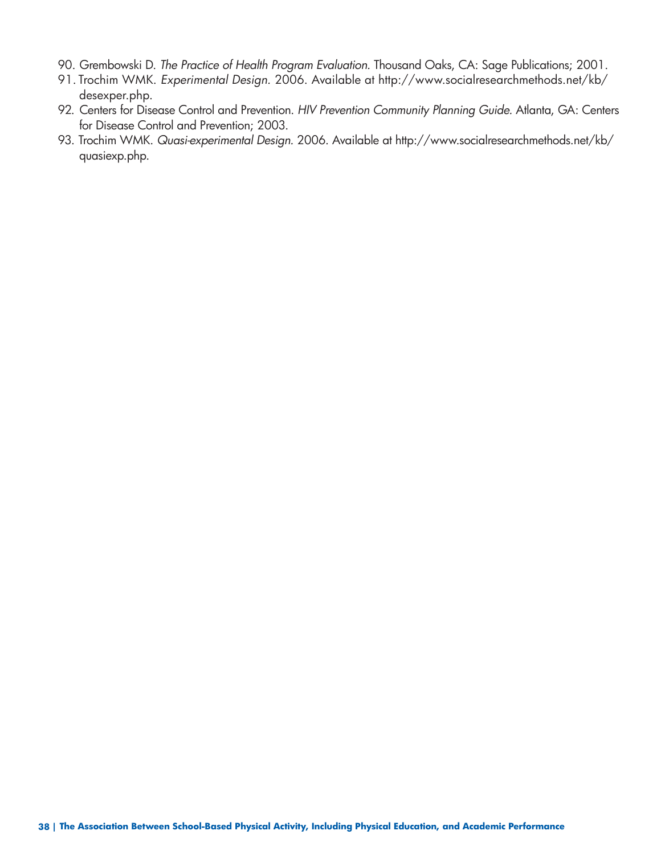- 90. Grembowski D. *The Practice of Health Program Evaluation.* Thousand Oaks, CA: Sage Publications; 2001.
- 91. Trochim WMK. *Experimental Design.* 2006. Available at http://www.socialresearchmethods.net/kb/ desexper.php.
- 92. Centers for Disease Control and Prevention. *HIV Prevention Community Planning Guide.* Atlanta, GA: Centers for Disease Control and Prevention; 2003.
- 93. Trochim WMK. *Quasi-experimental Design.* 2006. Available at http://www.socialresearchmethods.net/kb/ quasiexp.php.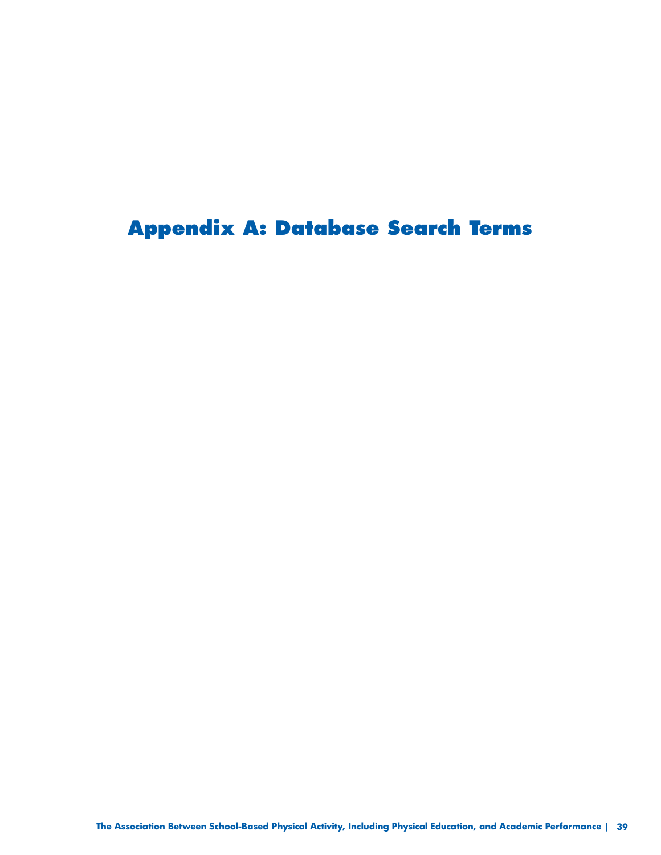**Appendix A: Database Search Terms**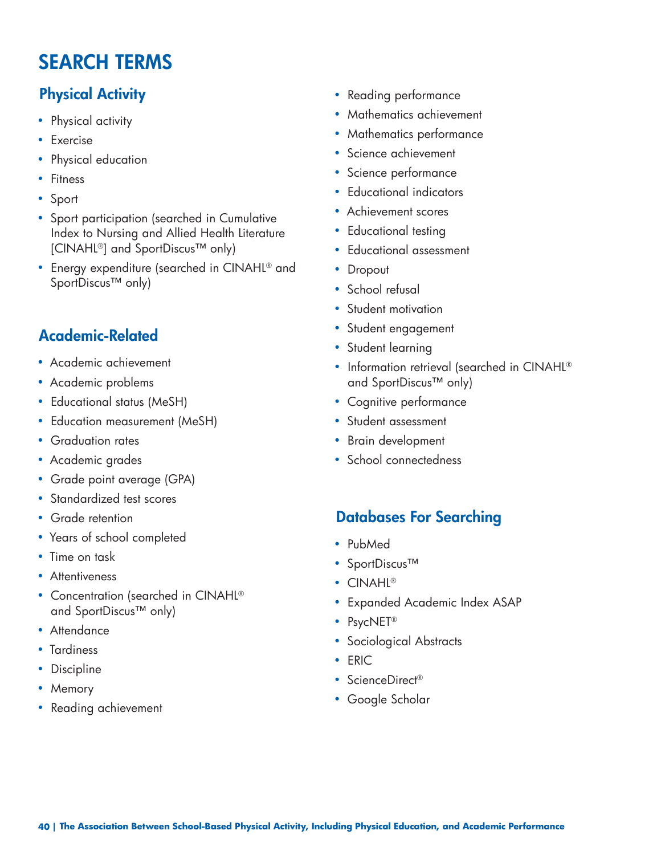### **SEARCH TERMS**

- 
- 
- 
- 
- 
- Achievement scores Sport participation (searched in Cumulative Index to Nursing and Allied Health Literature • Educational testing [CINAHL®] and SportDiscus™ only) • Educational assessment
- Energy expenditure (searched in CINAHL® and Dropout SportDiscus™ only) • School refusal

# • Student engagement **Academic-Related** • Student learning

- 
- 
- Educational status (MeSH) Cognitive performance
- Education measurement (MeSH) Student assessment
- 
- 
- Grade point average (GPA)
- Standardized test scores
- 
- Years of school completed PubMed
- 
- 
- Concentration (searched in CINAHL<sup>®</sup> • Concerniation (searched in CityArtLed and SportDiscus™ only) • Expanded Academic Index ASAP • PsycNET® • PsycNET®
- 
- 
- 
- 
- Memory Google Scholar Reading achievement
- **Physical Activity Reading performance**
- Physical activity  **Physical activity Physical activity Physical activity Physical activity Physical activity Physical activity Physical activity Physical activity Physical activity P**
- Exercise Exercise Exercise Exercise Exercise Exercise Exercise Exercise Exercise Exercise Exercise Exercise Exercise Exercise Exercise Exercise Exercise Exercise Exercise Exercise •
- Science achievement Physical education
- Fitness Fitness Fitness Fitness Fitness Fitness Fitness Fitness Fitness Fitness Fitness Fitness Fitness Fitness Fitness Fitness Fitness Fitness Fitness Fitness Fitness Fitness •
- Educational indicators Sport
	-
	-
	-
	-
	-
	- Student motivation
	-
	-
- Academic achievement ® Information retrieval (searched in CINAHL • Academic problems and SportDiscus™ only)
	-
	-
- Graduation rates Brain development
- Academic grades School connectedness

### • Grade retention **Databases For Searching**

- 
- Time on task SportDiscus™<br>• Attentiveness
	- $CINAHI®$
	-
	-
- Attendance Sociological Abstracts<br>• Tardiness Discipline Sociological Abstracts<br>• Discipline ScienceDirect®
	-
	-
	-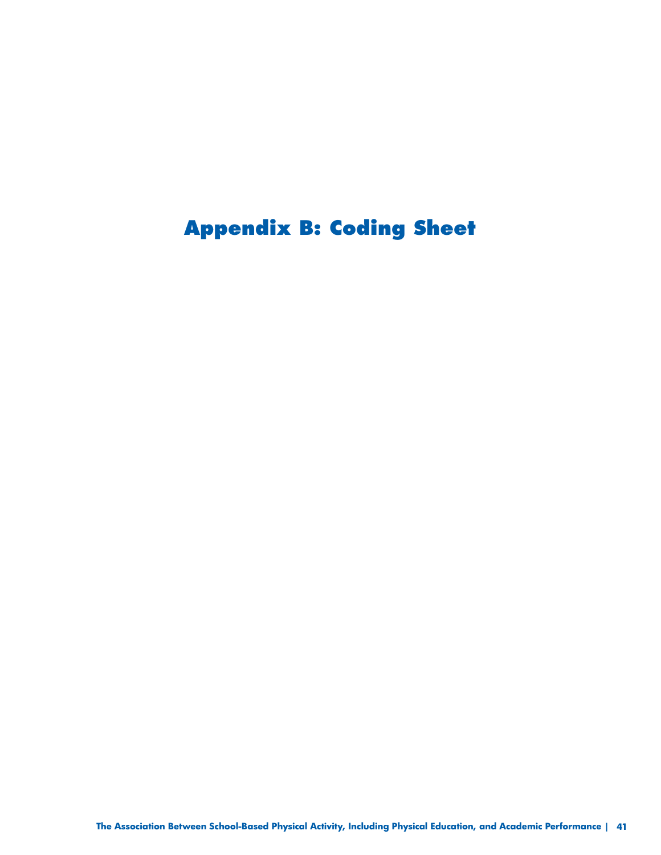## **Appendix B: Coding Sheet**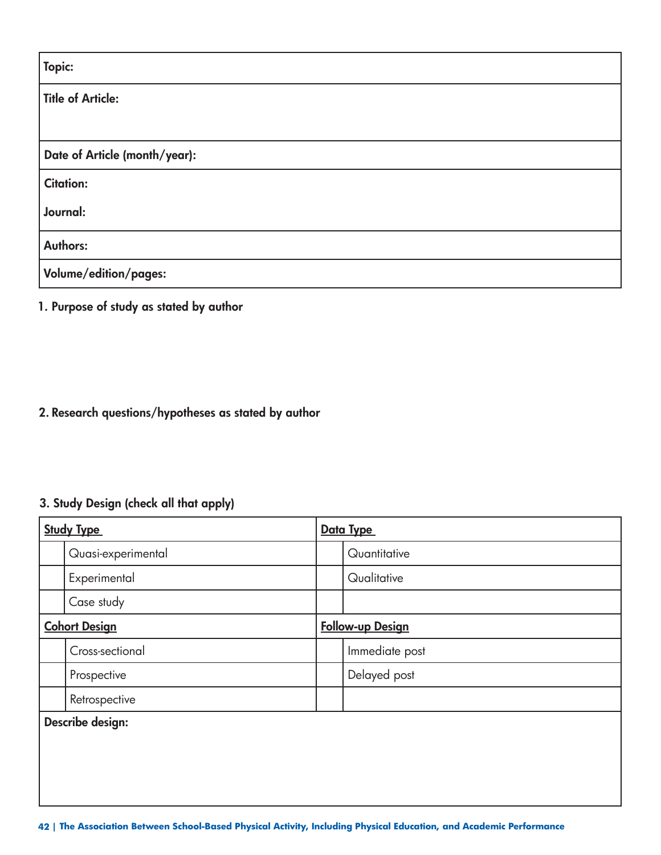| Topic:                        |
|-------------------------------|
| Title of Article:             |
|                               |
| Date of Article (month/year): |
| <b>Citation:</b>              |
| Journal:                      |
| <b>Authors:</b>               |
| Volume/edition/pages:         |

#### **1. Purpose of study as stated by author**

#### **2. Research questions/hypotheses as stated by author**

#### **3. Study Design (check all that apply)**

| <b>Study Type</b>    | Data Type               |
|----------------------|-------------------------|
| Quasi-experimental   | Quantitative            |
| Experimental         | Qualitative             |
| Case study           |                         |
| <b>Cohort Design</b> | <b>Follow-up Design</b> |
| Cross-sectional      | Immediate post          |
| Prospective          | Delayed post            |
| Retrospective        |                         |
| Describe design:     |                         |
|                      |                         |
|                      |                         |
|                      |                         |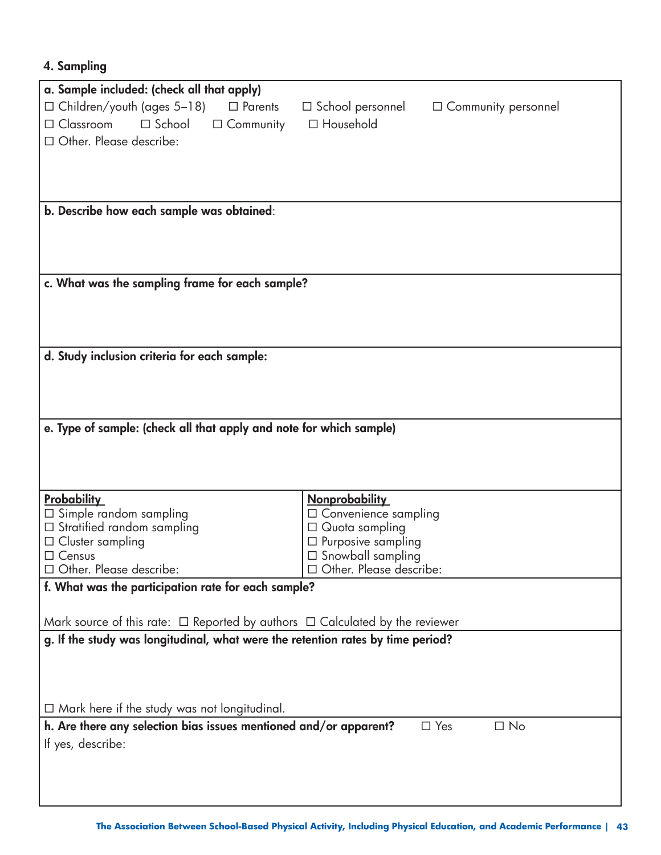#### **4. Sampling**

| a. Sample included: (check all that apply)                                             |                                                       |
|----------------------------------------------------------------------------------------|-------------------------------------------------------|
| $\Box$ Children/youth (ages 5–18)<br>$\Box$ Parents                                    | $\Box$ School personnel<br>$\Box$ Community personnel |
| $\square$ Classroom<br>$\square$ School<br>$\Box$ Community                            | □ Household                                           |
| □ Other. Please describe:                                                              |                                                       |
|                                                                                        |                                                       |
|                                                                                        |                                                       |
|                                                                                        |                                                       |
| b. Describe how each sample was obtained:                                              |                                                       |
|                                                                                        |                                                       |
|                                                                                        |                                                       |
|                                                                                        |                                                       |
| c. What was the sampling frame for each sample?                                        |                                                       |
|                                                                                        |                                                       |
|                                                                                        |                                                       |
|                                                                                        |                                                       |
| d. Study inclusion criteria for each sample:                                           |                                                       |
|                                                                                        |                                                       |
|                                                                                        |                                                       |
|                                                                                        |                                                       |
| e. Type of sample: (check all that apply and note for which sample)                    |                                                       |
|                                                                                        |                                                       |
|                                                                                        |                                                       |
|                                                                                        |                                                       |
| <b>Probability</b>                                                                     | <b>Nonprobability</b>                                 |
| $\Box$ Simple random sampling                                                          | □ Convenience sampling                                |
| $\Box$ Stratified random sampling                                                      | $\Box$ Quota sampling                                 |
| $\Box$ Cluster sampling                                                                | $\square$ Purposive sampling                          |
| $\Box$ Census<br>Other. Please describe:                                               | $\Box$ Snowball sampling<br>Other. Please describe:   |
| f. What was the participation rate for each sample?                                    |                                                       |
|                                                                                        |                                                       |
| Mark source of this rate: $\Box$ Reported by authors $\Box$ Calculated by the reviewer |                                                       |
| g. If the study was longitudinal, what were the retention rates by time period?        |                                                       |
|                                                                                        |                                                       |
|                                                                                        |                                                       |
|                                                                                        |                                                       |
| $\Box$ Mark here if the study was not longitudinal.                                    |                                                       |
| h. Are there any selection bias issues mentioned and/or apparent?                      | $\square$ No<br>$\Box$ Yes                            |
| If yes, describe:                                                                      |                                                       |
|                                                                                        |                                                       |
|                                                                                        |                                                       |
|                                                                                        |                                                       |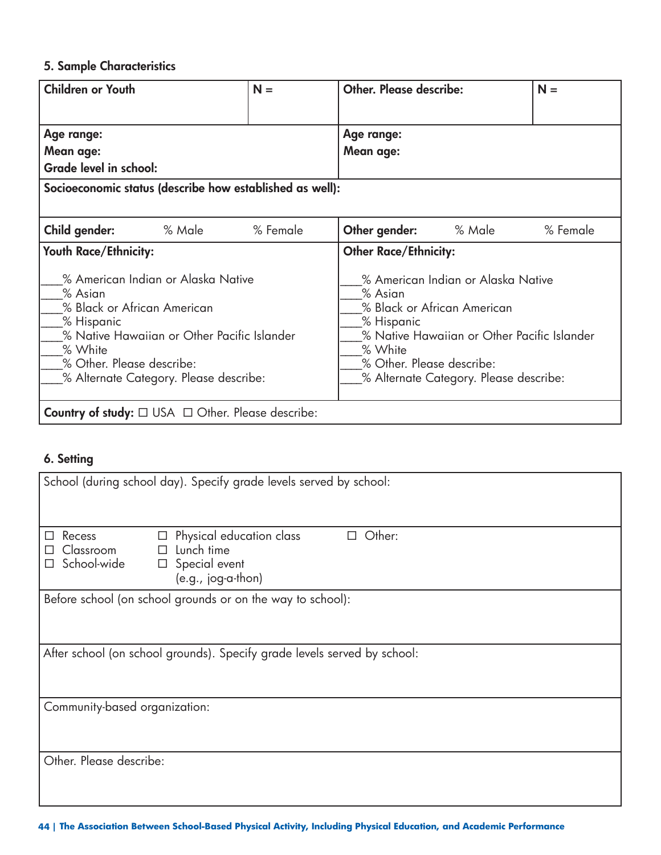#### **5. Sample Characteristics**

| <b>Children or Youth</b>                                                                     |                                                                                                                             | $N =$    | Other. Please describe:                                       |                                                                                                                                                            | $N =$    |
|----------------------------------------------------------------------------------------------|-----------------------------------------------------------------------------------------------------------------------------|----------|---------------------------------------------------------------|------------------------------------------------------------------------------------------------------------------------------------------------------------|----------|
|                                                                                              |                                                                                                                             |          |                                                               |                                                                                                                                                            |          |
| Age range:                                                                                   |                                                                                                                             |          | Age range:                                                    |                                                                                                                                                            |          |
| Mean age:                                                                                    |                                                                                                                             |          | Mean age:                                                     |                                                                                                                                                            |          |
| Grade level in school:                                                                       |                                                                                                                             |          |                                                               |                                                                                                                                                            |          |
| Socioeconomic status (describe how established as well):                                     |                                                                                                                             |          |                                                               |                                                                                                                                                            |          |
|                                                                                              |                                                                                                                             |          |                                                               |                                                                                                                                                            |          |
| Child gender:                                                                                | % Male                                                                                                                      | % Female | Other gender:                                                 | % Male                                                                                                                                                     | % Female |
| Youth Race/Ethnicity:                                                                        |                                                                                                                             |          | <b>Other Race/Ethnicity:</b>                                  |                                                                                                                                                            |          |
| % Asian<br>% Black or African American<br>% Hispanic<br>% White<br>% Other. Please describe: | % American Indian or Alaska Native<br>% Native Hawaiian or Other Pacific Islander<br>% Alternate Category. Please describe: |          | % Asian<br>% Hispanic<br>% White<br>% Other. Please describe: | % American Indian or Alaska Native<br>% Black or African American<br>% Native Hawaiian or Other Pacific Islander<br>% Alternate Category. Please describe: |          |
| <b>Country of study:</b> $\Box$ USA $\Box$ Other. Please describe:                           |                                                                                                                             |          |                                                               |                                                                                                                                                            |          |

#### **6. Setting**

|                                                  | School (during school day). Specify grade levels served by school:       |        |
|--------------------------------------------------|--------------------------------------------------------------------------|--------|
| Recess<br>$\Box$<br>$\Box$ Classroom $\Box$<br>П | Physical education class<br>$\Box$<br>Lunch time                         | Other: |
|                                                  | (e.g., jog-a-thon)                                                       |        |
|                                                  | Before school (on school grounds or on the way to school):               |        |
|                                                  | After school (on school grounds). Specify grade levels served by school: |        |
| Community-based organization:                    |                                                                          |        |
| Other. Please describe:                          |                                                                          |        |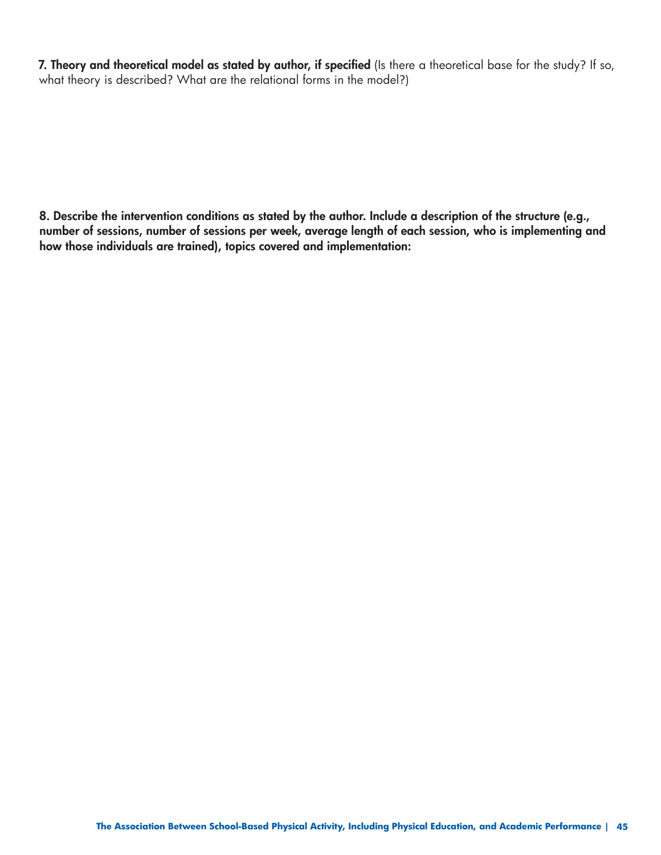**7. Theory and theoretical model as stated by author, if specified** (Is there a theoretical base for the study? If so, what theory is described? What are the relational forms in the model?)

**8. Describe the intervention conditions as stated by the author. Include a description of the structure (e.g., number of sessions, number of sessions per week, average length of each session, who is implementing and how those individuals are trained), topics covered and implementation:**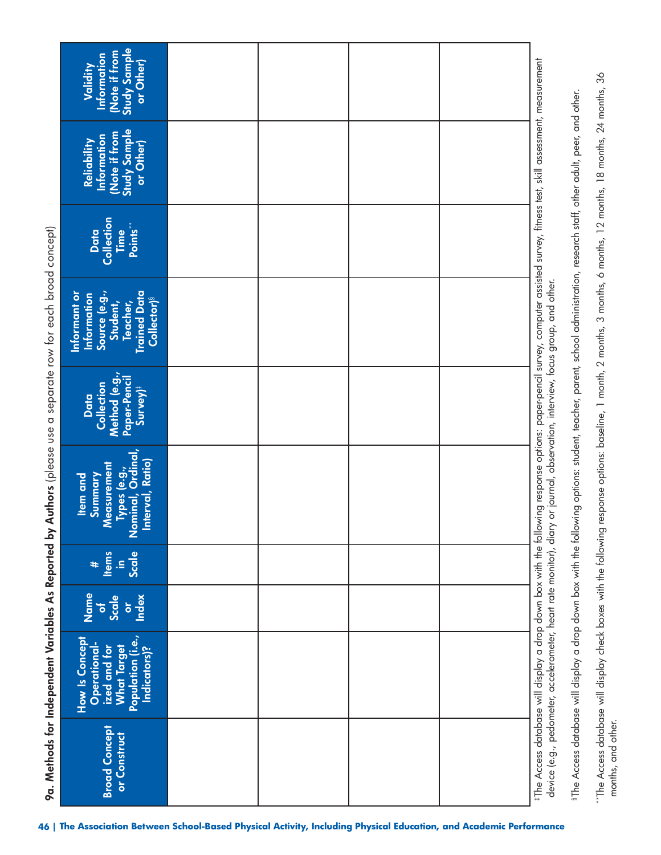| Study Sample<br>Note if from<br>Information<br>or Other)<br>Validity                                                                 |  |  |
|--------------------------------------------------------------------------------------------------------------------------------------|--|--|
| Study Sample<br>Note if from<br>Information<br>Reliability<br>or Other)                                                              |  |  |
| Collection<br>Points**<br>Data<br>Time                                                                                               |  |  |
| Source (e.g.,<br>Student,<br><b>Trained Data</b><br>Informant or<br><b>Information</b><br><b>Collector)</b> <sup>§</sup><br>Teacher, |  |  |
| Method (e.g.,<br>Paper-Pencil<br>Data<br>Collection<br>Survey) <sup>#</sup>                                                          |  |  |
| Types (e.g.,<br>Nominal, Ordinal,<br> Interval, Ratio)<br><b>Measurement</b><br>Summary<br><b>Item and</b>                           |  |  |
| <b>Items</b><br>Scale<br>$\equiv$<br>#                                                                                               |  |  |
| Name<br>Scale<br>Index<br>$\overline{\bullet}$<br>$\overline{\sigma}$                                                                |  |  |
| Population (i.e.,<br>How Is Concept<br><b>What Target</b><br>ized and for<br>Indicators)?<br>Operational                             |  |  |
| <b>Broad Concept</b><br>or Construct                                                                                                 |  |  |

 $``{\sf The Access database will display the box with the following response options: baseline, 1 months, 3 months, 0.2 months, 18 months, 24 months, 36$ "The Access database will display check boxes with the following response options: baseline, 1 month, 2 months, 3 months, 6 months, 12 months, 18 months, 24 months, 36 months, and other. months, and other.

§The Access database will display a drop down box with the following options: student, teacher, parent, school administration, research staff, other adult, peer, and other.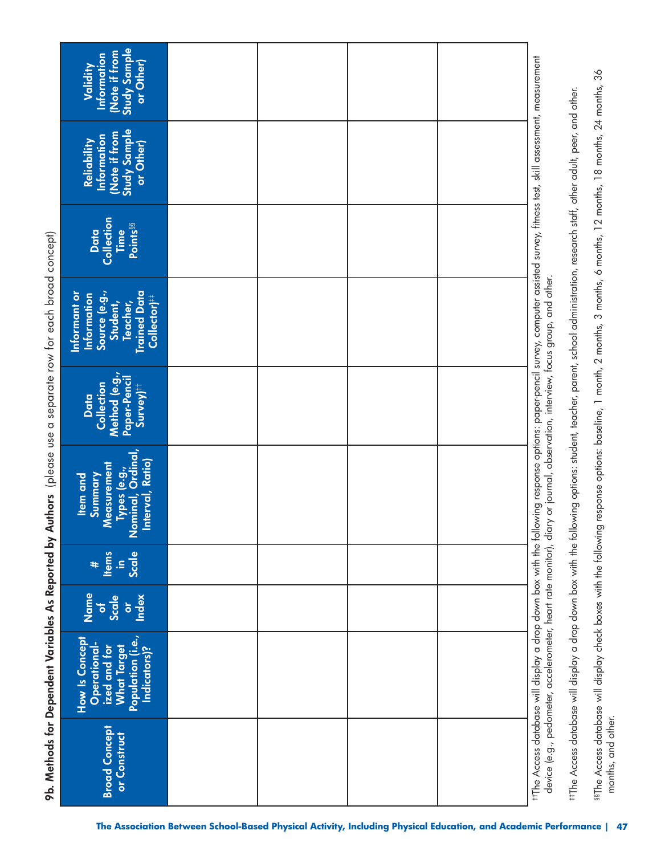| Note if from<br>Study Sample<br>Information<br>or Other)<br>Validity                                            |                                                                                                                |  |                                                                                                                                                                                                                                                                                                                                                                                                                                                                                                      |    |
|-----------------------------------------------------------------------------------------------------------------|----------------------------------------------------------------------------------------------------------------|--|------------------------------------------------------------------------------------------------------------------------------------------------------------------------------------------------------------------------------------------------------------------------------------------------------------------------------------------------------------------------------------------------------------------------------------------------------------------------------------------------------|----|
| Study Sample<br>Note if from<br>Information<br>Reliability<br>or Other)                                         |                                                                                                                |  |                                                                                                                                                                                                                                                                                                                                                                                                                                                                                                      |    |
| Collection<br>Points <sup>§§</sup><br>Data<br>Time                                                              |                                                                                                                |  |                                                                                                                                                                                                                                                                                                                                                                                                                                                                                                      |    |
| <b>Trained Data</b><br>Source (e.g.,<br>Informant or<br>Information<br>Collector)#<br>Student,<br>Teacher,      |                                                                                                                |  | response options: baseline, 1 month, 2 months, 3 months, 6 months, 12 months, 18 months, 24 months, 36                                                                                                                                                                                                                                                                                                                                                                                               |    |
| Method (e.g.,<br>Paper-Pencil<br>Collection<br>$Survey$ <sup>††</sup><br>Data                                   |                                                                                                                |  |                                                                                                                                                                                                                                                                                                                                                                                                                                                                                                      |    |
| Types (e.g.,<br>Nominal, Ordinal,<br> Interval, Ratio)<br><b>Neasurement</b><br>Summary<br><b>Item and</b><br>< |                                                                                                                |  | ttThe Access database will display a drop down box with the following response options: paper-pencil survey, computer assisted survey, fitness test, skill assessment, measurement<br>#The Access database will display a drop down box with the following options: student, teacher, parent, school administration, research staff, other adult, peer, and other.<br>device (e.g., pedometer, accelerometer, heart rate monitor), diary or journal, observation, interview, focus group, and other. |    |
| $\begin{array}{c}\n\text{#} \\ \text{Hems}\n\end{array}$<br>Scale<br>$\equiv$                                   |                                                                                                                |  |                                                                                                                                                                                                                                                                                                                                                                                                                                                                                                      |    |
| Name<br><b>Scale</b><br>Index<br>$\overleftarrow{\mathbf{o}}$<br>p                                              |                                                                                                                |  |                                                                                                                                                                                                                                                                                                                                                                                                                                                                                                      |    |
| What Target<br>Population (i.e.,<br>How Is Concept<br>Operational-<br>ized and for<br>Indicators)?              |                                                                                                                |  | 89The Access database will display check boxes with the following                                                                                                                                                                                                                                                                                                                                                                                                                                    |    |
| <b>Broad Concept</b><br>or Construct                                                                            |                                                                                                                |  | months, and other.                                                                                                                                                                                                                                                                                                                                                                                                                                                                                   |    |
|                                                                                                                 | The Association Between School-Based Physical Activity, Including Physical Education, and Academic Performance |  |                                                                                                                                                                                                                                                                                                                                                                                                                                                                                                      | 47 |

**9b. Methods for Dependent Variables As Reported by Authors** (please use a separate row for each broad concept) 9b. Methods for Dependent Variables As Reported by Authors (please use a separate row for each broad concept)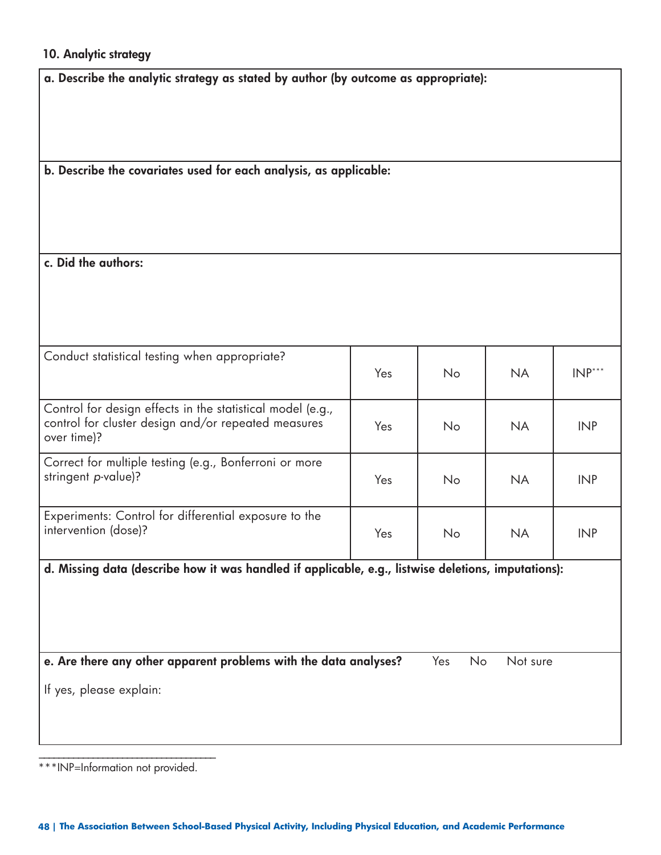#### **10. Analytic strategy**

| a. Describe the analytic strategy as stated by author (by outcome as appropriate):                                               |     |           |           |            |
|----------------------------------------------------------------------------------------------------------------------------------|-----|-----------|-----------|------------|
|                                                                                                                                  |     |           |           |            |
| b. Describe the covariates used for each analysis, as applicable:                                                                |     |           |           |            |
| c. Did the authors:                                                                                                              |     |           |           |            |
|                                                                                                                                  |     |           |           |            |
| Conduct statistical testing when appropriate?                                                                                    | Yes | No        | <b>NA</b> | $INP***$   |
| Control for design effects in the statistical model (e.g.,<br>control for cluster design and/or repeated measures<br>over time)? | Yes | No        | <b>NA</b> | <b>INP</b> |
| Correct for multiple testing (e.g., Bonferroni or more<br>stringent p-value)?                                                    | Yes | No        | <b>NA</b> | <b>INP</b> |
| Experiments: Control for differential exposure to the<br>intervention (dose)?                                                    | Yes | No        | <b>NA</b> | <b>INP</b> |
| d. Missing data (describe how it was handled if applicable, e.g., listwise deletions, imputations):                              |     |           |           |            |
| e. Are there any other apparent problems with the data analyses?                                                                 |     | Yes<br>No | Not sure  |            |
| If yes, please explain:                                                                                                          |     |           |           |            |
|                                                                                                                                  |     |           |           |            |

\*\*\*INP=Information not provided.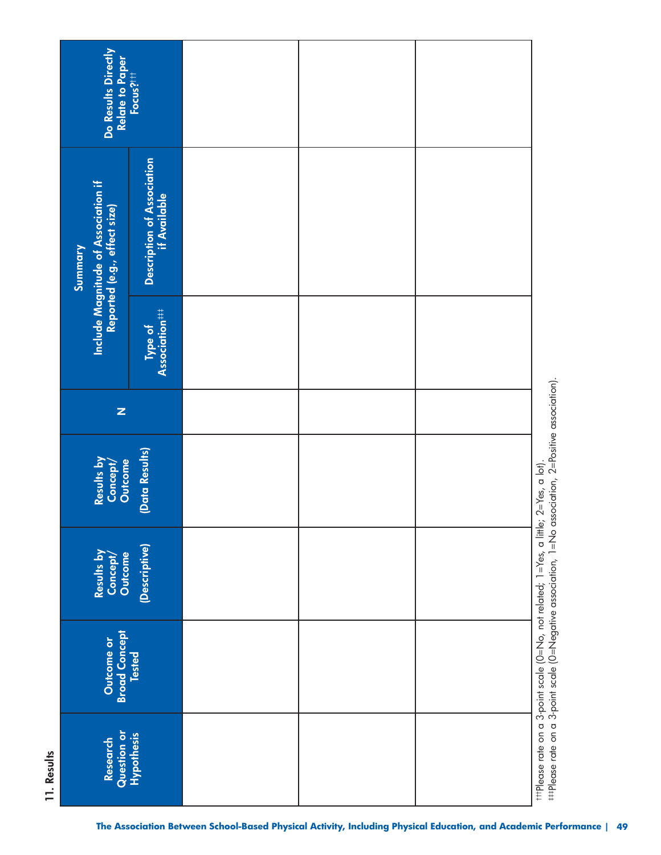| Do Results Directly                                                                   | Relate to Paper<br>Focus?! <sup>  </sup>   |                                                                                                                |  |                                                                                                                                                                                               |
|---------------------------------------------------------------------------------------|--------------------------------------------|----------------------------------------------------------------------------------------------------------------|--|-----------------------------------------------------------------------------------------------------------------------------------------------------------------------------------------------|
| <b>Include Magnitude of Association if</b><br>Reported (e.g., effect size)<br>Summary | Description of Association<br>if Available |                                                                                                                |  |                                                                                                                                                                                               |
|                                                                                       | Association###<br>Type of                  |                                                                                                                |  |                                                                                                                                                                                               |
| $\mathbf{z}$                                                                          |                                            |                                                                                                                |  |                                                                                                                                                                                               |
| Results by<br><b>Outcome</b><br>Concept/                                              | (Data Results)                             |                                                                                                                |  |                                                                                                                                                                                               |
| Results by<br>Outcome<br>Concept,                                                     | (Descriptive)                              |                                                                                                                |  | tttPlease rate on a 3-point scale (O=No, not related; 1=Yes, a little; 2=Yes, a lot).<br>##Please rate on a 3-point scale (O=Negative association, 1=No association, 2=Positive association). |
| <b>Broad Concept</b><br>Outcome or                                                    | <b>Tested</b>                              |                                                                                                                |  |                                                                                                                                                                                               |
| Research                                                                              | Question or<br>Hypothesis                  |                                                                                                                |  |                                                                                                                                                                                               |
|                                                                                       |                                            | The Association Between School-Based Physical Activity, Including Physical Education, and Academic Performance |  |                                                                                                                                                                                               |

11. Results **11. Results**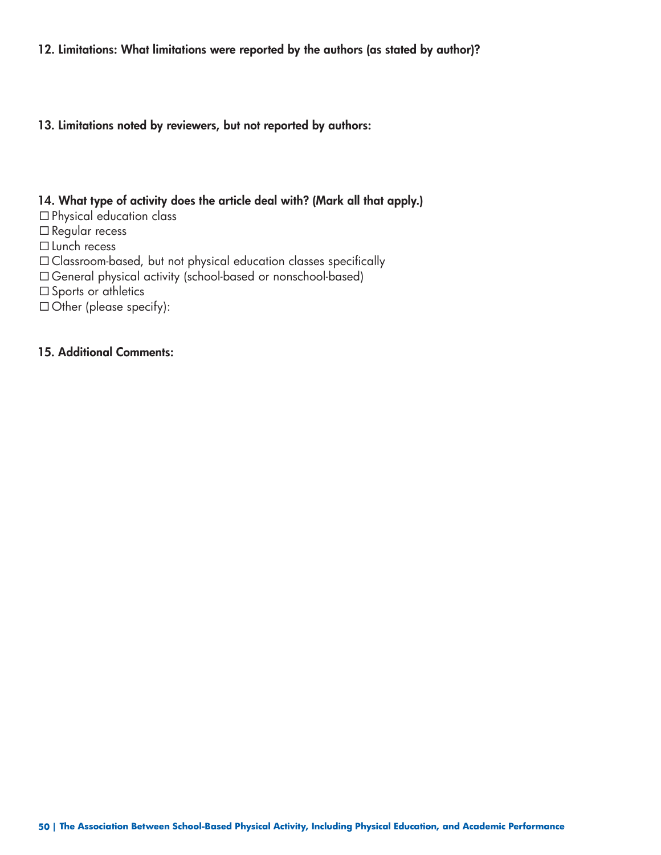#### **12. Limitations: What limitations were reported by the authors (as stated by author)?**

**13. Limitations noted by reviewers, but not reported by authors:** 

#### **14. What type of activity does the article deal with? (Mark all that apply.)**

- Physical education class
- □ Regular recess
- □ Lunch recess
- Classroom-based, but not physical education classes specifically
- General physical activity (school-based or nonschool-based)
- □ Sports or athletics
- $\Box$  Other (please specify):

#### **15. Additional Comments:**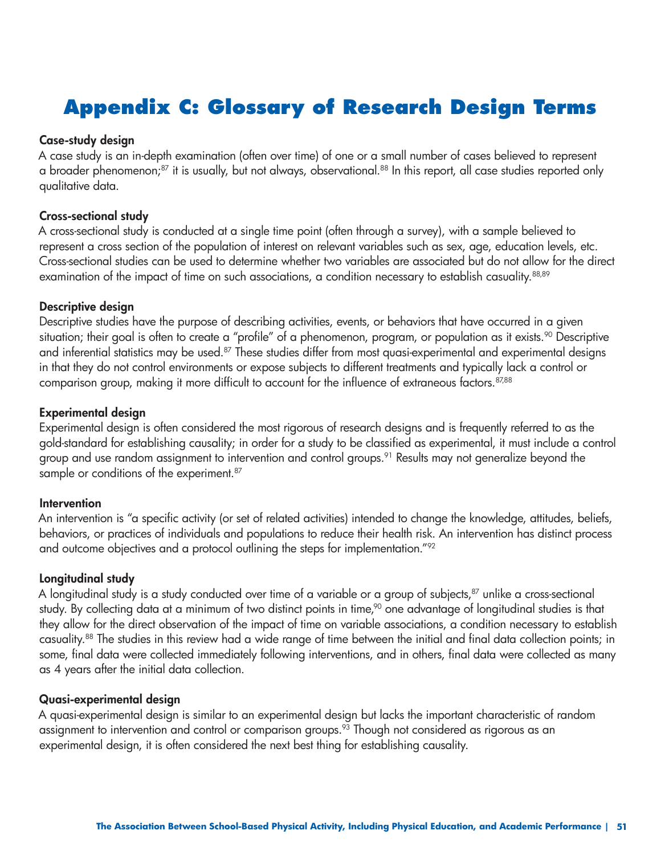### **Appendix C: Glossary of Research Design Terms**

#### **Case-study design**

A case study is an in-depth examination (often over time) of one or a small number of cases believed to represent a broader phenomenon;<sup>87</sup> it is usually, but not always, observational.<sup>88</sup> In this report, all case studies reported only qualitative data.

#### **Cross-sectional study**

A cross-sectional study is conducted at a single time point (often through a survey), with a sample believed to represent a cross section of the population of interest on relevant variables such as sex, age, education levels, etc. Cross-sectional studies can be used to determine whether two variables are associated but do not allow for the direct examination of the impact of time on such associations, a condition necessary to establish casuality.<sup>88,89</sup>

#### **Descriptive design**

Descriptive studies have the purpose of describing activities, events, or behaviors that have occurred in a given situation; their goal is often to create a "profile" of a phenomenon, program, or population as it exists.<sup>90</sup> Descriptive and inferential statistics may be used.<sup>87</sup> These studies differ from most quasi-experimental and experimental designs in that they do not control environments or expose subjects to different treatments and typically lack a control or comparison group, making it more difficult to account for the influence of extraneous factors.<sup>87,88</sup>

#### **Experimental design**

Experimental design is often considered the most rigorous of research designs and is frequently referred to as the gold-standard for establishing causality; in order for a study to be classified as experimental, it must include a control group and use random assignment to intervention and control groups.<sup>91</sup> Results may not generalize beyond the sample or conditions of the experiment.<sup>87</sup>

#### **Intervention**

An intervention is "a specific activity (or set of related activities) intended to change the knowledge, attitudes, beliefs, behaviors, or practices of individuals and populations to reduce their health risk. An intervention has distinct process and outcome objectives and a protocol outlining the steps for implementation."<sup>92</sup>

#### **Longitudinal study**

A longitudinal study is a study conducted over time of a variable or a group of subjects,<sup>87</sup> unlike a cross-sectional study. By collecting data at a minimum of two distinct points in time,<sup>90</sup> one advantage of longitudinal studies is that they allow for the direct observation of the impact of time on variable associations, a condition necessary to establish casuality.88 The studies in this review had a wide range of time between the initial and final data collection points; in some, final data were collected immediately following interventions, and in others, final data were collected as many as 4 years after the initial data collection.

#### **Quasi-experimental design**

A quasi-experimental design is similar to an experimental design but lacks the important characteristic of random assignment to intervention and control or comparison groups.<sup>93</sup> Though not considered as rigorous as an experimental design, it is often considered the next best thing for establishing causality.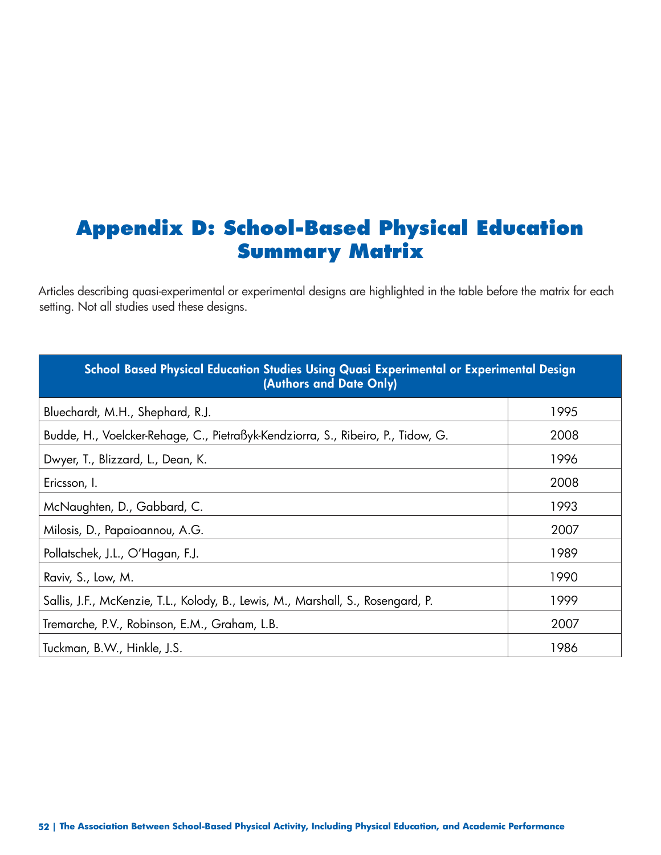### **Appendix D: School-Based Physical Education Summary Matrix**

Articles describing quasi-experimental or experimental designs are highlighted in the table before the matrix for each setting. Not all studies used these designs.

| School Based Physical Education Studies Using Quasi Experimental or Experimental Design<br>(Authors and Date Only) |      |
|--------------------------------------------------------------------------------------------------------------------|------|
| Bluechardt, M.H., Shephard, R.J.                                                                                   | 1995 |
| Budde, H., Voelcker-Rehage, C., Pietraßyk-Kendziorra, S., Ribeiro, P., Tidow, G.                                   | 2008 |
| Dwyer, T., Blizzard, L., Dean, K.                                                                                  | 1996 |
| Ericsson, I.                                                                                                       | 2008 |
| McNaughten, D., Gabbard, C.                                                                                        | 1993 |
| Milosis, D., Papaioannou, A.G.                                                                                     | 2007 |
| Pollatschek, J.L., O'Hagan, F.J.                                                                                   | 1989 |
| Raviv, S., Low, M.                                                                                                 | 1990 |
| Sallis, J.F., McKenzie, T.L., Kolody, B., Lewis, M., Marshall, S., Rosengard, P.                                   | 1999 |
| Tremarche, P.V., Robinson, E.M., Graham, L.B.                                                                      | 2007 |
| Tuckman, B.W., Hinkle, J.S.                                                                                        | 1986 |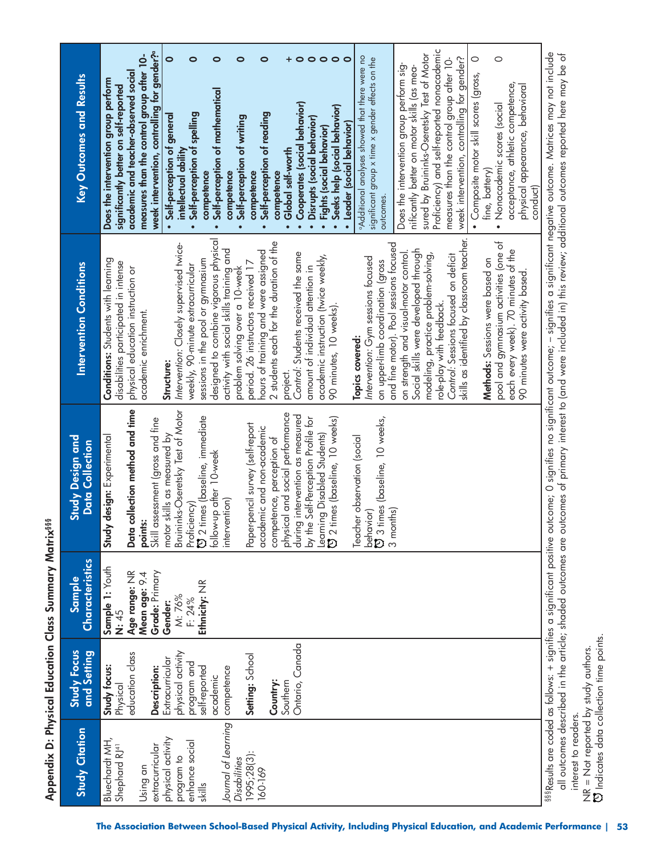Proficiency) and self-reported nonacademic Proficiency) and self-reported nonacademic **week intervention, controlling for gender?a**  sured by Bruininks-Oseretsky Test of Motor week intervention, controlling for gender?<sup>o</sup> sured by Bruininks-Oseretsky Test of Motor measures than the control group after 10aAdditional analyses showed that there were no **measures than the control group after 10- 0 0 0 0 0 + 0 0 0 0 0**  aAdditional analyses showed that there were no week intervention, controlling for gender?  $\circ$  $\circ$ significant group x time x gender effects on the significant group x time x gender effects on the measures than the control group after 10week intervention, controlling for gender? measures than the control group after 10- Does the intervention group perform sig-Does the intervention group perform significantly better on motor skills (as meanificantly better on motor skills (as mea**academic and teacher-observed social**  academic and teacher-observed social • Composite motor skill scores (gross, Study Citation Study Focus Sample Study Design and Intervention Conditions Rey Outcomes and Results<br>Study Citation and Setting Characteristics Data Collection · Composite motor skill scores (gross, Key Outcomes and Results **Does the intervention group perform**  Does the intervention group perform acceptance, athletic competence, physical appearance, behavioral **significantly better on self-reported**  acceptance, athletic competence, physical appearance, behavioral significantly better on self-reported **• Self-perception of mathematical**  Self-perception of mathematical **• Cooperates (social behavior)**  • Nonacademic scores (social **• Seeks help (social behavior)**  • Nonacademic scores (social • Cooperates (social behavior) Seeks help (social behavior) **• Self-perception of general • Self-perception of spelling • Self-perception of reading**  • Self-perception of general Self-perception of reading Self-perception of spelling **• Self-perception of writing • Disrupts (social behavior)**  Self-perception of writing · Disrupts (social behavior) **• Leader (social behavior)**  • Leader (social behavior) **• Fights (social behavior)**  · Fights (social behavior) **intellectual ability • Global self-worth**  intellectual ability · Global self-worth fine, battery) fine, battery) competence **competence competence competence**  competence **competence**  competence competence conduct) outcomes. outcomes. designed to combine vigorous physical skills as identified by classroom teacher. designed to combine vigorous physical skills as identified by classroom teacher. pool and gymnasium activities (one of 2 students each for the duration of the and fine motor). Pool sessions focused pool and gymnasium activities (one of 2 students each for the duration of the Intervention: Closely supervised twice-*Intervention:* Closely supervised twiceand fine motor). Pool sessions focused activity with social skills training and on strength and visual-motor control. Social skills were developed through each every week). 70 minutes of the hours of training and were assigned each every week). 70 minutes of the activity with social skills training and hours of training and were assigned *Control:* Students received the same Social skills were developed through modeling, practice problem-solving, project.<br>Co*ntrol:* Students received the same academic instruction (twice weekly, modeling, practice problem-solving, *Control:* Sessions focused on deficit *Intervention:* Gym sessions focused on strength and visual-motor control Control: Sessions focused on deficit academic instruction (twice weekly, **Conditions:** Students with learning sessions in the pool or gymnasium sessions in the pool or gymnasium Intervention: Gym sessions focused Methods: Sessions were based on **Methods:** Sessions were based on Conditions: Students with learning period. 26 instructors received 17 on upper-limb coordination (gross on upper-limb coordination (gross disabilities participated in intense disabilities participated in intense period. 26 instructors received 17 **Intervention Conditions** weekly, 90-minute extracurricular weekly, 90-minute extracurricular physical education instruction or problem solving over a 10-week amount of individual attention in amount of individual attention in physical education instruction or problem solving over a 10-week 90 minutes were activity based. 90 minutes were activity based. role-play with feedback. 90 minutes, 10 weeks). role-play with feedback. 90 minutes, 10 weeks). academic enrichment. academic enrichment. **Topics covered:**  Topics covered: Structure: **Structure:**  Data collection method and time **Data collection method and time**  Bruininks-Oseretsky Test of Motor Bruininks-Oseretsky Test of Motor physical and social performance physical and social performance during intervention as measured 2 times (baseline, immediate during intervention as measured by the Self-Perception Profile for 2 times (baseline, 10 weeks) 3 times (baseline, 10 weeks, Skill assessment (gross and fine Proficiency)<br>CJ 2 times (baseline, immediate Learning Disabled Students)<br>CJ 2 times (baseline, 10 weeks) **points:**<br>Skill assessment (gross and fine by the Self-Perception Profile for behavior)<br>ひ 3 times (baseline, 10 weeks, Paper-pencil survey (self-report Paper-pencil survey (self-report academic and non-academic academic and non-academic **Study design:** Experimental motor skills as measured by motor skills as measured by Teacher observation (social **Study Design and** Study design: Experimental Learning Disabled Students) Teacher observation (social competence, perception of competence, perception of Data Collection follow-up after 10-week follow-up after 10-week intervention) intervention) 3 months) Characteristics **Sample 1:** Youth Sample 1: Youth **Grade:** Primary Age range: NR **Age range:** NR Mean age: 9.4 **Mean age:** 9.4 Grade: Primary Sample **Ethnicity:** NR Ethnicity: NR M: 76% F: 24% **Gender: N:** 45 Ontario, Canada Ontario, Canada physical activity **Study Focus** and Setting education class education class physical activity **Setting:** School **Extracurricular** Setting: School Extracurricular program and **Study focus:**  program and self-reported Study focus: **Description:**  competence self-reported Description: competence academic academic Physical **Country:**  Southern Journal of Leaming *Journal of Learning*  **Study Citation** Bluechardt MH, physical activity physical activity enhance social Bluechardt MH, enhance social extracurricular Shephard RJ41 extracurricular Shephard RJ<sup>41</sup> 1995;28(3): 1995;28(3): program to program to *Disabilities*  Disabilities Using an 160-169 skills

888Results are coded as follows: + signifies a significant positive outcome; O significant outcome; – signifies a significant negative outcome. Matrices may not include §§§Results are coded as follows: + signifies a significant positive outcome; 0 signifies no significant outcome; – signifies a significant negative outcome. Matrices may not include all outcomes described in the article; shaded outcomes are outcomes of primary interest to (and were included in) this review; additional outcomes reported here may be of all outcomes described in the article; shaded outcomes are outcomes of primary interest to (and were included in) this review; additional outcomes reported here may be of interest to readers. interest to readers.

 Indicates data collection time points. NR = Not reported by study authors.<br>۞ Indicates data collection time points. NR = Not reported by study authors.

**Appendix D: Physical Education Class Summary Matrix§§§**  Appendix D: Physical Education Class Summary Matrix<sup>888</sup>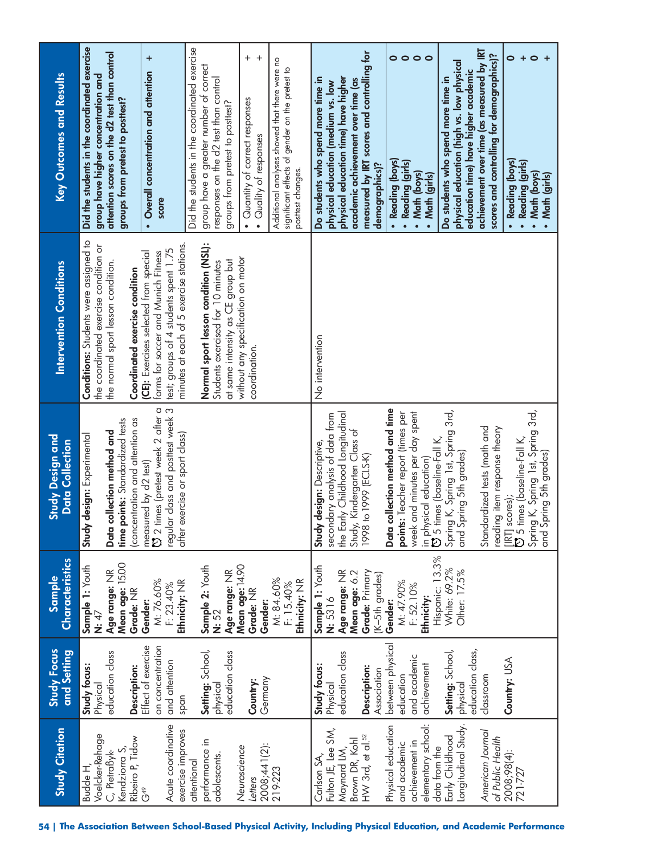| <b>Study Citation</b>                                                             | Study Focus<br>and Setting                                      | Characteristics<br>Sample                                                 | <b>Study Design and</b><br><b>Data Collection</b>                                                                                | <b>Intervention Conditions</b>                                                                                                                                          | <b>Key Outcomes and Results</b>                                                                                                                                         |
|-----------------------------------------------------------------------------------|-----------------------------------------------------------------|---------------------------------------------------------------------------|----------------------------------------------------------------------------------------------------------------------------------|-------------------------------------------------------------------------------------------------------------------------------------------------------------------------|-------------------------------------------------------------------------------------------------------------------------------------------------------------------------|
| Voelcker-Rehage<br>Ribeiro P, Tidow<br>Kendziorra S,<br>C, Pietraßyk-<br>Budde H, | education class<br>Study focus:<br>Description:<br>Physical     | Mean age: 15.00<br>Sample 1: Youth<br>Age range: NR<br>Grade: NR<br>N: 47 | concentration and attention as<br>time points: Standardized tests<br>Data collection method and<br>Study design: Experimental    | <b>Conditions:</b> Students were assigned to<br>the coordinated exercise condition or<br>the normal sport lesson condition.<br>Coordinated exercise condition           | Did the students in the coordinated exercise<br>attention scores on the d2 test than control<br>group have higher concentration and<br>groups from pretest to posttest? |
| Acute coordinative<br>exercise improves<br>G49                                    | on concentration<br>Effect of exercise<br>and attention<br>span | M: 76.60%<br>Ethnicity: NR<br>F: 23.40%<br>Gender:                        | U 2 times (pretest week 2 after a<br>regular class and posttest week 3<br>after exercise or sport class)<br>measured by d2 test) | minutes at each of 5 exercise stations.<br>test; groups of 4 students spent 1.75<br><b>(CE):</b> Exercises selected from special<br>forms for soccer and Munich Fitness | $\ddot{}$<br>• Overall concentration and attention<br>score                                                                                                             |
| performance in<br>adolescents.<br>attentional                                     | Setting: School,<br>education class<br>physical                 | Sample 2: Youth<br>Age range: NR<br>N: 52                                 |                                                                                                                                  | Normal sport lesson condition (NSL):<br>at same intensity as CE group but<br>Students exercised for 10 minutes                                                          | Did the students in the coordinated exercise<br>group have a greater number of correct<br>responses on the d2 test than control<br>groups from pretest to posttest?     |
| 2008;441(2):<br>Neuroscience<br>Letters                                           | Germany<br>Country:                                             | Mean age: 14.90<br>Grade: NR<br>Gender:                                   |                                                                                                                                  | without any specification on motor<br>coordination.                                                                                                                     | $\begin{array}{c} + \end{array}$<br>$^{+}$<br>• Quantity of correct responses<br>· Quality of responses                                                                 |
| 219-223                                                                           |                                                                 | M: 84.60%<br>Ethnicity: NR<br>F: 15.40%                                   |                                                                                                                                  |                                                                                                                                                                         | Additional analyses showed that there were no<br>significant effects of gender on the pretest to<br>posttest changes.                                                   |
| Fulton JE, Lee SM,<br>Carlson SA,                                                 | Study focus:<br>Physical                                        | Sample 1: Youth<br>N: 5316                                                | secondary analysis of data from<br>Study design: Descriptive,                                                                    | No intervention                                                                                                                                                         | Do students who spend more time in<br>physical education (medium vs. low                                                                                                |
| $H W$ 3rd, et al. $52$<br>Brown DR, Kohl<br>Maynard LM,                           | education class<br>Description:                                 | Age range: NR<br>Grade: Primary<br>Mean age: 6.2                          | the Early Childhood Longitudinal<br>Study, Kindergarten Class of<br>1998 to 1999 (ECLS-K)                                        |                                                                                                                                                                         | measured by IRT scores and controlling for<br>physical education time) have higher<br>academic achievement over time (as                                                |
| Physical education                                                                | between physical<br>Association                                 | (K-5th grades)<br>Gender:                                                 | Data collection method and time                                                                                                  |                                                                                                                                                                         | Reading (boys)<br>demographics)?<br>$\bullet$                                                                                                                           |
| elementary school:<br>achievement in<br>and academic                              | and academic<br>achievement<br>education                        | M: 47.90%<br>F: 52.10%<br>Ethnicity:                                      | week and minutes per day spent<br>points: Teacher report (times per<br>in physical education)<br>۞ 5 times (baseline-Fall K,     |                                                                                                                                                                         | $\circ$<br>$\circ$ $\circ$<br>· Reading (girls)<br>• Math (boys)<br>• Math (girls)                                                                                      |
| Longitudinal Study.<br>Early Childhood<br>data from the                           | Setting: School,<br>physical                                    | Hispanic: 13.3%<br>White: 69.2%<br>Other: 17.5%                           | Spring K, Spring 1st, Spring 3rd,<br>and Spring 5th grades)                                                                      |                                                                                                                                                                         | physical education (high vs. low physical<br>education time) have higher academic<br>Do students who spend more time in                                                 |
| American Journal<br>of Public Health                                              | education class,<br>classroom                                   |                                                                           | Standardized tests (math and<br>reading item response theory                                                                     |                                                                                                                                                                         | achievement over time (as measured by IRT<br>scores and controlling for demographics)?                                                                                  |
| 2008;98(4):<br>721-727                                                            | Country: USA                                                    |                                                                           | Spring K, Spring 1st, Spring 3rd,<br>[IRT] scores);<br>© 5 times (baseline-Fall K,<br>Spring 5th grades)<br>and                  |                                                                                                                                                                         | $\circ$<br>$\bullet$<br>$\ddot{}$<br>$+$<br>· Reading (boys)<br>· Reading (girls)<br>• Math (boys)<br>• Math (girls)                                                    |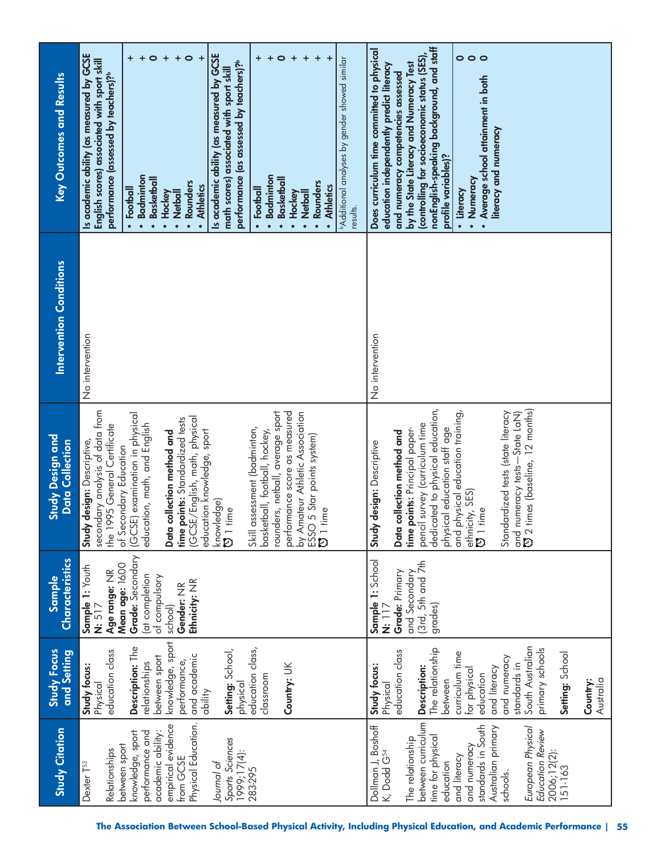| <b>Study Citation</b>                                                                                                                                                                                                                                                                | <b>Study Focus</b><br>and Setting                                                                                                                                                                                                                                             | Characteristics<br>Sample                                                                                                                                      | <b>Study Design and</b><br><b>Data Collection</b>                                                                                                                                                                                                                                                                                                                                                                                                                                                                                                                                         | <b>Intervention Conditions</b> | <b>Key Outcomes and Results</b>                                                                                                                                                                                                                                                                                                                                                                                                                                                                                                                                                                                                                                                                         |
|--------------------------------------------------------------------------------------------------------------------------------------------------------------------------------------------------------------------------------------------------------------------------------------|-------------------------------------------------------------------------------------------------------------------------------------------------------------------------------------------------------------------------------------------------------------------------------|----------------------------------------------------------------------------------------------------------------------------------------------------------------|-------------------------------------------------------------------------------------------------------------------------------------------------------------------------------------------------------------------------------------------------------------------------------------------------------------------------------------------------------------------------------------------------------------------------------------------------------------------------------------------------------------------------------------------------------------------------------------------|--------------------------------|---------------------------------------------------------------------------------------------------------------------------------------------------------------------------------------------------------------------------------------------------------------------------------------------------------------------------------------------------------------------------------------------------------------------------------------------------------------------------------------------------------------------------------------------------------------------------------------------------------------------------------------------------------------------------------------------------------|
| empirical evidence<br>Physical Education.<br>academic ability:<br>knowledge, sport<br>performance and<br>Sports Sciences<br>between sport<br>Relationships<br>1999;17(4):<br>from GCSE<br>Journal of<br>Dexter T <sup>53</sup><br>283-295                                            | knowledge, sport<br>Description: The<br>education class,<br>Setting: School,<br>education class<br>and academic<br>between sport<br>performance,<br>relationships<br>Country: UK<br>Study focus:<br>classroom<br>Physical<br>physical<br>ability                              | Grade: Secondary<br>Mean age: 16.00<br>Sample 1: Youth<br>Age range: NR<br>(at completion<br>of compulsory<br>Ethnicity: NR<br>Gender: NR<br>N: 517<br>school) | secondary analysis of data from<br>the 1995 General Certificate<br>rounders, netball, average sport<br>performance score as measured<br>by Amateur Athletic Association<br>ESSO 5 Star points system)<br><b>[3</b> 1 time<br>(GCSE) examination in physical<br>(GCSE/English, math, physical<br>time points: Standardized tests<br>education, math, and English<br>Skill assessment (badminton,<br>education knowledge, sport<br>Data collection method and<br>basketball, football, hockey,<br>design: Descriptive,<br>of Secondary Education<br>knowledge)<br><b>13</b> 1 time<br>Study | No intervention                | Is academic ability (as measured by GCSE<br>Is academic ability (as measured by GCSE<br>$\bullet$<br>$\ddot{}$<br>$\bullet$<br>$\ddot{}$<br>$+$ $\circ$<br>$\ddot{}$<br>$\ddot{}$<br>$\ddot{}$<br>$\pm$<br>Additional analyses by gender showed similar<br>English scores) associated with sport skill<br>performance (as assessed by teachers)?<br>math scores) associated with sport skill<br>pertormance (assessed by teachers)?<br>Badminton<br>· Badminton<br><b>Basketball</b><br><b>Basketball</b><br>· Rounders<br>· Rounders<br><b>Athletics</b><br>• Athletics<br>• Football<br>• Football<br>· Netball<br>· Netball<br>• Hockey<br>Hockey<br>results.<br>$\bullet$<br>$\bullet$<br>$\bullet$ |
| between curriculum<br>Dollman J, Boshoff<br>K, Dodd G <sup>s4</sup><br>standards in South<br>Australian primary<br>European Physical<br>Education Review<br>time for physical<br>The relationship<br>and numeracy<br>2006;12(2):<br>151-163<br>and literacy<br>education<br>schools. | South Australian<br>primary schools<br>The relationship<br>education class<br>Setting: School<br>curriculum time<br>and numeracy<br>standards in<br>Study focus:<br>Description:<br>for physical<br>and literacy<br>education<br>between<br>Australia<br>Country:<br>Physical | Sample 1: School<br>(3rd, 5th and 7th<br>Grade: Primary<br>and Secondary<br>grades)<br>N: 17                                                                   | dedicated to physical education,<br>and numeracy tests—State LaN)<br>© 2 times (baseline, 12 months)<br>and physical education training,<br>Standardized tests (state literacy<br>pencil survey (curriculum time<br>physical education staff age<br>time points: Principal paper-<br>Data collection method and<br>design: Descriptive<br>ethnicity, SES)<br>$\overline{0}$ 1 time<br>Study                                                                                                                                                                                               | No intervention                | nonEnglish-speaking background, and staff<br>Does curriculum time committed to physical<br>$\circ \circ \circ$<br>(controlling for socioeconomic status (SES)<br>by the State Literacy and Numeracy Test<br>education independently predict literacy<br>and numeracy competencies assessed<br>Average school attainment in both<br>literacy and numeracy<br>profile variables)?<br>· Numeracy<br>· Literacy<br>$\bullet$                                                                                                                                                                                                                                                                                |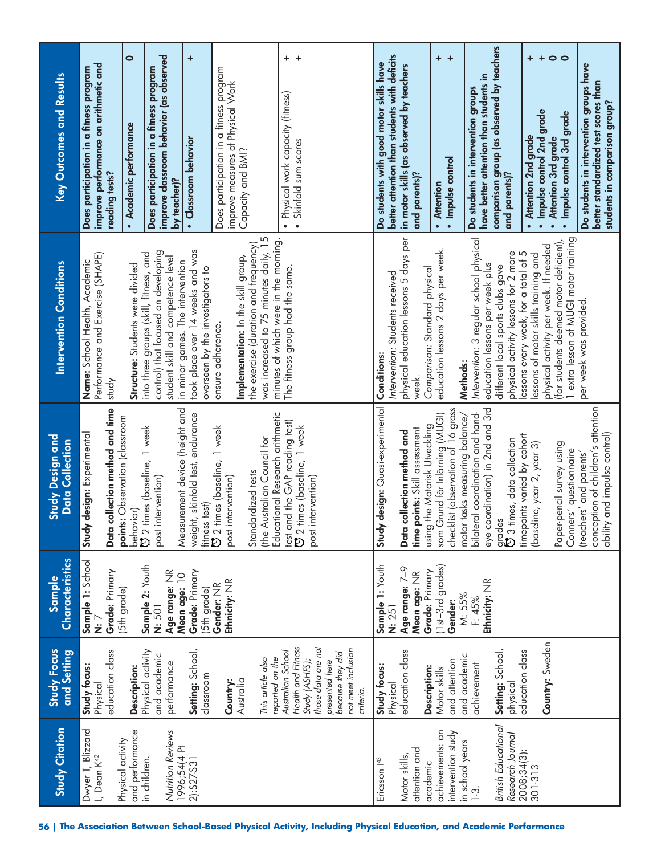| <b>Study Citation</b>                                             | <b>Study Focus</b><br>and Setting                                                           | Characteristics<br>Sample                                  | Study Design and<br><b>Data Collection</b>                                                                                                             | <b>Intervention Conditions</b>                                                                                                                          | <b>Key Outcomes and Results</b>                                                                                  |
|-------------------------------------------------------------------|---------------------------------------------------------------------------------------------|------------------------------------------------------------|--------------------------------------------------------------------------------------------------------------------------------------------------------|---------------------------------------------------------------------------------------------------------------------------------------------------------|------------------------------------------------------------------------------------------------------------------|
| Dwyer T, Blizzard<br>Physical activity<br>L, Dean K <sup>42</sup> | education class<br>Study focus:<br>Physical                                                 | Sample 1: School<br>Grade: Primary<br><br>Ż                | collection method and time<br>points: Observation (classroom<br>design: Experimental<br>Study<br>Data                                                  | Performance and Exercise (SHAPE)<br>Name: School Health, Academic<br>yputs                                                                              | improve performance on arithmetic and<br>Does participation in a fitness program<br>reading tests?               |
| and performance                                                   | Description:                                                                                | (5th grade)                                                | behavior)<br>U 2 times (baseline,                                                                                                                      | Structure: Students were divided                                                                                                                        | $\bullet$<br>Academic performance                                                                                |
| Nutrition Reviews<br>1996;54(4 PH<br>in children.                 | Physical activity<br>and academic<br>performance                                            | Sample 2: Youth<br>Age range: NR<br>Mean age: 10<br>N: 501 | Measurement device (height and<br>1 week<br>post intervention)                                                                                         | control) that focused on developing<br>into three groups (skill, fitness, and<br>student skill and competence level<br>in minor games. The intervention | improve classroom behavior (as observed<br>Does participation in a fitness program<br>by teacher)?               |
| 2):S27-S31                                                        | Setting: School,<br>classroom                                                               | Grade: Primary<br>(5th grade)                              | weight, skinfold test, endurance<br>fitness test)                                                                                                      | took place over 14 weeks and was<br>overseen by the investigators to                                                                                    | $\ddot{}$<br>· Classroom behavior                                                                                |
|                                                                   | This article also<br>Australia<br>Country:                                                  | Ethnicity: NR<br>Gender: NR                                | CJ 2 times (baseline, 1 week<br>Standardized tests<br>post intervention)                                                                               | the exercise (duration and frequency)<br>Implementation: In the skill group,<br>ensure adherence.                                                       | Does participation in a fitness program<br>improve measures of Physical Work<br>Capacity and BMI?                |
|                                                                   | Health and Fitness<br>Australian School<br>reported on the<br>Study (ASHFS);                |                                                            | Educational Research arithmetic<br>test and the GAP reading test)<br>to 2 times (baseline, 1 week<br>(the Australian Council for<br>post intervention) | was increased to 75 minutes daily, 15<br>minutes of which were in the morning.<br>The fitness group had the same.                                       | $+$<br>+<br>Physical work capacity (fitness)<br>Skinfold sum scores<br>$\bullet$<br>$\bullet$                    |
|                                                                   | those data are not<br>not meet inclusion<br>because they did<br>presented here<br>criteria. |                                                            |                                                                                                                                                        |                                                                                                                                                         |                                                                                                                  |
| Ericsson   <sup>43</sup>                                          | Study focus:<br>Physical                                                                    | Sample 1: Youth<br>N: 251                                  | design: Quasi-experimental<br>Study                                                                                                                    | Intervention: Students received<br><b>Conditions:</b>                                                                                                   | better attention than students with deficits<br>Do students with good motor skills have                          |
| attention and<br>Motor skills,<br>academic                        | education class<br>Description:                                                             | Age range: 7-9<br>Grade: Primary<br>Mean age: NR           | using the Motorisk Utveckling<br>time points: Skill assessment<br>collection method and<br>Data                                                        | physical education lessons 5 days per<br>Comparison: Standard physical<br>week.                                                                         | in motor skills (as observed by teachers<br>and parents)?                                                        |
| achievements: an<br>intervention study                            | and attention<br>Motor skills                                                               | (1st-3rd grades)<br>Gender:                                | checklist (observation of 16 gross<br>som Grund för Inläming (MUGI)                                                                                    | education lessons 2 days per week.                                                                                                                      | $\ddot{}$<br>$\ddot{}$<br>· Impulse control<br><b>Attention</b><br>$\bullet$                                     |
| in school years<br>$\frac{3}{2}$                                  | and academic<br>achievement                                                                 | Ethnicity: NR<br>M: 55%<br>F: 45%                          | eye coordination) in 2nd and 3rd<br>bilateral coordination and hand-<br>motor tasks measuring balance/                                                 | Intervention: 3 regular school physical<br>education lessons per week plus<br>Methods:                                                                  | have better attention than students in<br>Do students in intervention groups                                     |
| <b>British Educational</b><br>Research Journal                    | Setting: School,<br>physical                                                                |                                                            | grades<br>O 3 times, data collection                                                                                                                   | physical activity lessons for 2 more<br>different local sports clubs gave                                                                               | comparison group (as observed by teachers<br>and parents)?                                                       |
| 2008;34(3):<br>301-313                                            | Country: Sweden<br>education class                                                          |                                                            | timepoints varied by cohort<br>(baseline, year 2, year 3)                                                                                              | physical activity per week. If needed<br>essons every week, for a total of 5<br>essons of motor skills training and                                     | $\ddot{}$<br>$\ddot{}$<br>· Impulse control 2nd grade<br>Attention 2nd grade<br>$\bullet$                        |
|                                                                   |                                                                                             |                                                            | Paper-pencil survey using<br>Conners' questionnaire                                                                                                    | 1 extra lesson of MUGI motor training<br>(for students deemed motor deficient),                                                                         | $\circ$<br>Impulse control 3rd grade<br>Attention 3rd grade<br>$\bullet$                                         |
|                                                                   |                                                                                             |                                                            | conception of children's attention<br>ability and impulse control)<br>(teachers' and parents'                                                          | per week was provided.                                                                                                                                  | Do students in intervention groups have<br>better standardized test scores than<br>students in comparison group? |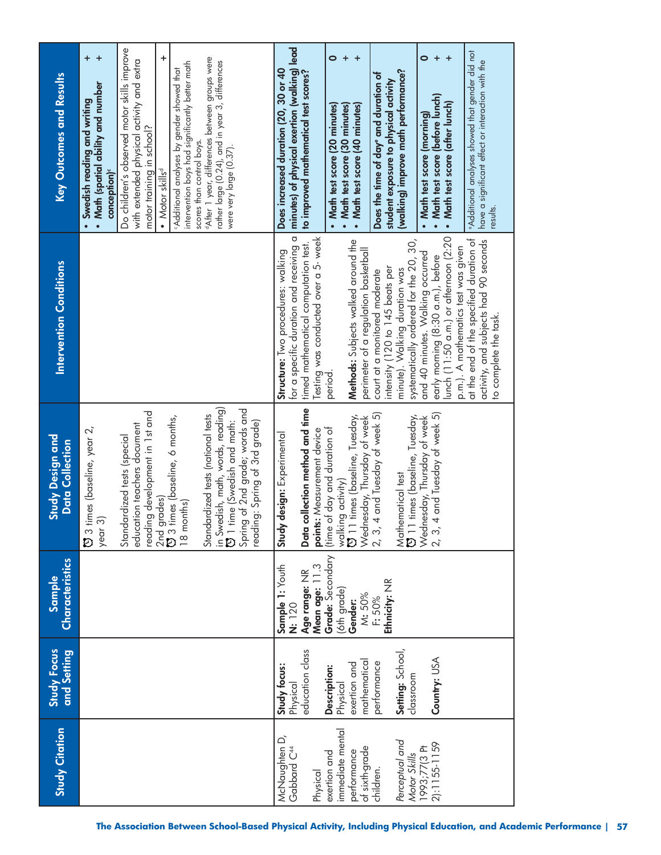| <b>Key Outcomes and Results</b>                   | $\ddot{}$<br>$+$<br>• Math (spatial ability and number    | Do children's observed motor skills improve<br>with extended physical activity and extra     | $\ddot{}$<br>intervention boys had significantly better math<br>Additional analyses by gender showed that | <sup>d</sup> After 1 year, differences between groups were<br>rather large (0.24), and in year 3, differences                                                               | Does increased duration (20, 30 or 40 | minutes) of physical exertion (walking) lead<br>to improved mathematical test scores? |                                      | $\bullet$                        | $\ddot{}$<br>+                                                              | Does the time of day <sup>e</sup> and duration of                     | (walking) improve math performance?<br>student exposure to physical activity |                                          | $\bullet$<br>$\ddot{}$                                                | $\ddot{}$                                                                    | <b>Additional analyses showed that gender did not</b> | have a significant effect or interaction with the              |  |
|---------------------------------------------------|-----------------------------------------------------------|----------------------------------------------------------------------------------------------|-----------------------------------------------------------------------------------------------------------|-----------------------------------------------------------------------------------------------------------------------------------------------------------------------------|---------------------------------------|---------------------------------------------------------------------------------------|--------------------------------------|----------------------------------|-----------------------------------------------------------------------------|-----------------------------------------------------------------------|------------------------------------------------------------------------------|------------------------------------------|-----------------------------------------------------------------------|------------------------------------------------------------------------------|-------------------------------------------------------|----------------------------------------------------------------|--|
|                                                   | · Swedish reading and writing<br>conception) <sup>c</sup> | motor training in school?                                                                    | • Motor skills <sup>d</sup>                                                                               | scores than control boys.<br>were very large (0.37).                                                                                                                        |                                       |                                                                                       |                                      | • Math test score (20 minutes)   | • Math test score (30 minutes)<br>Math test score (40 minutes)<br>$\bullet$ |                                                                       |                                                                              |                                          | • Math test score (before lunch)<br>Math test score (morning)         | Math test score (after lunch)<br>$\bullet$                                   |                                                       | results.                                                       |  |
| <b>Intervention Conditions</b>                    |                                                           |                                                                                              |                                                                                                           |                                                                                                                                                                             | Structure: Two procedures: walking    | σ<br>timed mathematical computation test.<br>for a specific duration and receiving    | Testing was conducted over a 5- week | period.                          | Methods: Subjects walked around the                                         | perimeter of a regulation basketball<br>court at a monitored moderate | intensity (120 to 145 beats per<br>minute). Walking duration was             | systematically ordered for the 20, 30,   | and 40 minutes. Walking occurred<br>early morning (8:30 a.m.), before | lunch (11:50 a.m.) or afternoon (2:20<br>p.m.). A mathematics test was given | at the end of the specified duration of               | activity, and subjects had 90 seconds<br>to complete the task. |  |
| <b>Study Design and</b><br><b>Data Collection</b> | times (baseline, year 2,<br>year 3)<br>$\tilde{D}$        | reading development in 1st and<br>education teachers document<br>Standardized tests (special | 2nd grades)<br>び 3 times (baseline, 6 months,<br>18 months)                                               | in Swedish, math, words, reading)<br>[3] 1 time (Swedish and math:<br>Spring of 2nd grade; words and<br>Standardized tests (national tests<br>reading: Spring of 3rd grade) | Study design: Experimental            | Data collection method and time                                                       | points: Measurement device           | (time of day and duration of     | times (baseline, Tuesday,<br>walking activity)<br>[3] 11 times (base        | 4 and Tuesday of week 5)<br>Wednesday, Thursday of week<br>2, 3,      | Mathematical test                                                            | 1 times (baseline, Tuesday,<br>$\bar{5}$ | 4 and Tuesday of week 5)<br>Wednesday, Thursday of week<br>2, 3,      |                                                                              |                                                       |                                                                |  |
| Characteristics<br>Sample                         |                                                           |                                                                                              |                                                                                                           |                                                                                                                                                                             | Sample 1: Youth<br>N: 120             | Age range: NR                                                                         | Mean age: 11.3                       | Grade: Secondary<br>(6th grade)  | Gender:                                                                     | M: 50%<br>F: 50%                                                      | Ethnicity: NR                                                                |                                          |                                                                       |                                                                              |                                                       |                                                                |  |
| <b>Study Focus</b><br>and Setting                 |                                                           |                                                                                              |                                                                                                           |                                                                                                                                                                             | Study focus:                          | education class<br>Physical                                                           |                                      | Description:                     | exertion and<br>Physical                                                    | mathematical<br>performance                                           | Setting: School,                                                             | classroom                                | Country: USA                                                          |                                                                              |                                                       |                                                                |  |
| <b>Study Citation</b>                             |                                                           |                                                                                              |                                                                                                           |                                                                                                                                                                             | McNaughten D,                         | Gabbard C <sup>44</sup>                                                               | Physical                             | immediate mental<br>exertion and | performance                                                                 | of sixth-grade<br>children.                                           | Perceptual and                                                               | Motor Skills<br>1993;77(3 Pt             | 2):1155-1159                                                          |                                                                              |                                                       |                                                                |  |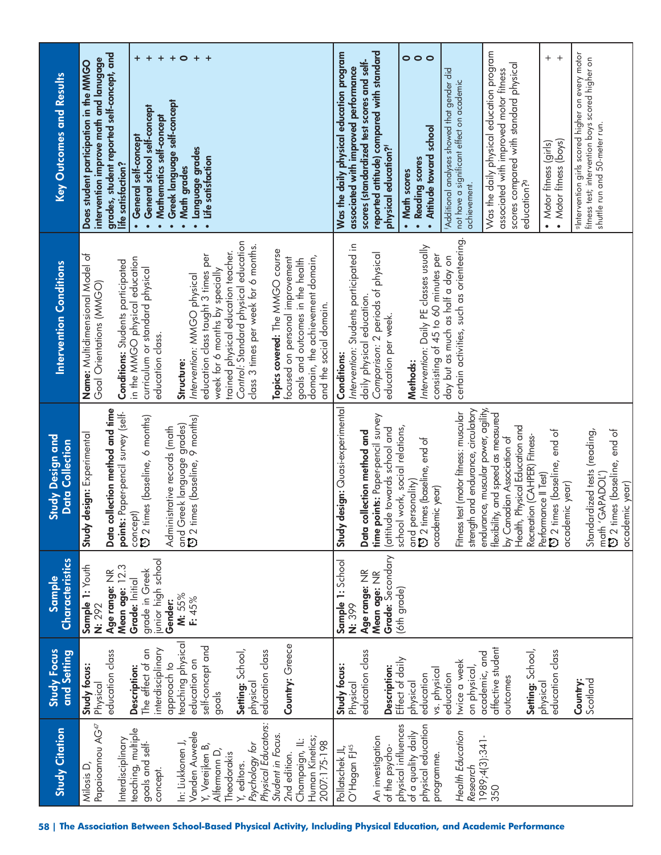| <b>Study Citation</b>                                                                | Study Focus<br>and Setting                                  | <b>Characteristics</b><br>Sample                                               | Study Design and<br><b>Data Collection</b>                                                                                             | <b>Intervention Conditions</b>                                                                                                                        | <b>Key Outcomes and Results</b>                                                                                                                                                                  |
|--------------------------------------------------------------------------------------|-------------------------------------------------------------|--------------------------------------------------------------------------------|----------------------------------------------------------------------------------------------------------------------------------------|-------------------------------------------------------------------------------------------------------------------------------------------------------|--------------------------------------------------------------------------------------------------------------------------------------------------------------------------------------------------|
| Papaioannou AG <sup>47</sup><br>teaching, multiple<br>Interdisciplinary<br>Milosis D | education class<br>Study focus:<br>Description:<br>Physical | Mean age: 12.3<br>Sample 1: Youth<br>Age range: NR<br>Grade: Initial<br>N: 292 | collection method and time<br>points: Paper-pencil survey (self-<br>Study design: Experimental<br>concept)<br><b>D</b> 2 times<br>Data | Name: Multidimensional Model of<br>in the MMGO physical education<br><b>Conditions:</b> Students participated<br>Goal Orientations (MMGO)             | grades, student reported self-concept, and<br>$+$<br>intervention improve math and lanugage<br>Does student participation in the MMGO<br>General self-concept<br>life satisfaction?<br>$\bullet$ |
| goals and self-<br>concept.                                                          | interdisciplinary<br>The effect of an<br>approach to        | junior high school<br>grade in Greek<br>Gender:                                | times (baseline, 6 months)<br>Administrative records (math                                                                             | curriculum or standard physical<br>education class.                                                                                                   | $\ddot{}$<br>$\boldsymbol{+}$<br>$+$<br>Greek language self-concept<br>General school self-concept<br>Mathematics self-concept<br>$\bullet$<br>$\bullet$<br>$\bullet$                            |
| Vanden Auweele<br>In: Liukkonen J,<br>Y, Vereijken B,                                | teaching physical<br>self-concept and<br>education on       | M: 55%<br>F: 45%                                                               | and Greek language grades)<br>[3] 2 times (baseline, 9 months)                                                                         | education class taught 3 times per<br>Intervention: MMGO physical<br>Structure:                                                                       | $\circ$<br>$\ddot{}$<br>$+$<br>Language grades<br>Life satisfaction<br>Math grades<br>$\bullet$<br>$\bullet$<br>$\bullet$                                                                        |
| Psychology for<br>Alfermann D,<br>Theodorakis<br>Y, editors.                         | Setting: School,<br>physical<br>goals                       |                                                                                |                                                                                                                                        | Control: Standard physical education<br>class 3 times per week for 6 months.<br>trained physical education teacher.<br>week for 6 months by specially |                                                                                                                                                                                                  |
| Physical Educators<br>Student in Focus<br>2nd edition.                               | Country: Greece<br>education class                          |                                                                                |                                                                                                                                        | Topics covered: The MMGO course<br>focused on personal improvement                                                                                    |                                                                                                                                                                                                  |
| Human Kinetics;<br>Champaign, IL:<br>2007:175-198                                    |                                                             |                                                                                |                                                                                                                                        | domain, the achievement domain,<br>goals and outcomes in the health<br>and the social domain.                                                         |                                                                                                                                                                                                  |
| O'Hagan FJ <sup>45</sup><br>Pollatschek JL,                                          | Study focus:<br>Physical                                    | Sample 1: School<br>N: 399                                                     | design: Quasi-experimental<br>Study                                                                                                    | Intervention: Students participated in<br><b>Conditions:</b>                                                                                          | Was the daily physical education program<br>associated with improved performance                                                                                                                 |
|                                                                                      | education class                                             | Age range: NR                                                                  | Data collection method and                                                                                                             | Comparison: 2 periods of physical<br>daily physical education.                                                                                        | scores (standardized test scores and self-                                                                                                                                                       |
| An investigation<br>of the psycho-                                                   | Description:                                                | Grade: Secondary<br>Mean age: NR                                               | time points: Paper-pencil survey<br>(attitude towards school and                                                                       | education per week.                                                                                                                                   | reported attitude) compared with standard<br>physical education? <sup>4</sup>                                                                                                                    |
| physical influences<br>of a quality daily                                            | Effect of daily<br>physical                                 | (6th grade)                                                                    | school work, social relations,                                                                                                         | Methods:                                                                                                                                              | $\circ$ $\circ$<br>• Math scores                                                                                                                                                                 |
| physical education<br>programme.                                                     | vs. physical<br>education                                   |                                                                                | and personality)<br>۞ 2 times (baseline, end of<br>academic year)                                                                      | Intervention: Daily PE classes usually<br>consisting of 45 to 60 minutes per                                                                          | $\circ$<br>Attitude toward school<br>• Reading scores<br>$\bullet$                                                                                                                               |
| Health Education                                                                     | twice a week<br>education                                   |                                                                                | Fitness test (motor fitness: muscular                                                                                                  | certain activities, such as orienteering.<br>day but as much as half a day on                                                                         | Additional analyses showed that gender did<br>not have a significant effect on academic                                                                                                          |
| Research                                                                             | on physical,                                                |                                                                                | strength and endurance, circulatory                                                                                                    |                                                                                                                                                       | achievement.                                                                                                                                                                                     |
| 1989;4(3):341-<br>350                                                                | affective student<br>academic, and                          |                                                                                | endurance, muscular power, agility,<br>flexibility, and speed as measured                                                              |                                                                                                                                                       | Was the daily physical education program<br>associated with improved motor fitness                                                                                                               |
|                                                                                      | outcomes                                                    |                                                                                | Health, Physical Education and<br>by Canadian Association of                                                                           |                                                                                                                                                       | scores compared with standard physical<br>education? <sup>9</sup>                                                                                                                                |
|                                                                                      | Setting: School,<br>physical                                |                                                                                | Recreation (CAHPER) Fitness-                                                                                                           |                                                                                                                                                       |                                                                                                                                                                                                  |
|                                                                                      | education class                                             |                                                                                | Performance II Test)<br>CJ 2 times (baseline, end of<br>academic year)                                                                 |                                                                                                                                                       | $^{+}$<br>$^{+}$<br>Motor fitness (boys)<br>• Motor fitness (girls)                                                                                                                              |
|                                                                                      | Scotland<br>Country:                                        |                                                                                | Standardized tests (reading,                                                                                                           |                                                                                                                                                       | alntervention girls scored higher on every motor<br>fitness test; intervention boys scored higher on                                                                                             |
|                                                                                      |                                                             |                                                                                | <b>13</b> 2 times (baseline, end of<br>math 'GAPADOL')                                                                                 |                                                                                                                                                       | shuttle run and 50-meter run.                                                                                                                                                                    |
|                                                                                      |                                                             |                                                                                | academic year)                                                                                                                         |                                                                                                                                                       |                                                                                                                                                                                                  |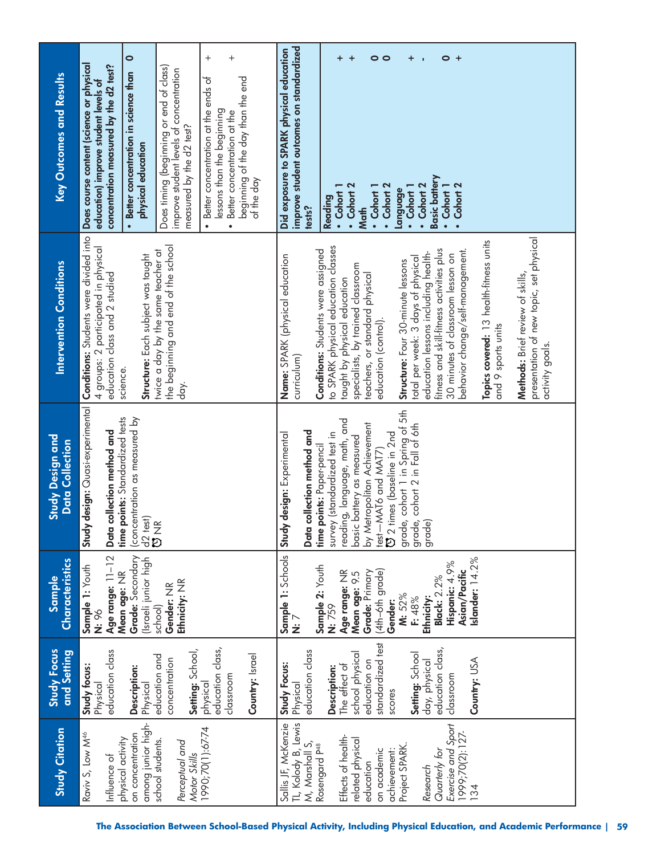| <b>Study Citation</b>                                                                     | <b>Study Focus</b><br>and Setting                            | Characteristics<br><b>Sample</b>                                                   | <b>Study Design and</b><br><b>Data Collection</b>                                                       | <b>Intervention Conditions</b>                                                                                              | <b>Key Outcomes and Results</b>                                                                                                                                                   |
|-------------------------------------------------------------------------------------------|--------------------------------------------------------------|------------------------------------------------------------------------------------|---------------------------------------------------------------------------------------------------------|-----------------------------------------------------------------------------------------------------------------------------|-----------------------------------------------------------------------------------------------------------------------------------------------------------------------------------|
| Raviv S, Low M <sup>46</sup><br>physical activity<br>Influence of                         | education class<br>Study focus:<br>Physical                  | Age range: 11-12<br>Sample 1: Youth<br>N: 96                                       | Study design: Quasi-experimental<br>points: Standardized tests<br>collection method and<br>Data<br>time | Conditions: Students were divided into<br>4 groups: 2 participated in physical<br>education class and 2 studied<br>science. | Does course content (science or physical<br>concentration measured by the d2 test?<br>education) improve student levels of                                                        |
| among junior high-<br>on concentration                                                    | Description:<br>Physical                                     | <b>Mean age:</b> NR<br><b>Grade:</b> Secondary<br>(Israeli junior high<br> school) | (concentration as measured by<br>$\frac{d}{d}$ test)<br>$\frac{d}{d}$ NR                                | Structure: Each subject was taught                                                                                          | $\bullet$<br>• Better concentration in science than<br>physical education                                                                                                         |
| school students.<br>Perceptual and                                                        | Setting: School,<br>education and<br>concentration           | Ethnicity: NR<br>Gender: NR                                                        |                                                                                                         | the beginning and end of the school<br>twice a day by the same teacher at<br>day.                                           | Does timing (beginning or end of class)<br>improve student levels of concentration<br>measured by the d2 test?                                                                    |
| Motor Skills<br>1990;70(1):67-74                                                          | education class,<br>Country: Israel<br>classroom<br>physical |                                                                                    |                                                                                                         |                                                                                                                             | $^+$<br>$^{+}$<br>Better concentration at the ends of<br>beginning of the day than the end<br>lessons than the beginning<br>Better concentration at the<br>$\bullet$<br>$\bullet$ |
|                                                                                           |                                                              |                                                                                    |                                                                                                         |                                                                                                                             | of the day                                                                                                                                                                        |
| Sallis JF, McKenzie<br>TL, Kolody B, Lewis<br>M, Marshall S,<br>Rosengard P <sup>48</sup> | education class<br>Study Focus:<br>Physical                  | Sample 1: Schools<br>N: 7<br>Sample 2: Youth                                       | Data collection method and<br>Study design: Experimental<br>points: Paper-pencil<br>time                | <b>Conditions:</b> Students were assigned<br>Name: SPARK (physical education<br>curriculum)                                 | improve student outcomes on standardized<br>Did exposure to SPARK physical education<br>tests?                                                                                    |
| Effects of health-<br>related physical                                                    | school physical<br>The effect of<br>Description:             | Age range: NR<br>Mean age: 9.5<br>N: 759                                           | reading, language, math, and<br>survey (standardized test in<br>basic battery as measured               | to SPARK physical education classes<br>specialists, by trained classroom<br>taught by physical education                    | +<br>$\ddot{}$<br>• Cohort 2<br>$\cdot$ Cohort 1<br>Reading                                                                                                                       |
| on academic<br>achievement:<br>education                                                  | standardized test<br>education on<br>scores                  | (4th-6th grade)<br>Grade: Primary<br>Gender:                                       | by Metropolitan Achievement<br><b>D</b> 2 times (baseline in 2nd<br>test-MAT6 and MAT7)                 | teachers, or standard physical<br>education (control).                                                                      | 0 ၀<br>Cohort 2<br>$\cdot$ Cohort 1<br><b>Math</b>                                                                                                                                |
| Project SPARK.<br>Research                                                                | Setting: School<br>day, physical                             | M: 52%<br>Ethnicity:<br>F: 48%                                                     | grade, cohort 1 in Spring of 5th<br>grade, cohort 2 in Fall of 6th<br>grade)                            | education lessons including health-<br>total per week: 3 days of physical<br>Structure: Four 30-minute lessons              | +<br>$\cdot$ Cohort 2<br>$\cdot$ Cohort $1$<br>language                                                                                                                           |
| Exercise and Sport<br>1999;70(2):127-<br>Quarterly for                                    | education class,<br>classroom                                | Hispanic: 4.9%<br>Asian/Pacific<br><b>Black: 2.2%</b>                              |                                                                                                         | fitness and skill-fitness activities plus<br>behavior change/self-management.<br>30 minutes of classroom lesson on          | 0<br>+<br><b>Basic battery</b><br>Cohort 2<br>• Cohort 1                                                                                                                          |
| 34                                                                                        | Country: USA                                                 | Islander: 14.2%                                                                    |                                                                                                         | Topics covered: 13 health-fitness units<br>and 9 sports units                                                               |                                                                                                                                                                                   |
|                                                                                           |                                                              |                                                                                    |                                                                                                         | presentation of new topic, set physical<br>Methods: Brief review of skills,<br>activity goals.                              |                                                                                                                                                                                   |
|                                                                                           |                                                              |                                                                                    |                                                                                                         |                                                                                                                             |                                                                                                                                                                                   |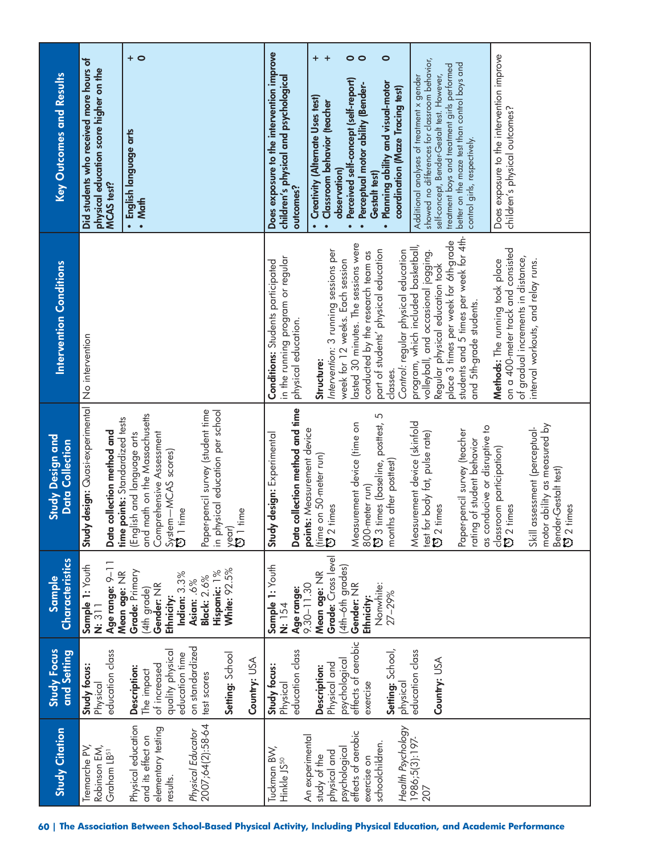| <b>Study Citation</b>                                                                                                                                                                                           | <b>Study Focus</b><br>and Setting                                                                                                                                                                 | <b>Characteristics</b><br>Sample                                                                                                                                              | <b>Study Design and</b><br><b>Data Collection</b>                                                                                                                                                                                                                                                                                                                                                                                                                                                                                                                                                                 | <b>Intervention Conditions</b>                                                                                                                                                                                                                                                                                                                                                                                                                                                                                                                                                                                                                                                                                                                          | Key Outcomes and Results                                                                                                                                                                                                                                                                                                                                                                                                                                                                                                                                                                                                                                                                                                                                                                                   |
|-----------------------------------------------------------------------------------------------------------------------------------------------------------------------------------------------------------------|---------------------------------------------------------------------------------------------------------------------------------------------------------------------------------------------------|-------------------------------------------------------------------------------------------------------------------------------------------------------------------------------|-------------------------------------------------------------------------------------------------------------------------------------------------------------------------------------------------------------------------------------------------------------------------------------------------------------------------------------------------------------------------------------------------------------------------------------------------------------------------------------------------------------------------------------------------------------------------------------------------------------------|---------------------------------------------------------------------------------------------------------------------------------------------------------------------------------------------------------------------------------------------------------------------------------------------------------------------------------------------------------------------------------------------------------------------------------------------------------------------------------------------------------------------------------------------------------------------------------------------------------------------------------------------------------------------------------------------------------------------------------------------------------|------------------------------------------------------------------------------------------------------------------------------------------------------------------------------------------------------------------------------------------------------------------------------------------------------------------------------------------------------------------------------------------------------------------------------------------------------------------------------------------------------------------------------------------------------------------------------------------------------------------------------------------------------------------------------------------------------------------------------------------------------------------------------------------------------------|
| Tremarche PV,<br>Robinson EM,<br>Graham LB <sup>51</sup>                                                                                                                                                        | education class<br>Study focus:<br>Physical                                                                                                                                                       | Sample 1: Youth<br>Age range: 9-1<br>$\overline{\mathbf{u}}$ : 311                                                                                                            | Study design: Quasi-experimental<br>time points: Standardized tests<br>collection method and<br>Data                                                                                                                                                                                                                                                                                                                                                                                                                                                                                                              | No intervention                                                                                                                                                                                                                                                                                                                                                                                                                                                                                                                                                                                                                                                                                                                                         | Did students who received more hours of<br>physical education score higher on the<br><b>MCAS</b> test?                                                                                                                                                                                                                                                                                                                                                                                                                                                                                                                                                                                                                                                                                                     |
| Physical Educator<br>2007;64(2):58-64<br>Physical education<br>elementary testing<br>and its effect on<br>results.                                                                                              | on standardized<br>quality physical<br>education time<br>Setting: School<br>Country: USA<br>of increased<br>Description:<br>The impact<br>test scores                                             | <b>White: 92.5%</b><br>Grade: Primary<br>Hispanic: 1%<br>Mean age: NR<br>Indian: 3.3%<br><b>Black: 2.6%</b><br>Asian: .6%<br>Gender: NR<br>(4th grade)<br>Ethnicity:          | Paper-pencil survey (student time<br>in physical education per school<br>and math on the Massachusetts<br>(English and language arts<br>Comprehensive Assessment<br>System—MCAS scores)<br><b>[5]</b> 1 time<br>time<br>$\sum_{i=1}^{\infty}$                                                                                                                                                                                                                                                                                                                                                                     |                                                                                                                                                                                                                                                                                                                                                                                                                                                                                                                                                                                                                                                                                                                                                         | $+$ 0<br>· English language arts<br>• Math                                                                                                                                                                                                                                                                                                                                                                                                                                                                                                                                                                                                                                                                                                                                                                 |
| Health Psychology<br>effects of aerobic<br>An experimental<br>1986;5(3):197<br>schoolchildren.<br>Tuckman BW,<br>Hinkle JS <sup>50</sup><br>psychological<br>physical and<br>study of the<br>exercise on<br>207 | effects of aerobic<br>Setting: School,<br>education class<br>education class<br>Country: USA<br>psychological<br>Physical and<br>Study focus:<br>Description:<br>exercise<br>Physical<br>physical | Grade: Cross level<br>(4th-6th grades)<br>Sample 1: Youth<br>Mean age: NR<br>Age range:<br>9.30-11.30<br>Gender: NR<br>Nonwhite:<br>$27 - 29%$<br>Ethnicity:<br><b>N:</b> 154 | collection method and time<br><b>9</b> 3 times (baseline, posttest, 5<br>Measurement device (skinfold<br>Measurement device (time on<br>motor ability as measured by<br>as conducive or disruptive to<br>assessment (perceptual-<br>points: Measurement device<br>Paper-pencil survey (teacher<br>test for body fat, pulse rate)<br>ひ 2 times<br>Study design: Experimental<br>rating of student behavior<br>classroom participation)<br>[5] 2 times<br>on 50-meter run)<br>months after posttest)<br>Bender-Gestalt test)<br><b>(3</b> 2 times<br>800-meter run)<br>times<br>Data<br>$rac{m}{\sqrt{2}}$<br>Skill | students and 5 times per week for 4th-<br>place 3 times per week for 6th-grade<br>lasted 30 minutes. The sessions were<br>program, which included basketball,<br>on a 400-meter track and consisted<br>Intervention: 3 running sessions per<br>part of students' physical education<br>Control: regular physical education<br>conducted by the research team as<br>volleyball, and occasional jogging<br>in the running program or regular<br>of gradual increments in distance,<br>week for 12 weeks. Each session<br>Methods: The running took place<br><b>Conditions:</b> Students participated<br>interval workouts, and relay runs.<br>Regular physical education took<br>and 5th-grade students.<br>physical education.<br>Structure:<br>classes. | Does exposure to the intervention improve<br>Does exposure to the intervention improve<br>$\ddot{}$<br>+<br>$\circ$<br>$\bullet$<br>showed no differences for classroom behavior,<br>better on the maze test than control boys and<br>treatment boys and treatment girls performed<br>self-concept, Bender-Gestalt test. However,<br>Additional analyses of treatment x gender<br>children's physical and psychological<br>Perceived self-concept (self-report)<br>Planning ability and visual-motor<br>Perceptual motor ability (Bender-<br>coordination (Maze Tracing test)<br>• Creativity (Alternate Uses test)<br>• Classroom behavior (teacher<br>children's physical outcomes?<br>control girls, respectively.<br>observation)<br>Gestalt test)<br>outcomes?<br>$\bullet$<br>$\bullet$<br>$\bullet$ |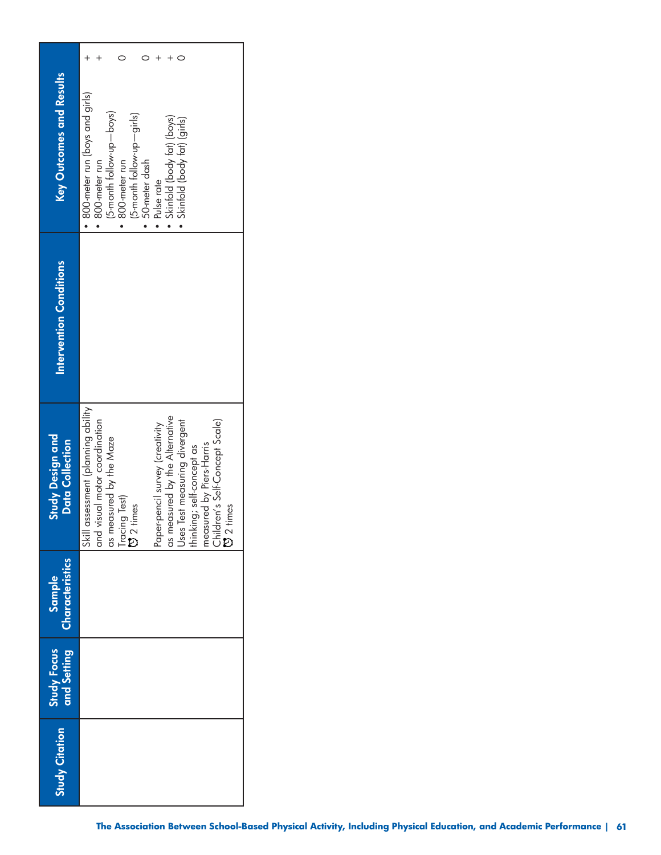| Key Outcomes and Results                          | • 800-meter run (boys and girls)<br>(5-month follow-up-boys)<br>(5-month follow-up-girls)<br>Skinfold (body fat) (boys)<br>· Skinfold (body fat) (girls)<br>• 50-meter dash<br>800-meter run<br>$\bullet$ 800-meter run<br>• Pulse rate                                                                                                                  |
|---------------------------------------------------|----------------------------------------------------------------------------------------------------------------------------------------------------------------------------------------------------------------------------------------------------------------------------------------------------------------------------------------------------------|
| Intervention Conditions                           |                                                                                                                                                                                                                                                                                                                                                          |
| <b>Study Design and</b><br><b>Data Collection</b> | assessment (planning ability<br>as measured by the Alternative<br>Uses Test measuring divergent<br>thinking; self-concept as<br>visual motor coordination<br>Children's Self-Concept Scale)<br>ひ 2 times<br>Paper-pencil survey (creativity<br>as measured by the Maze<br>Tracing Test)<br><b>CJ</b> 2 times<br>measured by Piers-Harris<br>and<br>Skill |
| Characteristics<br>Sample                         |                                                                                                                                                                                                                                                                                                                                                          |
| Study Focus<br>and Setting                        |                                                                                                                                                                                                                                                                                                                                                          |
| <b>Study Citation</b>                             |                                                                                                                                                                                                                                                                                                                                                          |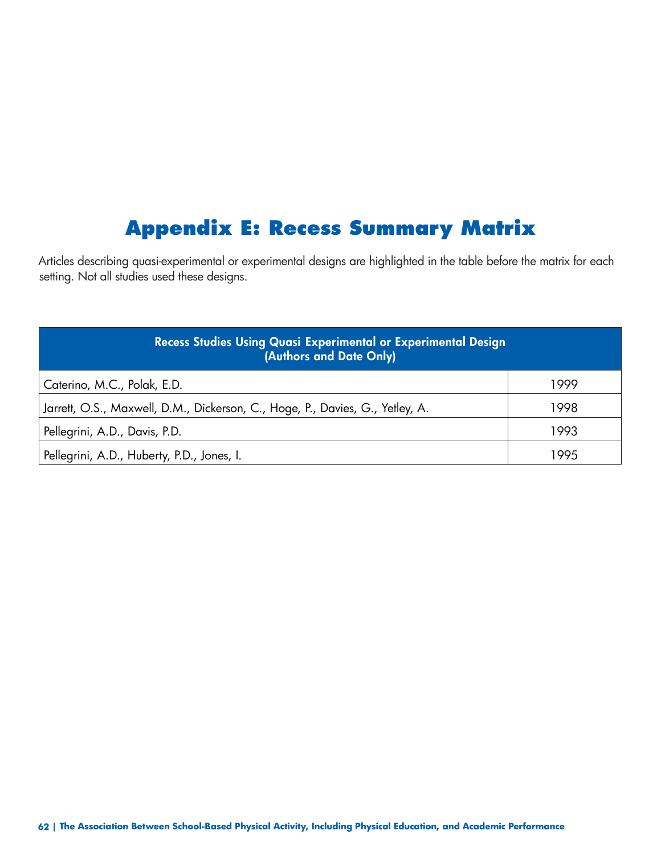### **Appendix E: Recess Summary Matrix**

Articles describing quasi-experimental or experimental designs are highlighted in the table before the matrix for each setting. Not all studies used these designs.

| Recess Studies Using Quasi Experimental or Experimental Design<br>(Authors and Date Only) |      |
|-------------------------------------------------------------------------------------------|------|
| Caterino, M.C., Polak, E.D.                                                               | 1999 |
| Jarrett, O.S., Maxwell, D.M., Dickerson, C., Hoge, P., Davies, G., Yetley, A.             | 1998 |
| Pellegrini, A.D., Davis, P.D.                                                             | 1993 |
| Pellegrini, A.D., Huberty, P.D., Jones, I.                                                | 99F  |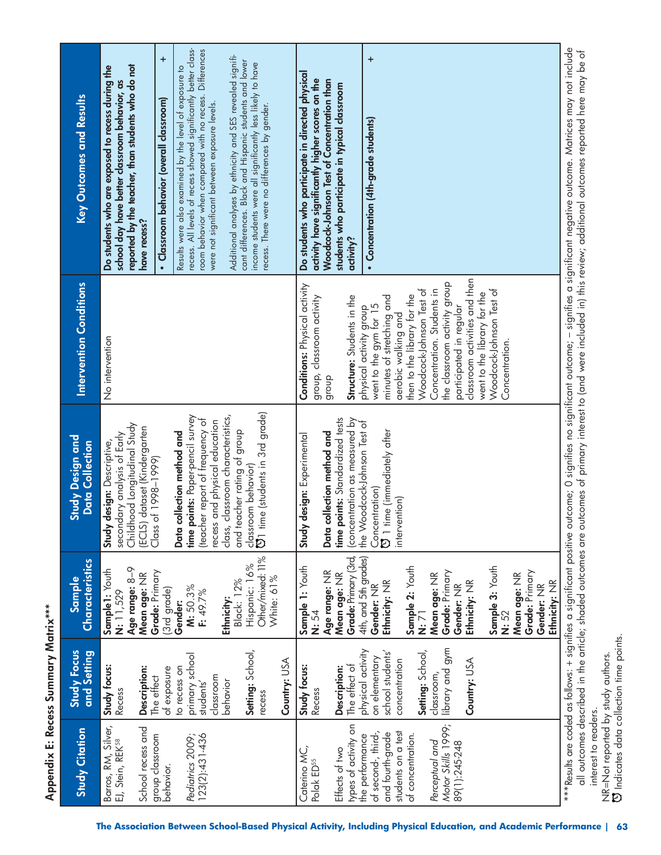| <b>Study Citation</b>                               | <b>Study Focus</b><br>and Setting                | Characteristics<br><b>Sample</b>              | <b>Study Design and</b><br><b>Data Collection</b>                                            | <b>Intervention Conditions</b>                             | Key Outcomes and Results                                                                                                                                                                                                                                                                                                                               |
|-----------------------------------------------------|--------------------------------------------------|-----------------------------------------------|----------------------------------------------------------------------------------------------|------------------------------------------------------------|--------------------------------------------------------------------------------------------------------------------------------------------------------------------------------------------------------------------------------------------------------------------------------------------------------------------------------------------------------|
| Barros, RM, Silver,<br>EJ, Stein, REK <sup>58</sup> | Study focus:<br>Recess                           | Age range: 8-9<br>Sample1: Youth<br>N: 11,529 | Childhood Longitudinal Study<br>secondary analysis of Early<br>design: Descriptive,<br>Study | No intervention                                            | reported by the teacher, than students who do not<br>Do students who are exposed to recess during the<br>school day have better classroom behavior, as                                                                                                                                                                                                 |
| School recess and<br>group classroom<br>behavior.   | <b>Description:</b><br>of exposure<br>The effect | Grade: Primary<br>Mean age: NR<br>(3rd grade) | dataset (Kindergarten<br>Class of 1998-1999)<br>(ECLS)                                       |                                                            | ÷<br>Classroom behavior (overall classroom)<br>have recess?                                                                                                                                                                                                                                                                                            |
|                                                     | to recess on                                     | Gender:                                       | Data collection method and                                                                   |                                                            | Results were also examined by the level of exposure to                                                                                                                                                                                                                                                                                                 |
| Pediatrics 2009;<br>123(2):431-436                  | primary school<br>students'                      | M: 50.3%<br>F: 49.7%                          | time points: Paper-pencil survey<br>(teacher report of frequency of                          |                                                            | recess. All levels of recess showed significantly better class-<br>room behavior when compared with no recess. Differences                                                                                                                                                                                                                             |
|                                                     | classroom                                        |                                               | recess and physical education                                                                |                                                            | were not significant between exposure levels.                                                                                                                                                                                                                                                                                                          |
|                                                     | behavior                                         | <b>Black: 12%</b><br>Ethnicity:               | classroom characteristics,<br>and teacher rating of group<br>class,                          |                                                            | Additional analyses by ethnicity and SES revealed signifi-                                                                                                                                                                                                                                                                                             |
|                                                     | Setting: School,<br>recess                       | Other/mixed: 11%<br>Hispanic: 16%             | U) time (students in 3rd grade)<br>classroom behavior)                                       |                                                            | cant differences. Black and Hispanic students and lower<br>income students were all significantly less likely to have                                                                                                                                                                                                                                  |
|                                                     | Country: USA                                     | White: 61%                                    |                                                                                              |                                                            | recess. There were no differences by gender.                                                                                                                                                                                                                                                                                                           |
| Caterino MC,<br>Polak ED <sup>55</sup>              | Study focus:                                     | Sample 1: Youth                               | design: Experimental<br>Study                                                                | Conditions: Physical activity                              | Do students who participate in directed physical                                                                                                                                                                                                                                                                                                       |
|                                                     | Recess                                           | N: 54                                         |                                                                                              | group, classroom activity                                  | activity have significantly higher scores on the                                                                                                                                                                                                                                                                                                       |
|                                                     |                                                  | Age range: NR                                 | Data collection method and                                                                   | dioub                                                      | Woodcock-Johnson Test of Concentration than                                                                                                                                                                                                                                                                                                            |
| Effects of two                                      | Description:                                     | Mean age: NR                                  | time points: Standardized tests                                                              |                                                            | students who participate in typical classroom                                                                                                                                                                                                                                                                                                          |
| types of activity on                                | The effect of                                    | Grade: Primary (3rd,                          | concentration as measured by<br>the Woodcock-Johnson Test of                                 | Structure: Students in the                                 | activity?                                                                                                                                                                                                                                                                                                                                              |
| of second-, third-,<br>the performance              | physical activity<br>on elementary               | 4th, and 5th grades)<br>Gender: NR            | Concentration)                                                                               | went to the gym for 15<br>physical activity group          | $\ddot{}$<br>• Concentration (4th-grade students)                                                                                                                                                                                                                                                                                                      |
| and fourth-grade                                    | school students'                                 | Ethnicity: NR                                 | C 1 time (immediately after                                                                  | minutes of stretching and                                  |                                                                                                                                                                                                                                                                                                                                                        |
| students on a test                                  | concentration                                    |                                               | intervention)                                                                                | aerobic walking and                                        |                                                                                                                                                                                                                                                                                                                                                        |
| of concentration.                                   |                                                  | Sample 2: Youth                               |                                                                                              | then to the library for the                                |                                                                                                                                                                                                                                                                                                                                                        |
|                                                     | Setting: School,                                 | N: 71                                         |                                                                                              | Woodcock-Johnson Test of                                   |                                                                                                                                                                                                                                                                                                                                                        |
| Motor Skills 1999;<br>Perceptual and                | library and gym<br>classroom,                    | Grade: Primary<br>Mean age: NR                |                                                                                              | the classroom activity group<br>Concentration. Students in |                                                                                                                                                                                                                                                                                                                                                        |
| 89(1):245-248                                       |                                                  | Gender: NR                                    |                                                                                              | participated in regular                                    |                                                                                                                                                                                                                                                                                                                                                        |
|                                                     | Country: USA                                     | Ethnicity: NR                                 |                                                                                              | classroom activities and then                              |                                                                                                                                                                                                                                                                                                                                                        |
|                                                     |                                                  |                                               |                                                                                              | went to the library for the                                |                                                                                                                                                                                                                                                                                                                                                        |
|                                                     |                                                  | Sample 3: Youth                               |                                                                                              | Woodcock-Johnson Test of                                   |                                                                                                                                                                                                                                                                                                                                                        |
|                                                     |                                                  | Mean age: NR<br>N: 52                         |                                                                                              | Concentration.                                             |                                                                                                                                                                                                                                                                                                                                                        |
|                                                     |                                                  | Grade: Primary                                |                                                                                              |                                                            |                                                                                                                                                                                                                                                                                                                                                        |
|                                                     |                                                  | Gender: NR                                    |                                                                                              |                                                            |                                                                                                                                                                                                                                                                                                                                                        |
|                                                     |                                                  | Ethnicity: NR                                 |                                                                                              |                                                            |                                                                                                                                                                                                                                                                                                                                                        |
|                                                     |                                                  |                                               |                                                                                              |                                                            | ***Results are coded as follows: + signifies a significant positive outcome; O significant outcome; – signifies a significant negative outcome. Matrices may not include<br>all outcomes described in the article; shaded outcomes are outcomes of primary interest to (and were included in) this review; additional outcomes reported here may be of |

Appendix E: Recess Summary Matrix\*\*\* **Appendix E: Recess Summary Matrix\*\*\*** 

interest to readers.

interest to readers.

NR=Not reported by study authors. Indicates data collection time points.

NR=Not reported by study authors.<br>© Indicates data collection time points.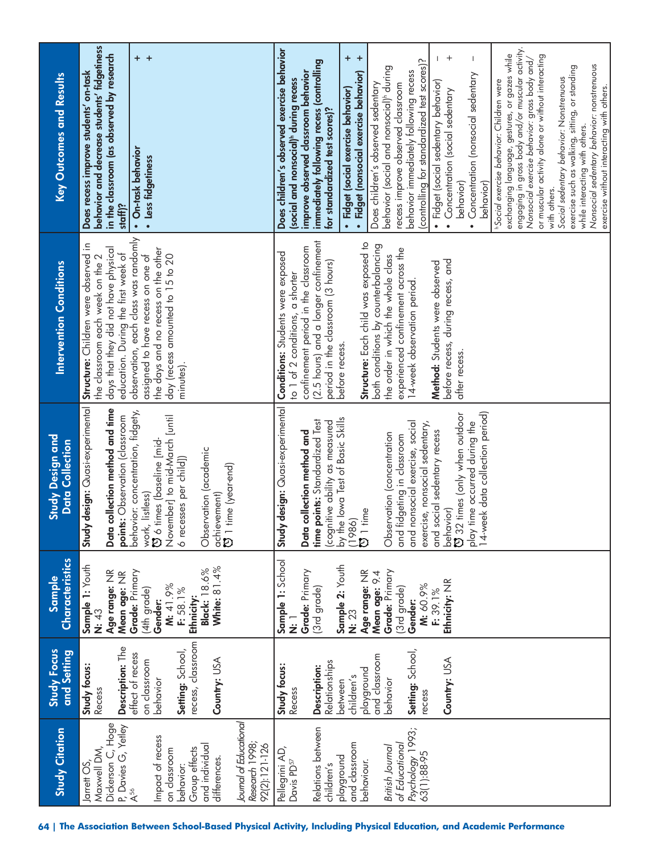| <b>Study Citation</b>                                                                                                                                                                            | Study Focus<br>and Setting                                                                                                                                                | Characteristics<br>Sample                                                                                                                                                                                      | <b>Study Design and</b><br><b>Data Collection</b>                                                                                                                                                                                                                                                                                                                                                                                                                                                             | <b>Intervention Conditions</b>                                                                                                                                                                                                                                                                                                                                                                                                                                                               | Key Outcomes and Results                                                                                                                                                                                                                                                                                                                                                                                                                                                                                                                                                                                                                                                                                                                                                                                                                                                                                                                                                                                                                                                                                                                                                                                                                 |
|--------------------------------------------------------------------------------------------------------------------------------------------------------------------------------------------------|---------------------------------------------------------------------------------------------------------------------------------------------------------------------------|----------------------------------------------------------------------------------------------------------------------------------------------------------------------------------------------------------------|---------------------------------------------------------------------------------------------------------------------------------------------------------------------------------------------------------------------------------------------------------------------------------------------------------------------------------------------------------------------------------------------------------------------------------------------------------------------------------------------------------------|----------------------------------------------------------------------------------------------------------------------------------------------------------------------------------------------------------------------------------------------------------------------------------------------------------------------------------------------------------------------------------------------------------------------------------------------------------------------------------------------|------------------------------------------------------------------------------------------------------------------------------------------------------------------------------------------------------------------------------------------------------------------------------------------------------------------------------------------------------------------------------------------------------------------------------------------------------------------------------------------------------------------------------------------------------------------------------------------------------------------------------------------------------------------------------------------------------------------------------------------------------------------------------------------------------------------------------------------------------------------------------------------------------------------------------------------------------------------------------------------------------------------------------------------------------------------------------------------------------------------------------------------------------------------------------------------------------------------------------------------|
| Dickerson C, Hoge<br>P, Davies G, Yetley<br>Maxwell DM,<br>Jarrett OS                                                                                                                            | Description: The<br>Study focus:<br>Recess                                                                                                                                | Sample 1: Youth<br>Age range: NR<br>Mean age: NR<br>N: 43                                                                                                                                                      | Study design: Quasi-experimental<br>collection method and time<br>points: Observation (classroom<br>Data                                                                                                                                                                                                                                                                                                                                                                                                      | Structure: Children were observed in<br>days that they did not have physical<br>education. During the first week of<br>the classroom each week on the 2                                                                                                                                                                                                                                                                                                                                      | behavior and decrease students' fidgetiness<br>in the classroom (as observed by research<br>Does recess improve students' on-task<br>staff)?                                                                                                                                                                                                                                                                                                                                                                                                                                                                                                                                                                                                                                                                                                                                                                                                                                                                                                                                                                                                                                                                                             |
| Journal of Educational<br>Impact of recess<br>Research 1998;<br>92(2):121-126<br>and individual<br>Group effects<br>on classroom<br>differences.<br>behavior:<br>$\mathsf{A}^{56}$               | recess, classroom<br>Setting: School,<br>effect of recess<br>Country: USA<br>on classroom<br>behavior                                                                     | White: 81.4%<br>Black: 18.6%<br>Grade: Primary<br>M: 41.9%<br>(4th grade)<br>F: 58.1%<br>Ethnicity:<br>Gender:                                                                                                 | behavior: concentration, fidgety,<br>November] to mid-March [until<br>O 6 times (baseline [mid-<br>Observation (academic<br>6 recesses per child])<br>achievement)<br>び 1 time (year-end)<br>work, listless)                                                                                                                                                                                                                                                                                                  | observation, each class was randomly<br>the days and no recess on the other<br>assigned to have recess on one of<br>day (recess amounted to 15 to 20<br>minutes).                                                                                                                                                                                                                                                                                                                            | $+$ $+$<br>· On-task behavior<br>· Less fidgetiness                                                                                                                                                                                                                                                                                                                                                                                                                                                                                                                                                                                                                                                                                                                                                                                                                                                                                                                                                                                                                                                                                                                                                                                      |
| Relations between<br>Psychology 1993;<br>and classroom<br>of Educational<br>British Journal<br>Pellegrini AD,<br>63(1):88-95<br>playground<br>Davis PD <sup>57</sup><br>behaviour.<br>children's | Setting: School,<br>and classroom<br>Country: USA<br>Relationships<br>Study focus:<br>Description:<br>playground<br>children's<br>behavior<br>between<br>Recess<br>recess | Sample 1: School<br>Sample 2: Youth<br>Grade: Primary<br>Grade: Primary<br>Age range: NR<br>Mean age: 9.4<br>Ethnicity: NR<br>M: 60.9%<br>(3rd grade)<br>(3rd grade)<br>F: 39.1%<br>Gender:<br>N: 23<br>.<br>Ż | Study design: Quasi-experimental<br>14-week data collection period)<br>behavior)<br>۞ 32 times (only when outdoor<br>(cognitive ability as measured<br>by the lowa Test of Basic Skills<br>(1986)<br>points: Standardized Test<br>play time occurred during the<br>nonsocial exercise, social<br>exercise, nonsocial sedentary,<br>and social sedentary recess<br>Data collection method and<br>Observation (concentration<br>fidgeting in classroom<br>$\overline{5}$ 1 time<br>time<br>and<br>$\frac{1}{2}$ | (2.5 hours) and a longer confinement<br>Structure: Each child was exposed to<br>both conditions by counterbalancing<br>confinement period in the classroom<br>experienced confinement across the<br>Conditions: Students were exposed<br>the order in which the whole class<br>period in the classroom (3 hours)<br>before recess, during recess, and<br>Method: Students were observed<br>to 1 of 2 conditions, a shorter<br>14-week observation period.<br>before recess.<br>after recess. | engaging in gross body and/or muscular activity.<br>Does children's observed exercise behavior<br>exchanging language, gestures, or gazes while<br>or muscular activity alone or without interacting<br>$+$<br>+<br>$^{+}$<br>Nonsocial exercise behavior: gross body and/<br>(controlling for standardized test scores)?<br>immediately following recess (controlling<br>Nonsocial sedentary behavior: nonstrenuous<br>exercise such as walking, sitting, or standing<br>behavior (social and nonsocial) <sup>t</sup> during<br>improve observed classroom behavior<br>· Fidget (nonsocial exercise behavior)<br>behavior immediately following recess<br>Concentration (nonsocial sedentary<br>Social sedentary behavior: Nonstrenuous<br>(social and nonsocial) <sup>th</sup> during recess<br><sup>h</sup> Social exercise behavior: Children were<br>• Fidget (social sedentary behavior)<br>recess improve observed classroom<br>Does children's observed sedentary<br>exercise without interacting with others.<br>· Fidget (social exercise behavior)<br>Concentration (social sedentary<br>for standardized test scores)?<br>while interacting with others.<br>behavior)<br>behavior)<br>with others.<br>$\bullet$<br>$\bullet$ |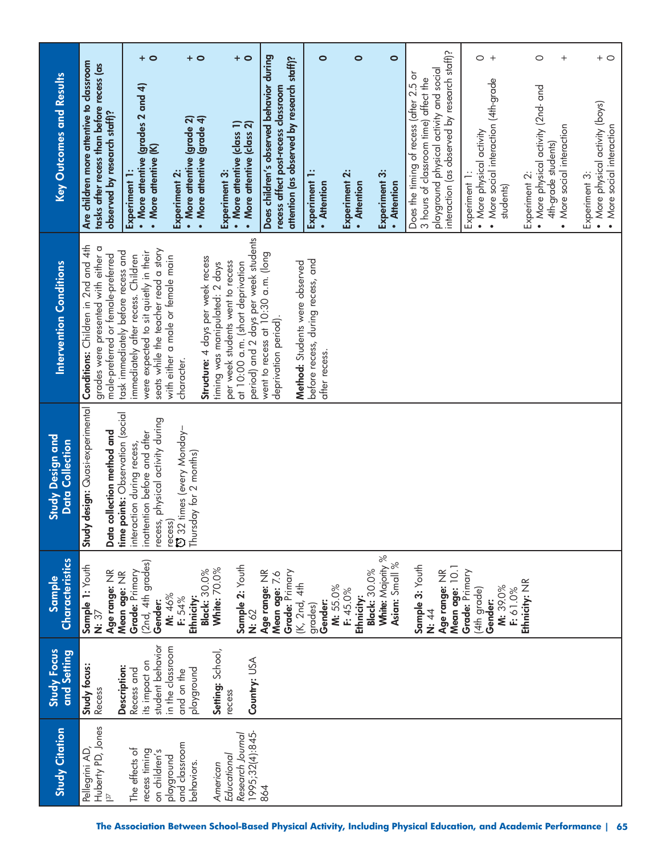|                                        |                                                                                                                       | + 0                                                                                                                                                       | $+$ 0                                                                                | $+$ 0                                                                                                                                          |                                                                                                                               | $\bullet$                                          | $\circ$                            | $\bullet$                                           |                                                                                                                                                                             | $\circ$<br>$+$                                                                                 | $\circ$<br>$\hspace{0.1mm} +$                                                                                      | $+$ $\circ$                                                                   |
|----------------------------------------|-----------------------------------------------------------------------------------------------------------------------|-----------------------------------------------------------------------------------------------------------------------------------------------------------|--------------------------------------------------------------------------------------|------------------------------------------------------------------------------------------------------------------------------------------------|-------------------------------------------------------------------------------------------------------------------------------|----------------------------------------------------|------------------------------------|-----------------------------------------------------|-----------------------------------------------------------------------------------------------------------------------------------------------------------------------------|------------------------------------------------------------------------------------------------|--------------------------------------------------------------------------------------------------------------------|-------------------------------------------------------------------------------|
| Key Outcomes and Results               | Are children more attentive to classroom<br>tasks after recess than before recess (as<br>observed by research staff)? | • More attentive (grades 2 and 4)<br>• More attentive (K)<br>Experiment 1:                                                                                | • More attentive (grade 4)<br>• More attentive (grade $2$ )<br>Experiment 2:         | • More attentive (class 1)<br>More attentive (class 2)<br>Experiment 3:                                                                        | Does children's observed behavior during<br>attention (as observed by research staff)?<br>recess affect post-recess classroom | Experiment<br>• Attention                          | Experiment 2:<br>• Attention       | Experiment 3:<br>• Attention                        | interaction (as observed by research staff)?<br>playground physical activity and social<br>Does the timing of recess (after 2.5 or<br>3 hours of classroom time) affect the | • More social interaction (4th-grade<br>• More physical activity<br>Experiment 1:<br>students) | • More physical activity (2nd- and<br>More social interaction<br>4th-grade students)<br>Experiment 2:<br>$\bullet$ | • More physical activity (boys)<br>• More social interaction<br>Experiment 3: |
| <b>Intervention Conditions</b>         | Conditions: Children in 2nd and 4th<br>grades were presented with either a<br>male-preferred or female-preferred      | seats while the teacher read a story<br>task immediately before recess and<br>were expected to sit quietly in their<br>immediately after recess. Children | with either a male or female main<br>Structure: 4 days per week recess<br>character. | period) and 2 days per week students<br>per week students went to recess<br>at 10:00 a.m. (short deprivation<br>timing was manipulated: 2 days | went to recess at 10:30 a.m. (long<br>Method: Students were observed<br>deprivation period).                                  | before recess, during recess, and<br>atter recess. |                                    |                                                     |                                                                                                                                                                             |                                                                                                |                                                                                                                    |                                                                               |
| Study Design and<br>Collection<br>Data | y design: Quasi-experimental<br>points: Observation (social<br>collection method and<br>Data<br>time<br>Stud          | recess, physical activity during<br>inattention before and after<br>interaction during recess,                                                            | recess)<br>U 32 times (every Monday–<br>Thursday for 2 months)                       |                                                                                                                                                |                                                                                                                               |                                                    |                                    |                                                     |                                                                                                                                                                             |                                                                                                |                                                                                                                    |                                                                               |
| Characteristics<br>Sample              | Sample 1: Youth<br>Age range: NR<br>$\overline{\mathbf{r}}$ 37                                                        | (2nd, 4th grades)<br>Grade: Primary<br>Mean age: NR<br>Gender:                                                                                            | <b>Black: 30.0%</b><br>M: 46%<br>Ethnicity:<br>F: 54%                                | Sample 2: Youth<br>White: 70.0%<br>N: 62                                                                                                       | Grade: Primary<br>Age range: NR<br>Mean age: 7.6<br>(K, 2nd, 4th                                                              | Gender:<br>grades)                                 | M: 55.0%<br>F: 45.0%<br>Ethnicity: | White: Majority %<br>Asian: Small %<br>Black: 30.0% | Sample 3: Youth<br>Age range: NR<br>N: 44                                                                                                                                   | Mean age: 10.1<br>Grade: Primary<br>M: 39.0%<br>F: 61.0%<br>(4th grade)<br>Gender:             | Ethnicity: NR                                                                                                      |                                                                               |
| Study Focus<br>and Setting             | Study focus:<br>Recess                                                                                                | student behavior<br>its impact on<br>Description:<br>Recess and                                                                                           | in the classroom<br>playground<br>and on the                                         | Setting: School,<br>Country: USA<br>recess                                                                                                     |                                                                                                                               |                                                    |                                    |                                                     |                                                                                                                                                                             |                                                                                                |                                                                                                                    |                                                                               |
| <b>Study Citation</b>                  | Huberty PD, Jones<br>Pellegrini AD,<br>$\overline{37}$                                                                | The effects of<br>on children's<br>recess timing                                                                                                          | and classroom<br>playground<br>behaviors.                                            | 1995;32(4):845-<br>Research Journal<br><b>Educational</b><br>American                                                                          | 864                                                                                                                           |                                                    |                                    |                                                     |                                                                                                                                                                             |                                                                                                |                                                                                                                    |                                                                               |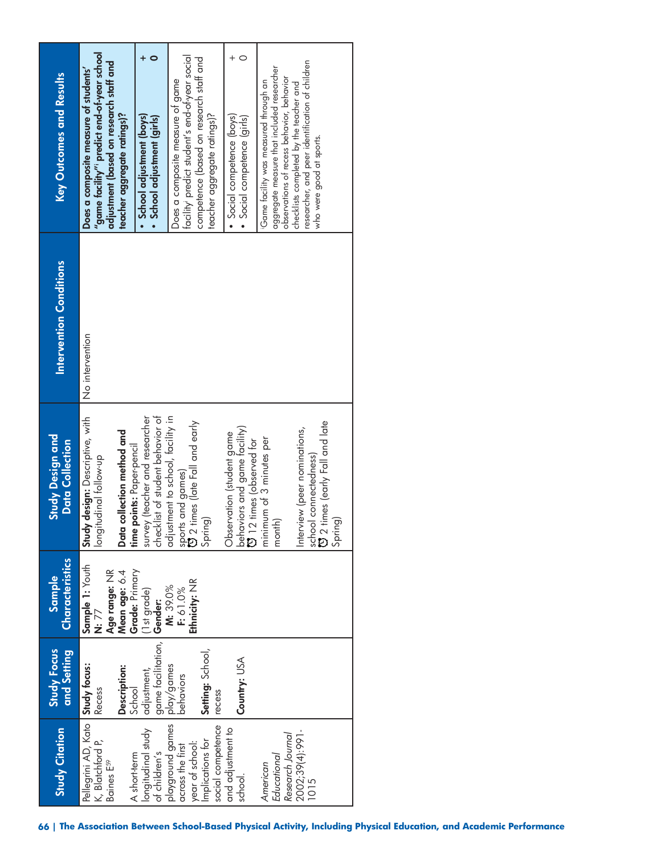| <b>Study Citation</b>                                                                            | <b>Study Focus</b><br>and Setting                         | Characteristics<br>Sample                                                                 | <b>Study Design and</b><br><b>Data Collection</b>                                                                                        | <b>Intervention Conditions</b> | <b>Key Outcomes and Results</b>                                                                                                                                                                                                                            |
|--------------------------------------------------------------------------------------------------|-----------------------------------------------------------|-------------------------------------------------------------------------------------------|------------------------------------------------------------------------------------------------------------------------------------------|--------------------------------|------------------------------------------------------------------------------------------------------------------------------------------------------------------------------------------------------------------------------------------------------------|
| Pellegrini AD, Kato <b>Study focus:</b><br>K, Blatchford P, Recess<br>Baines E <sup>59</sup>     | Description:                                              | Sample 1: Youth<br>Age range: NR<br>Grade: Primary<br>Mean age: 6.4<br>N: $\overline{77}$ | Study design: Descriptive, with<br>Data collection method and<br>longitudinal follow-up                                                  | No intervention                | "game facility" predict end-of-year school<br>adjustment (based on research staff and<br>Does a composite measure of students'<br>teacher aggregate ratings)?                                                                                              |
| longitudinal study<br>of children's<br>A short-term                                              | game tacilitation,   Gender:<br>adjustment,<br>School     | (1st grade)                                                                               | checklist of student behavior of<br>survey (teacher and researcher<br>time points: Paper-pencil                                          |                                | · School adjustment (boys)<br>• School adjustment (girls)                                                                                                                                                                                                  |
| playground games<br>across the first<br>social competence<br>Implications for<br>year of school: | Setting: School,<br>  play/games<br>  behaviors<br>recess | Ethnicity: NR<br>M: 39.0%<br>F: 61.0%                                                     | adjustment to school, facility in<br>sports and games)<br>ひ 2 times (late Fall and early<br>Spring)                                      |                                | facility predict student's end-ot-year social<br>competence (based on research staff and<br>Does a composite measure ot game<br>teacher aggregate ratings)?                                                                                                |
| and adjustment to<br>school.                                                                     | Country: USA                                              |                                                                                           | behaviors and game facility)<br>Observation (student game<br><b>12</b> times (observed for                                               |                                | · Social competence (boys)<br>· Social competence (girls)                                                                                                                                                                                                  |
| 2002;39(4):991-<br>Research Journal<br><b>Educational</b><br>American<br>1015                    |                                                           |                                                                                           | school connectedness)<br>ひ 2 times (early Fall and late<br>Interview (peer nominations,<br>minimum of 3 minutes per<br>Spring)<br>month) |                                | researcher, and peer identification of children<br>aggregate measure that included researcher<br>observations of recess behavior, behavior<br>Game facility was measured through an<br>checklists completed by the teacher and<br>who were good at sports. |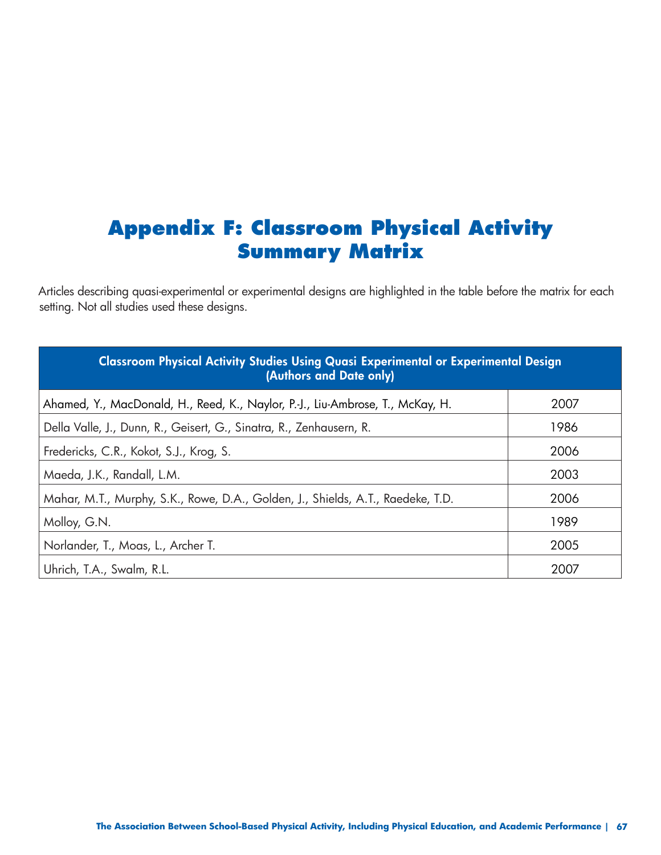### **Appendix F: Classroom Physical Activity Summary Matrix**

Articles describing quasi-experimental or experimental designs are highlighted in the table before the matrix for each setting. Not all studies used these designs.

| Classroom Physical Activity Studies Using Quasi Experimental or Experimental Design<br>(Authors and Date only) |      |
|----------------------------------------------------------------------------------------------------------------|------|
| Ahamed, Y., MacDonald, H., Reed, K., Naylor, P.-J., Liu-Ambrose, T., McKay, H.                                 | 2007 |
| Della Valle, J., Dunn, R., Geisert, G., Sinatra, R., Zenhausern, R.                                            | 1986 |
| Fredericks, C.R., Kokot, S.J., Krog, S.                                                                        | 2006 |
| Maeda, J.K., Randall, L.M.                                                                                     | 2003 |
| Mahar, M.T., Murphy, S.K., Rowe, D.A., Golden, J., Shields, A.T., Raedeke, T.D.                                | 2006 |
| Molloy, G.N.                                                                                                   | 1989 |
| Norlander, T., Moas, L., Archer T.                                                                             | 2005 |
| Uhrich, T.A., Swalm, R.L.                                                                                      | 2007 |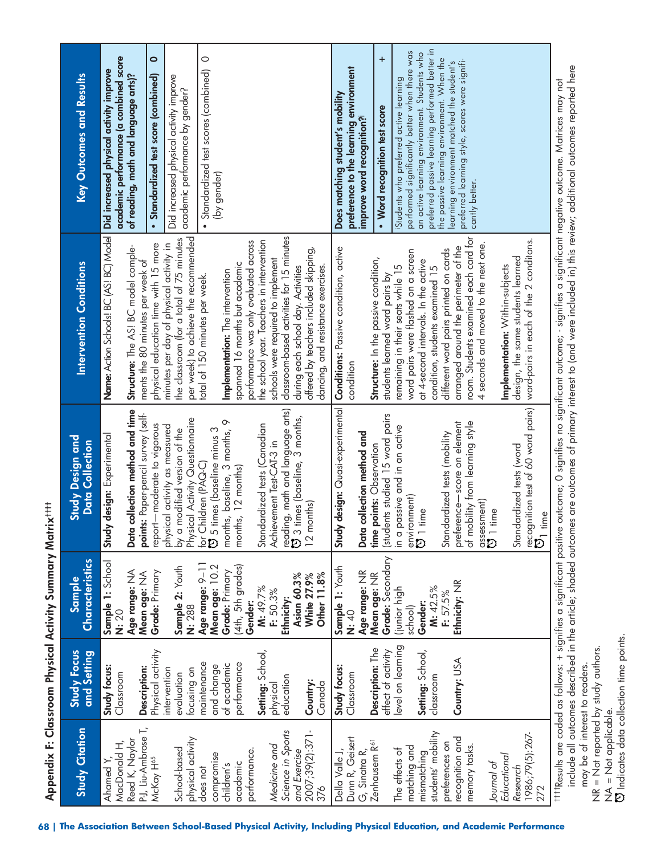| MacDonald H,<br>Ahamed Y,         | and Setting                       | Characteristics<br>Sample | <b>Study Design and</b><br><b>Data Collection</b>                   | Intervention Conditions                                                            | <b>Key Outcomes and Results</b>                                                                |
|-----------------------------------|-----------------------------------|---------------------------|---------------------------------------------------------------------|------------------------------------------------------------------------------------|------------------------------------------------------------------------------------------------|
|                                   | Study focus:<br>Classroom         | Sample 1: School<br>N: 20 | design: Experimental<br>Study                                       | Name: Action Schools! BC (AS! BC) Model                                            | academic performance (a combined score<br>Did increased physical activity improve              |
| Reed K, Naylor                    |                                   | Age range: NA             | Data collection method and time                                     | Structure: The AS! BC model comple-                                                | of reading, math and language arts)?                                                           |
| P-J, Liu-Ambrose T,               | Description:                      | Mean age: NA              | points: Paper-pencil survey (self-                                  | ments the 80 minutes per week of                                                   |                                                                                                |
| McKay H <sup>65</sup>             | Physical activity<br>intervention | Grade: Primary            | report-moderate to vigorous<br>physical activity as measured        | physical education time with 15 more<br>minutes per day of physical activity in    | $\bullet$<br>· Standardized test score (combined)                                              |
| School-based                      | evaluation                        | Sample 2: Youth           | by a modified version of the                                        | the classroom (for a total of 75 minutes                                           | Did increased physical activity improve                                                        |
| physical activity                 | focusing on                       | N: 288                    | Physical Activity Questionnaire                                     | per week) to achieve the recommended                                               | academic performance by gender?                                                                |
| does not                          | maintenance                       | Age range: 9-11           | for Children (PAQ-C)<br>O 5 times (baseline minus 3                 | total of 150 minutes per week.                                                     | $\circ$<br>· Standardized test scores (combined)                                               |
| compromise                        | and change                        | Mean age: 10.2            |                                                                     |                                                                                    | (by gender)                                                                                    |
| children's                        | of academic                       | Grade: Primary            | months, baseline, 3 months, 9                                       | Implementation: The intervention                                                   |                                                                                                |
| academic                          | performance                       | (4th, 5th grades)         | months, 12 months)                                                  | spanned 16 months but academic                                                     |                                                                                                |
| performance.                      | Setting: School,                  | M: 49.7%<br>Gender:       | Standardized tests (Canadian                                        | the school year. Teachers in intervention<br>performance was only evaluated across |                                                                                                |
| Medicine and                      | physical                          | F: 50.3%                  | Achievement Test-CAT-3 in                                           | schools were required to implement                                                 |                                                                                                |
| Science in Sports                 | education                         | Ethnicity:                |                                                                     | classroom-based activities for 15 minutes                                          |                                                                                                |
| and Exercise                      |                                   | Asian 60.3%               | reading, math and language arts)<br>CJ 3 times (baseline, 3 months, | during each school day. Activities                                                 |                                                                                                |
| 2007;39(2):371-                   | Country:                          | White 27.9%               | 12 months)                                                          | offered by teachers included skipping,                                             |                                                                                                |
| 376                               | Canada                            | Other 11.8%               |                                                                     | dancing, and resistance exercises.                                                 |                                                                                                |
| Della Valle J,                    | Study focus:                      | Sample 1: Youth           | design: Quasi-experimental<br>Study                                 | Conditions: Passive condition, active                                              | Does matching student's mobility                                                               |
| Dunn R, Geisert                   | Classroom                         | <b>N: 40</b>              |                                                                     | condition                                                                          | preference to the learning environment                                                         |
| G, Sinatra R,                     |                                   | Age range: NR             | Data collection method and                                          |                                                                                    | improve word recognition?                                                                      |
| Zenhausern R <sup>61</sup>        | Description: The                  | Mean age: NR              | time points: Observation                                            | Structure: In the passive condition,                                               | $\ddot{}$<br>• Word recognition test score                                                     |
|                                   | effect of activity                | Grade: Secondary          | (students studied 15 word pairs                                     | students learned word pairs by                                                     |                                                                                                |
| The effects of                    | evel on learning                  | (junior high              | in a passive and in an active                                       | remaining in their seats while 15                                                  | performed significantly better when there was<br>Students who preferred active learning        |
| matching and                      |                                   | school)                   | environment)<br><b>1</b> time                                       | word pairs were flashed on a screen                                                |                                                                                                |
| students' mobility<br>mismatching | Setting: School,<br>classroom     | M: 42.5%<br>Gender:       |                                                                     | at 4-second intervals. In the active<br>condition, students examined 15            | preferred passive learning performed better in<br>an active learning environment. Students who |
| preferences on                    |                                   | F: 57.5%                  | Standardized tests (mobility                                        | different word pairs printed on cards                                              | the passive learning environment. When the                                                     |
| recognition and                   | Country: USA                      | Ethnicity: NR             | preference-score on element                                         | arranged around the perimeter of the                                               | learning environment matched the student's                                                     |
| memory tasks.                     |                                   |                           | of mobility from learning style                                     | room. Students examined each card for                                              | preferred learning style, scores were signifi-                                                 |
|                                   |                                   |                           |                                                                     | 4 seconds and moved to the next one.                                               | cantly better.                                                                                 |
| Journal of                        |                                   |                           | assessment)<br><b>D</b> 1 time                                      |                                                                                    |                                                                                                |
| Educational                       |                                   |                           |                                                                     | Implementation: Within-subjects                                                    |                                                                                                |
| Research                          |                                   |                           | Standardized tests (word                                            | design, the same students learned                                                  |                                                                                                |
| 1986;79(5):267-<br>272            |                                   |                           | recognition test of 60 word pairs)<br>$\mathfrak{V}_1$ time         | word-pairs in each of the 2 conditons.                                             |                                                                                                |

 Indicates data collection time points. NA = Not applicable.<br>CJ Indicates data collection time points. NA = Not applicable.

may be of interest to readers. NR = Not reported by study authors.

NR = Not reported by study authors. may be of interest to readers.

include all outcomes described in the article; shaded outcomes are outcomes of primary interest to (and were included in) this review; additional outcomes reported here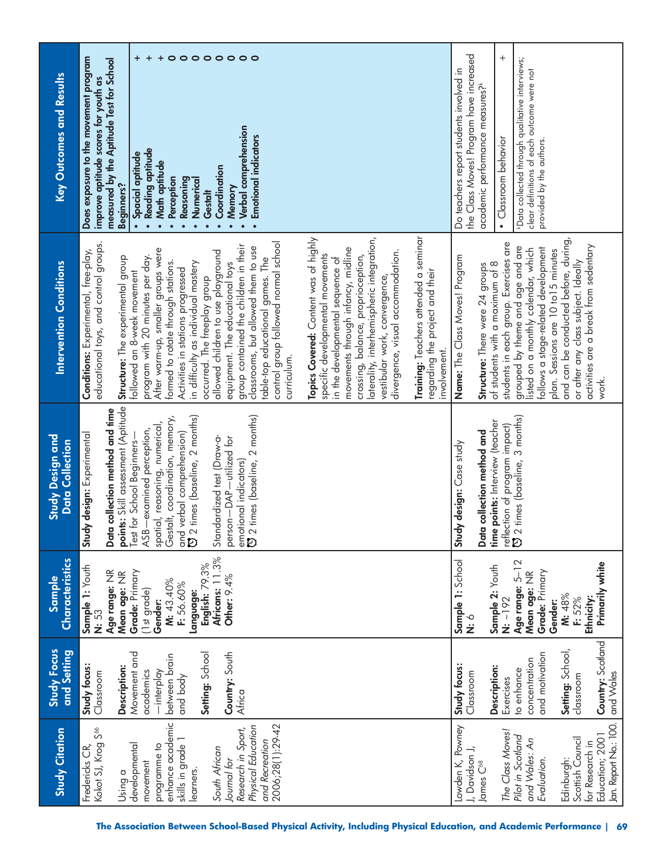| Key Outcomes and Results            | $\circ \circ \circ \circ \circ \circ \circ$<br>+<br>$\ddot{}$<br>$\ddot{}$<br>Does exposure to the movement program<br>measured by the Aptitude Test for School<br>improve aptitude scores for youth as<br><b>Verbal comprehension</b><br><b>Emotional indicators</b><br>Reading aptitude<br>Spacial aptitude<br>Math aptitude<br>Coordination<br>Perception<br>Reasoning<br>Numerical<br>Beginners?<br>Memory<br>Gestalt<br>$\bullet$<br>$\bullet$<br>$\bullet$<br>$\bullet$<br>$\bullet$                                                                                                                                                                                                                                                                                                                                                                                                                                                                                                                                                    | the Class Moves! Program have increased<br>$^{+}$<br>*Data collected through qualitative interviews;<br>Do teachers report students involved in<br>clear definitions of each outcome were not<br>academic performance measures?k<br>· Classroom behavior<br>provided by the authors.                                                                                                                                                    |
|-------------------------------------|-----------------------------------------------------------------------------------------------------------------------------------------------------------------------------------------------------------------------------------------------------------------------------------------------------------------------------------------------------------------------------------------------------------------------------------------------------------------------------------------------------------------------------------------------------------------------------------------------------------------------------------------------------------------------------------------------------------------------------------------------------------------------------------------------------------------------------------------------------------------------------------------------------------------------------------------------------------------------------------------------------------------------------------------------|-----------------------------------------------------------------------------------------------------------------------------------------------------------------------------------------------------------------------------------------------------------------------------------------------------------------------------------------------------------------------------------------------------------------------------------------|
| <b>Intervention Conditions</b>      | Training: Teachers attended a seminar<br>Topics Covered: Content was of highly<br>laterality, interhemispheric integration,<br>control group followed normal school<br>educational toys, and control groups.<br>group contained the children in their<br>classrooms, but allowed them to use<br>movements through infancy, midline<br>After warm-up, smaller groups were<br>Conditions: Experimental, free-play,<br>allowed children to use playground<br>divergence, visual accommodation.<br>program with 20 minutes per day.<br>specific developmental movements<br>Structure: The experimental group<br>crossing, balance, proprioception,<br>table-top educational games. The<br>in the developmental sequence of<br>formed to rotate through stations.<br>in difficulty as individual mastery<br>equipment. The educational toys<br>Activities in stations progressed<br>followed an 8-week movement<br>regarding the project and their<br>vestibular work, convergence,<br>occurred. The freeplay group<br>involvement.<br>curriculum. | and can be conducted before, during,<br>students in each group. Exercises are<br>activities are a break from sedentary<br>grouped by theme and age and are<br>follows a stage-related development<br>listed on a monthly calendar, which<br>plan. Sessions are 10 to 15 minutes<br>Name: The Class Moves! Program<br>or after any class subject. Ideally<br>of students with a maximum of 8<br>Structure: There were 24 groups<br>work. |
| Study Design and<br>Data Collection | points: Skill assessment (Aptitude<br>Data collection method and time<br>emotional indicators)<br>ひ 2 times (baseline, 2 months)<br>and verbal comprehension)<br>[3] 2 times (baseline, 2 months)<br>Gestalt, coordination, memory,<br>spatial, reasoning, numerical,<br>-examined perception,<br>Study design: Experimental<br>Standardized test (Draw-a-<br>person-DAP-utilized for<br>Test for School Beginners-<br>ASB                                                                                                                                                                                                                                                                                                                                                                                                                                                                                                                                                                                                                    | reflection of program impact)<br>ひ 2 times (baseline, 3 months)<br>points: Interview (teacher<br>Data collection method and<br>Study design: Case study<br>time                                                                                                                                                                                                                                                                         |
| Characteristics<br>Sample           | Africans: 11.3%<br>English: 79.3%<br>Sample 1: Youth<br>Mean age: NR<br>Grade: Primary<br>Age range: NR<br>Other: 9.4%<br>M: 43.40%<br>F: 56.60%<br>(1st grade)<br>Language:<br>Gender:<br>N: 53                                                                                                                                                                                                                                                                                                                                                                                                                                                                                                                                                                                                                                                                                                                                                                                                                                              | <b>Sample 1:</b> School<br><b>N:</b> 6<br>Age range: 5-12<br>Primarily white<br>Sample 2: Youth<br>Grade: Primary<br>Mean age: NR<br>M: 48%<br>N: ~192<br>Ethnicity:<br>F: 52%<br>Gender:                                                                                                                                                                                                                                               |
| <b>Study Focus</b><br>and Setting   | Setting: School<br>Movement and<br>Country: South<br>between brain<br>Study focus:<br>Description:<br>-interplay<br>academics<br>Classroom<br>and body<br>Africa                                                                                                                                                                                                                                                                                                                                                                                                                                                                                                                                                                                                                                                                                                                                                                                                                                                                              | Country: Scotland<br>Setting: School,<br>and motivation<br>concentration<br>Study focus:<br>Description:<br>to enhance<br>and Wales<br>Classroom<br>classroom<br>Exercises                                                                                                                                                                                                                                                              |
| <b>Study Citation</b>               | enhance academic<br>2006;28(1):29-42<br>Physical Education<br>Kokot SJ, Krog S <sup>66</sup><br>Research in Sport,<br>skills in grade 1<br>and Recreation<br>developmental<br>Fredericks CR,<br>programme to<br>South African<br>Journal for<br>movement<br>learners.<br>Using a                                                                                                                                                                                                                                                                                                                                                                                                                                                                                                                                                                                                                                                                                                                                                              | Jan. Report No.: 100.<br>Lowden K, Powney<br>The Class Moves!<br>Education; 2001<br>Pilot in Scotland<br>Scottish Council<br>and Wales: An<br>for Research in<br>J, Davidson J,<br>Edinburgh:<br>Evaluation.<br>James C <sup>68</sup>                                                                                                                                                                                                   |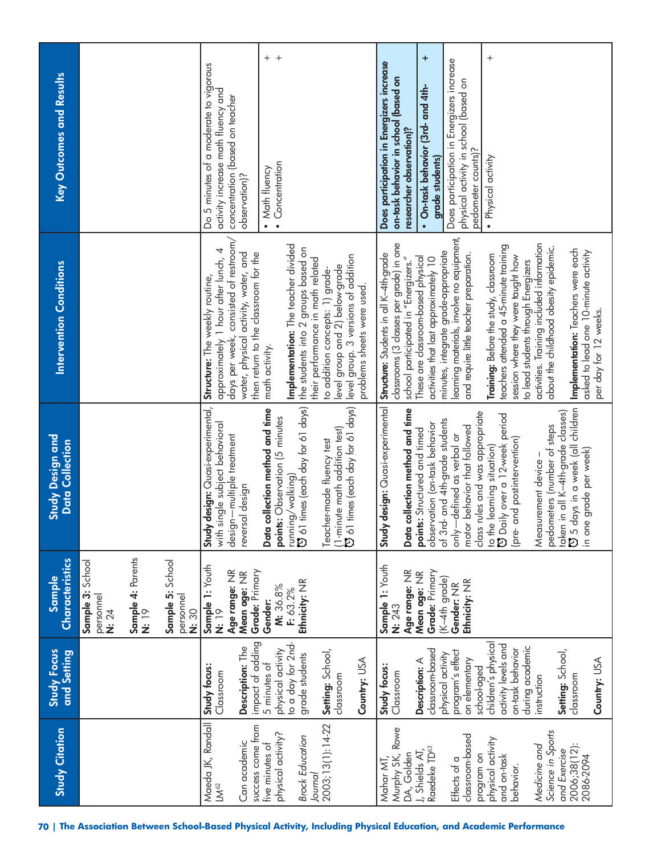| <b>Study Citation</b>                 | <b>Study Focus</b><br>and Setting       | <b>Characteristics</b><br>Sample       | Study Design and<br>Data Collection                                             | <b>Intervention Conditions</b>                                                     | <b>Key Outcomes and Results</b>                                              |
|---------------------------------------|-----------------------------------------|----------------------------------------|---------------------------------------------------------------------------------|------------------------------------------------------------------------------------|------------------------------------------------------------------------------|
|                                       |                                         | Sample 3: School<br>personnel<br>N: 24 |                                                                                 |                                                                                    |                                                                              |
|                                       |                                         | <b>Sample 4:</b> Parents<br>N: 19      |                                                                                 |                                                                                    |                                                                              |
|                                       |                                         | Sample 5: School<br>personnel<br>N: 30 |                                                                                 |                                                                                    |                                                                              |
| Maeda JK, Randall<br>LM <sup>62</sup> | Study focus:<br>Classroom               | Sample 1: Youth<br>N: 19               | Study design: Quasi-experimental,<br>with single subject behavioral             | approximately 1 hour after lunch, 4<br>Structure: The weekly routine,              | Do 5 minutes of a moderate to vigorous<br>activity increase math fluency and |
| Can academic                          | Description: The                        | Age range: NR<br>Mean age: NR          | design—multiple treatment<br>reversal design                                    | days per week, consisted of restroom,<br>water, physical activity, water, and      | concentration (based on teacher<br>observation)?                             |
| success come from                     | impact of adding                        | Grade: Primary                         |                                                                                 | then return to the classroom for the                                               |                                                                              |
| five minutes of                       | 5 minutes of                            | Gender:                                | collection method and time<br>Data                                              | math activity.                                                                     | $+$ $+$<br>• Math fluency                                                    |
| physical activity?                    | to a day for 2nd-<br>physical activity  | M: 36.8%<br>F: 63.2%                   | points: Observation (5 minutes                                                  | Implementation: The teacher divided                                                | Concentration<br>$\bullet$                                                   |
| <b>Brock Education</b>                | grade students                          | Ethnicity: NR                          | running/walking)<br>ひ 61 times (each day for 61 days)                           | the students into 2 groups based on                                                |                                                                              |
| Journal                               |                                         |                                        |                                                                                 | their performance in math related                                                  |                                                                              |
| 2003;13(1):14-22                      | Setting: School,<br>classroom           |                                        | Teacher-made fluency test                                                       | level group and 2) below-grade<br>to addition concepts: 1) grade-                  |                                                                              |
|                                       |                                         |                                        | $(1\text{-minute math addition test})\ \bullet$ of times (each day for 61 days) | level group. 3 versions of addition                                                |                                                                              |
|                                       | Country: USA                            |                                        |                                                                                 | problems sheets were used.                                                         |                                                                              |
| Mahar MT,                             | Study focus:                            | Sample 1: Youth                        | Study design: Quasi-experimental                                                | Structure: Students in all K-4th-grade                                             | Does participation in Energizers increase                                    |
| Murphy SK, Rowe                       | Classroom                               | Age range: NR<br>N: 243                | collection method and time<br>Data                                              | classrooms (3 classes per grade) in one<br>school participated in "Energizers."    | on-task behavior in school (based on<br>researcher observation)?             |
| DA, Golden<br>J, Shields AT,          | Description: A                          | Mean age: NR                           | points: Structured and timed                                                    | These are classroom-based physical                                                 | • On-task behavior (3rd- and 4th-                                            |
| Raedeke TD <sup>63</sup>              | classroom-based<br>physical activity    | Grade: Primary                         | observation (on-task behavior                                                   | activities that last approximately 10                                              | $\ddot{}$<br>grade students)                                                 |
| Effects of a                          | program's effect                        | (K-4th grade)<br>Gender: NR            | of 3rd- and 4th-grade students<br>-defined as verbal or<br>$rac{1}{\sqrt{2}}$   | learning materials, involve no equipment,<br>minutes, integrate grade-appropriate  | Does participation in Energizers increase                                    |
| classroom-based                       | on elementary<br>school-aged            | Ethnicity: NR                          | class rules and was appropriate<br>motor behavior that followed                 | and require little teacher preparation.                                            | physical activity in school (based on<br>pedometer counts)?                  |
| physical activity<br>program on       | children's physical                     |                                        | to the learning situation)                                                      | Training: Before the study, classroom                                              | $^{+}$<br>· Physical activity                                                |
| and on-task<br>behavior.              | activity levels and<br>on-task behavior |                                        | O Daily over a 12-week period                                                   | teachers attended a 45-minute training                                             |                                                                              |
|                                       | during academic                         |                                        | and postintervention)<br>(pre-                                                  | session where they were taught how<br>to lead students through Energizers          |                                                                              |
| Science in Sports<br>Medicine and     | instruction                             |                                        | pedometers (number of steps<br>surement device-<br>Mea                          | activities. Training included information<br>about the childhood obesity epidemic. |                                                                              |
| and Exercise                          | Setting: School,                        |                                        | taken in all K–4th-grade classes)<br>CJ 5 days in a week (all childrer          |                                                                                    |                                                                              |
| 2006;38(12):<br>2086-2094             | classroom                               |                                        | days in a week (all children<br>e grade per week)<br>no ni                      | Implementation: Teachers were each<br>asked to lead one 10-minute activity         |                                                                              |
|                                       | Country: USA                            |                                        |                                                                                 | per day for 12 weeks.                                                              |                                                                              |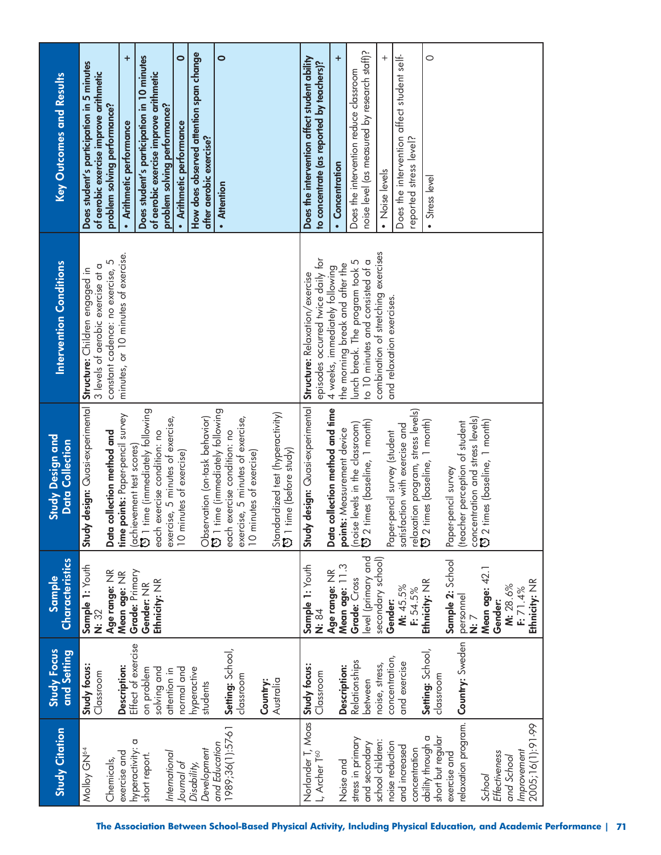| <b>Study Citation</b>                  | <b>Study Focus</b><br>and Setting | <b>Characteristics</b><br><b>Sample</b> | <b>Study Design and</b><br><b>Data Collection</b>                                     | <b>Intervention Conditions</b>                                          | <b>Key Outcomes and Results</b>                                                     |
|----------------------------------------|-----------------------------------|-----------------------------------------|---------------------------------------------------------------------------------------|-------------------------------------------------------------------------|-------------------------------------------------------------------------------------|
| Molloy GN <sup>64</sup>                | Study focus:<br>Classroom         | Sample 1: Youth<br>N: 32                | Study design: Quasi-experimental                                                      | 3 levels of aerobic exercise at a<br>Structure: Children engaged in     | Does student's participation in 5 minutes<br>of aerobic exercise improve arithmetic |
| exercise and<br>Chemicals,             | Description:                      | Age range: NR<br>Mean age: NR           | time points: Paper-pencil survey<br>Data collection method and                        | minutes, or 10 minutes of exercise.<br>constant cadence: no exercise, 5 | ÷<br>problem solving performance?<br>· Arithmetic performance                       |
| hyperactivity: a<br>short report.      | Effect of exercise<br>on problem  | Grade: Primary<br>Gender: NR            | time (immediately following<br>(achievement test scores)<br>CJ 1 time (immediately fo |                                                                         | Does student's participation in 10 minutes                                          |
|                                        | solving and                       | Ethnicity: NR                           | each exercise condition: no                                                           |                                                                         | of aerobic exercise improve arithmetic                                              |
| International                          | attention in                      |                                         | exercise, 5 minutes of exercise,                                                      |                                                                         | $\bullet$<br>problem solving performance?<br>· Arithmetic performance               |
| Journal of<br>Disability,              | normal and<br>hyperactive         |                                         | 10 minutes of exercise)                                                               |                                                                         | How does observed attention span change                                             |
| Development                            | students                          |                                         | Observation (on-task behavior)                                                        |                                                                         | after aerobic exercise?                                                             |
| 1989;36(1):57-61<br>and Education      | Setting: School,                  |                                         | time (immediately following<br>each exercise condition: no<br>$\bar{p}$               |                                                                         | $\bullet$<br>· Attention                                                            |
|                                        | classroom                         |                                         | exercise, 5 minutes of exercise,<br>10 minutes of exercise)                           |                                                                         |                                                                                     |
|                                        | Country:                          |                                         |                                                                                       |                                                                         |                                                                                     |
|                                        | Australia                         |                                         | Standardized test (hyperactivity)<br>[5] 1 time (before study)<br>time (before study) |                                                                         |                                                                                     |
| Norlander T, Moas                      | Study focus:                      | Sample 1: Youth                         | Study design: Quasi-experimental                                                      | Structure: Relaxation/exercise                                          | Does the intervention affect student ability                                        |
| L, Archer T <sup>60</sup>              | Classroom                         | N: 84                                   |                                                                                       | episodes occurred twice daily for                                       | to concentrate (as reported by teachers)?                                           |
| Noise and                              | Description:                      | Age range: NR                           | collection method and time<br>points: Measurement device<br>Data                      | 4 weeks, immediately following                                          | $\ddot{}$<br>• Concentration                                                        |
| stress in primary                      | Relationships                     | Mean age: 11.3<br>Grade: Cross          |                                                                                       | the morning break and after the<br>lunch break. The program took 5      | Does the intervention reduce classroom                                              |
| and secondary                          | between                           | level (primary and                      | (noise levels in the classroom)<br>$\mathfrak{O}$ 2 times (baseline, 1 month)         | to 10 minutes and consisted of a                                        | noise level (as measured by research staff)?                                        |
| school children:<br>noise reduction    | concentration,<br>noise, stress,  | secondary school)<br>Gender:            | Paper-pencil survey (student                                                          | combination of stretching exercises<br>and relaxation exercises.        | $^{+}$<br>• Noise levels                                                            |
| and increased                          | and exercise                      | M: 45.5%                                | satisfaction with exercise and                                                        |                                                                         | Does the intervention affect student self-                                          |
| concentration                          |                                   | F: 54.5%                                | relaxation program, stress levels)<br>CJ 2 times (baseline, 1 month)                  |                                                                         | reported stress level?                                                              |
| short but regular<br>ability through a | Setting: School,<br>classroom     | Ethnicity: NR                           |                                                                                       |                                                                         | $\circ$<br>• Stress level                                                           |
| exercise and                           |                                   | Sample 2: School                        | Paper-pencil survey                                                                   |                                                                         |                                                                                     |
| relaxation program.                    | Country: Sweden                   | personnel<br>i<br>ä                     | (teacher perception of student                                                        |                                                                         |                                                                                     |
| School                                 |                                   | Mean age: 42.1                          | concentration and stress levels)<br>$\mathfrak{O}$ 2 times (baseline, 1 month)        |                                                                         |                                                                                     |
| Effectiveness<br>and School            |                                   | M: 28.6%<br>Gender:                     |                                                                                       |                                                                         |                                                                                     |
| Improvement                            |                                   | F: 71.4%                                |                                                                                       |                                                                         |                                                                                     |
| 2005;16(1):91-99                       |                                   | Ethnicity: NR                           |                                                                                       |                                                                         |                                                                                     |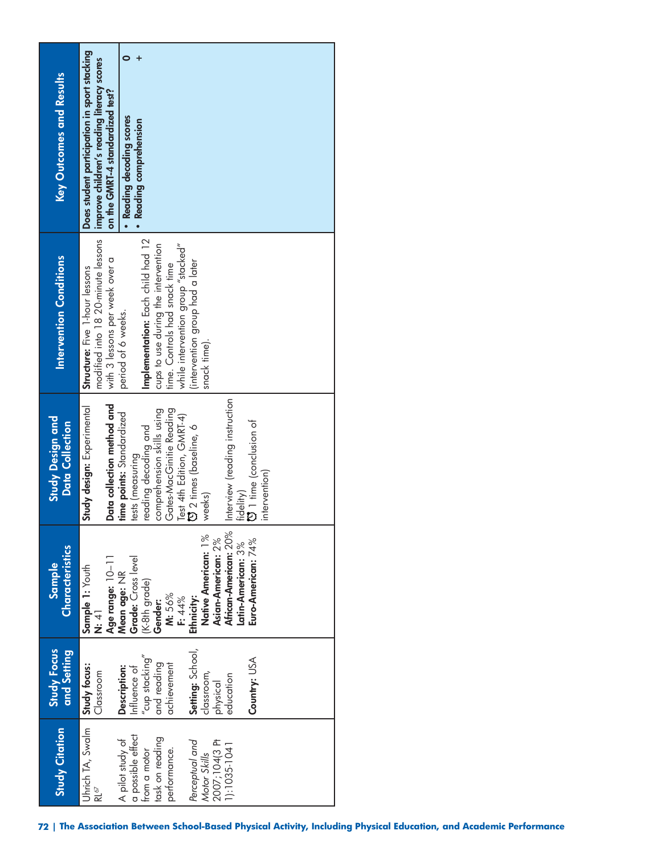| Key Outcomes and Results                          | Does student participation in sport stacking<br>improve children's reading literacy scores<br>on the GMRT-4 standardized test?<br>· Reading decoding scores<br>· Reading comprehension                                                                                                                                                                                |
|---------------------------------------------------|-----------------------------------------------------------------------------------------------------------------------------------------------------------------------------------------------------------------------------------------------------------------------------------------------------------------------------------------------------------------------|
| <b>Intervention Conditions</b>                    | modified into 18 20-minute lessons<br>Implementation: Each child had 12<br>while intervention group "stacked"<br>cups to use during the intervention<br>with 3 lessons per week over a<br>intervention group had a later<br>time. Controls had snack time<br>Structure: Five 1-hour lessons<br>period of 6 weeks.<br>snack time).                                     |
| <b>Study Design and</b><br><b>Data Collection</b> | Interview (reading instruction<br>Data collection method and<br>Study design: Experimental<br>Gates-MacGinitie Reading<br>comprehension skills using<br>time points: Standardized<br>Test 4th Edition, GMRT-4)<br><b>D</b> 1 time (conclusion of<br><b>D</b> 2 times (baseline, 6<br>reading decoding and<br>tests (measuring<br>intervention)<br>fidelity)<br>weeks) |
| Characteristics<br>Sample                         | African-American: 20%<br>Native American: 1%<br>Asian-American: 2%<br>Euro-American: 74%<br>Latin-American: 3%<br>Age range: 10-11<br>Mean age: NR<br>Grade: Cross level<br>Sample 1: Youth<br>(K-8th grade)<br>M: 56%<br>$\frac{1}{4}$<br>Ethnicity:<br>F: 44%<br>Gender:                                                                                            |
| <b>Study Focus</b><br>and Setting                 | Setting: School,<br>$^{\prime\prime}$ cup stacking $^{\prime\prime}$<br>Country: USA<br>and reading<br>achievement<br>Study focus:<br>Description:<br>Influence of<br>Classroom<br>classroom,<br>education<br>physical                                                                                                                                                |
| <b>Study Citation</b>                             | Uhrich TA, Swalm<br>a possible effect<br>task on reading<br>A pilot study of<br>2007;104(3 PH<br>Perceptual and<br>1):1035-1041<br>performance.<br>from a motor<br>Motor Skills<br>RL∘∕                                                                                                                                                                               |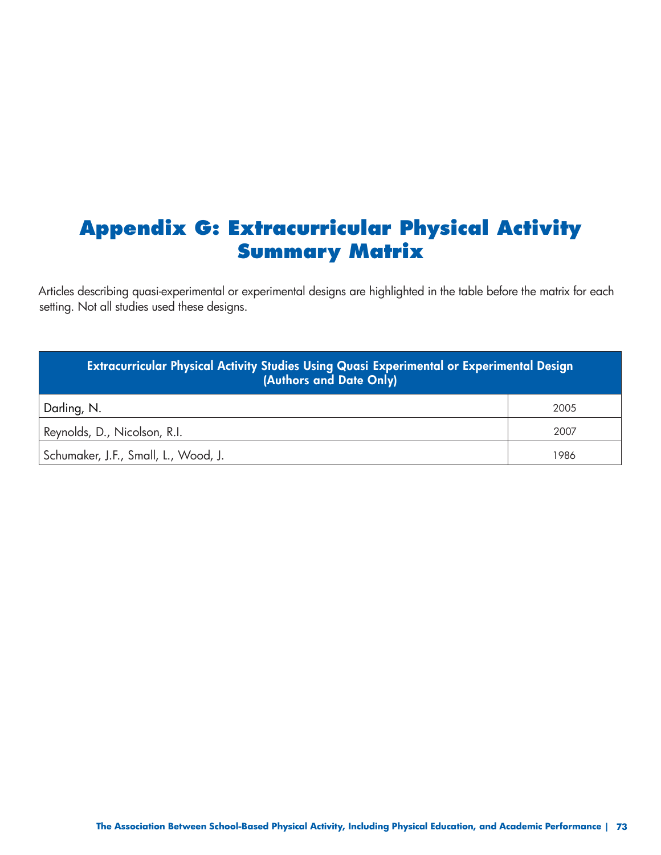## **Appendix G: Extracurricular Physical Activity Summary Matrix**

Articles describing quasi-experimental or experimental designs are highlighted in the table before the matrix for each setting. Not all studies used these designs.

| Extracurricular Physical Activity Studies Using Quasi Experimental or Experimental Design<br>(Authors and Date Only) |      |
|----------------------------------------------------------------------------------------------------------------------|------|
| Darling, N.                                                                                                          | 2005 |
| Reynolds, D., Nicolson, R.I.                                                                                         | 2007 |
| Schumaker, J.F., Small, L., Wood, J.                                                                                 | 1986 |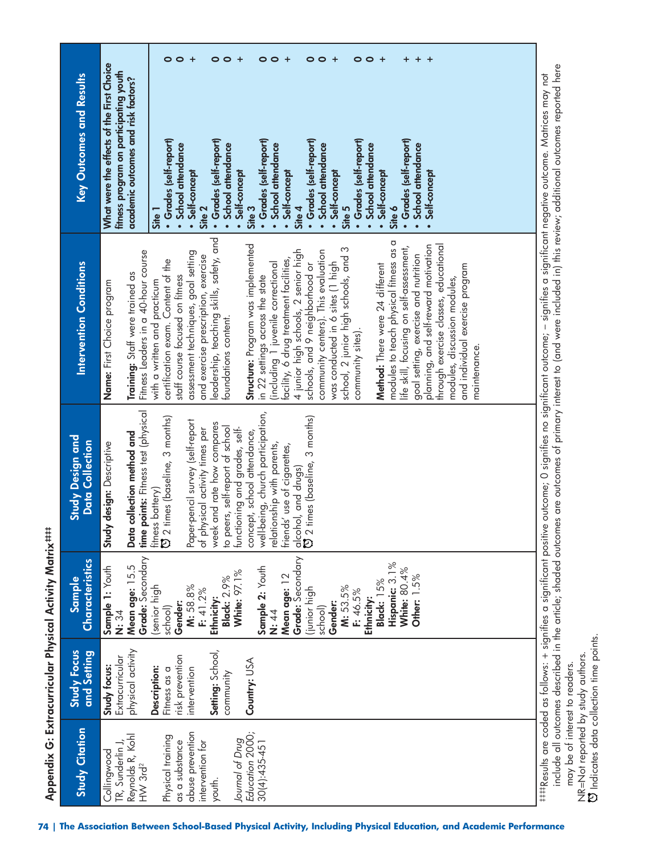| <b>Key Outcomes and Results</b>                   | $\bullet$<br>$\circ$<br>$^{+}$<br>$\circ$<br>$\circ$<br>$\ddot{}$<br>$\bullet$<br>$\circ$<br>$\bullet$<br>$\circ$<br>$+$<br>$\bullet$<br>$\circ$<br>$\ddot{}$<br>+<br>$^{+}$<br>+<br>+<br>What were the effects of the First Choice<br>fitness program on participating youth<br>academic outcomes and risk factors?<br>· Grades (self-report)<br>• Grades (self-report)<br>• Grades (self-report)<br>· Grades (self-report)<br>· Grades (self-report)<br>· Grades (self-report)<br>School attendance<br>· School attendance<br>School attendance<br>School attendance<br><b>School attendance</b><br>School attendance<br>Self-concept<br>Self-concept<br>Self-concept<br>Self-concept<br>Self-concept<br>Self-concept<br>Site 3<br>Site 5<br>Site 6<br>Site 2<br>Site 4<br>Site 1<br>$\bullet$<br>$\bullet$<br>$\bullet$<br>$\bullet$                                                                                                                                                                                                                                         |
|---------------------------------------------------|---------------------------------------------------------------------------------------------------------------------------------------------------------------------------------------------------------------------------------------------------------------------------------------------------------------------------------------------------------------------------------------------------------------------------------------------------------------------------------------------------------------------------------------------------------------------------------------------------------------------------------------------------------------------------------------------------------------------------------------------------------------------------------------------------------------------------------------------------------------------------------------------------------------------------------------------------------------------------------------------------------------------------------------------------------------------------------|
| <b>Intervention Conditions</b>                    | leadership, teaching skills, safety, and<br>modules to teach physical fitness as a<br>Structure: Program was implemented<br>through exercise classes, educational<br>planning, and self-reward motivation<br>life skill, focusing on self-assessment,<br>school, 2 junior high schools, and 3<br>4 junior high schools, 2 senior high<br>community centers). This evaluation<br>Fitness Leaders in a 40-hour course<br>assessment techniques, goal setting<br>goal setting, exercise and nutrition<br>and exercise prescription, exercise<br>facility, 6 drug treatment facilities,<br>certification exam. Content of the<br>was conducted in 6 sites (1 high<br>(including 1 juvenile correctional<br>schools, and 9 neighborhood or<br>Method: There were 24 different<br>and individual exercise program<br>Training: Staff were trained as<br>staff course focused on fitness<br>in 22 settings across the state<br>modules, discussion modules,<br>Name: First Choice program<br>with a written and practicum<br>foundations content.<br>community sites).<br>maintenance. |
| <b>Study Design and</b><br><b>Data Collection</b> | time points: Fitness test (physical<br>well-being, church participation,<br>alcohol, and drugs)<br>ひ 2 times (baseline, 3 months)<br>fitness battery)<br>۞ 2 times (baseline, 3 months)<br>Paper-pencil survey (self-report<br>week and rate how compares<br>to peers, self-report of school<br>of physical activity times per<br>functioning and grades, self-<br>concept, school attendance,<br>Data collection method and<br>Study design: Descriptive<br>relationship with parents,<br>friends' use of cigarettes,                                                                                                                                                                                                                                                                                                                                                                                                                                                                                                                                                          |
| Characteristics<br>Sample                         | Grade: Secondary<br>Grade: Secondary<br>Hispanic: 3.1%<br>Mean age: 15.5<br>Sample 1: Youth<br>Sample 2: Youth<br><b>White: 80.4%</b><br><b>White: 97.1%</b><br>Mean age: 12<br>Other: 1.5%<br><b>Black: 2.9%</b><br>Black: 15%<br>(senior high<br>M: 58.8%<br>M: 53.5%<br>F: 41.2%<br>(junior high<br>F: 46.5%<br>Ethnicity:<br>Ethnicity:<br>Gender:<br>Gender:<br>school)<br>school)<br>N: 44<br>N: 34                                                                                                                                                                                                                                                                                                                                                                                                                                                                                                                                                                                                                                                                       |
| <b>Study Focus</b><br>and Setting                 | physical activity<br>Setting: School,<br>risk prevention<br>Extracurricular<br>Country: USA<br>Study focus:<br>Description:<br>Fitness as a<br>intervention<br>community                                                                                                                                                                                                                                                                                                                                                                                                                                                                                                                                                                                                                                                                                                                                                                                                                                                                                                        |
| <b>Study Citation</b>                             | abuse prevention<br>Education 2000;<br>Reynolds R, Kohl<br>HW 3rd <sup>2</sup><br>Physical training<br>lournal of Drug<br>$30(4):435-45$ ]<br>as a substance<br>intervention for<br>TR, Sunderlin J<br>Collingwood<br>youth.                                                                                                                                                                                                                                                                                                                                                                                                                                                                                                                                                                                                                                                                                                                                                                                                                                                    |

‡‡‡‡Results are coded as follows: + signifies a significant positive outcome; 0 signifies no significant outcome; – signifies a significant negative outcome. Matrices may not include all outcomes described in the article; shaded outcomes are outcomes of primary interest to (and were included in) this review; additional outcomes reported here may be of interest to readers.

 Indicates data collection time points. NR=Not reported by study authors.<br>CJ Indicates data collection time points. NR=Not reported by study authors.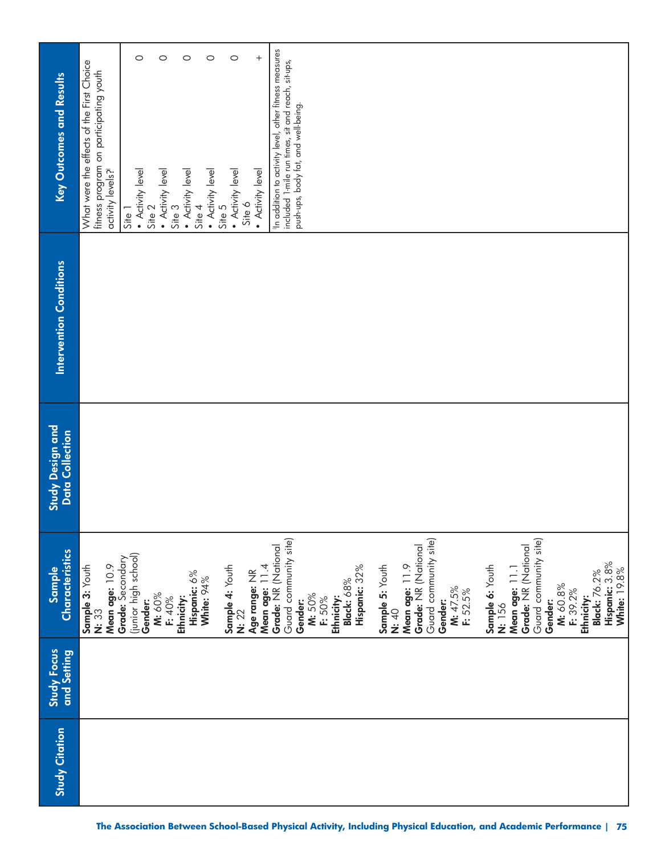| <b>Study Citation</b> | Study Focus<br>and Setting | Characteristics<br>Sample                                                                                                     | Study Design and<br>Data Collection | <b>Intervention Conditions</b> | <b>Key Outcomes and Results</b>                                                                                                                                   |
|-----------------------|----------------------------|-------------------------------------------------------------------------------------------------------------------------------|-------------------------------------|--------------------------------|-------------------------------------------------------------------------------------------------------------------------------------------------------------------|
|                       |                            | Mean age: 10.9<br>Sample 3: Youth<br>N: 33                                                                                    |                                     |                                | What were the effects of the First Choice<br>fitness program on participating youth<br>activity levels?                                                           |
|                       |                            | (junior high school)<br>Grade: Secondary                                                                                      |                                     |                                | $Site$ $\overline{\phantom{a}}$                                                                                                                                   |
|                       |                            | Gender:                                                                                                                       |                                     |                                | $\circ$<br>$\left  \begin{array}{ll} \bullet & \text{Activity level} \\ \text{Site } 2 \end{array} \right $                                                       |
|                       |                            | M: 60%<br>F: 40%                                                                                                              |                                     |                                | $\circ$<br>$\left  \begin{array}{l} \bullet \hspace{0.1cm} \mathsf{Activity} \hspace{0.1cm} \mathsf{level} \\ \mathsf{Site} \hspace{0.1cm} 3 \end{array} \right $ |
|                       |                            | Ethnicity:                                                                                                                    |                                     |                                | $\circ$<br>$\bullet$ Activity level<br>Site 4                                                                                                                     |
|                       |                            | Hispanic: 6%<br>White: 94%                                                                                                    |                                     |                                |                                                                                                                                                                   |
|                       |                            |                                                                                                                               |                                     |                                | $\circ$<br>$\left  \begin{array}{l} \bullet \text{ Activity level} \\ \text{Site } 5 \end{array} \right $                                                         |
|                       |                            | Sample 4: Youth<br>N: 22                                                                                                      |                                     |                                | $\circ$<br>• Activity level<br>Site 6                                                                                                                             |
|                       |                            | Age range: NR                                                                                                                 |                                     |                                | $^{+}$<br>• Activity level                                                                                                                                        |
|                       |                            | Mean age: 11.4<br>Grade: NR (National                                                                                         |                                     |                                | In addition to activity level, other fitness measures                                                                                                             |
|                       |                            | Guard community site)<br>Hispanic: 32%<br>Black: 68%<br>M: 50%<br>Ethnicity:<br>F: 50%<br>Gender:                             |                                     |                                | included 1-mile run times, sit and reach, sit-ups,<br>push-ups, body fat, and well-being.                                                                         |
|                       |                            | Guard community site)<br>Grade: NR (National<br>Mean age: 11.9<br>Sample 5: Youth<br>M: 47.5%<br>F: 52.5%<br>Gender:<br>N: 40 |                                     |                                |                                                                                                                                                                   |
|                       |                            | Guard community site)<br>Grade: NR (National<br>Sample 6: Youth<br>Mean age: 11.1<br>N: 156                                   |                                     |                                |                                                                                                                                                                   |
|                       |                            | Ethnicity:<br>Black: 76.2%<br>M: 60.8%<br>F: 39.2%<br>Gender:                                                                 |                                     |                                |                                                                                                                                                                   |
|                       |                            | Hispanic: 3.8%<br>White: 19.8%                                                                                                |                                     |                                |                                                                                                                                                                   |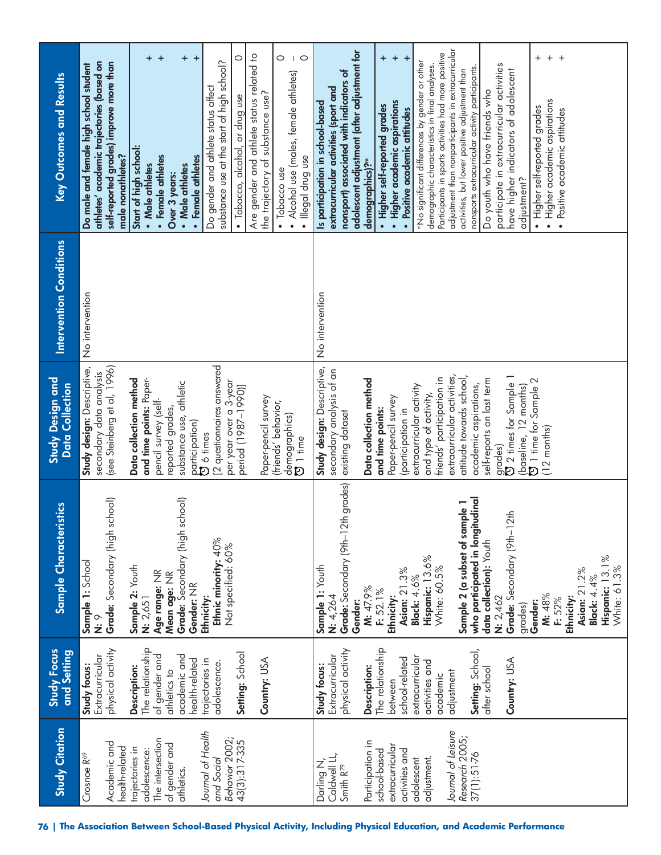| Sample 1: School<br>⊙<br>Ż<br>Study Focus<br>and Setting<br>Extracurricular<br>Study focus:                                                                                                                                                                     | istics<br>Sample Characteri                                                         | Study design: Descriptive,<br>secondary data analysis<br>Study Design and<br>Data Collection                                                                                                                         | <b>Intervention Conditions</b><br>No intervention | athletes' academic trajectories (based on<br>Do male and female high school student<br><b>Key Outcomes and Results</b>                                                                                                                                                                                                                                                                                                                         |
|-----------------------------------------------------------------------------------------------------------------------------------------------------------------------------------------------------------------------------------------------------------------|-------------------------------------------------------------------------------------|----------------------------------------------------------------------------------------------------------------------------------------------------------------------------------------------------------------------|---------------------------------------------------|------------------------------------------------------------------------------------------------------------------------------------------------------------------------------------------------------------------------------------------------------------------------------------------------------------------------------------------------------------------------------------------------------------------------------------------------|
| Sample 2: Youth<br>Age range: NR<br>Mean age: NR<br>N: 2,651<br>The relationship<br>physical activity<br>of gender and<br>academic and<br>Description:<br>athletics to                                                                                          | school)<br>Grade: Secondary (high s                                                 | (see Steinberg et al, 1996)<br>and time points: Paper-<br>Data collection method<br>substance use, athletic<br>pencil survey (self-<br>reported grades,                                                              |                                                   | +<br>$+$<br>self-reported grades) improve more than<br>Start of high school:<br>male nonathletes?<br>• Female athletes<br>• Male athletes<br>Over 3 years:                                                                                                                                                                                                                                                                                     |
| Gender: NR<br>Ethnicity:<br>Setting: School<br>health-related<br>trajectories in<br>adolescence.                                                                                                                                                                | <b>Grade:</b> Secondary (high school)<br>Ethnic minority: 40%<br>Not specified: 60% | [2 questionnaires answered<br>per year over a 3-year<br>period (1987-1990)]<br>participation)<br><b>D</b> 6 times                                                                                                    |                                                   | Are gender and athlete status related to<br>$+ +$<br>$\circ$<br>substance use at the start of high school?<br>Do gender and athlete status affect<br>· Tobacco, alcohol, or drug use<br>• Female athletes<br>• Male athletes                                                                                                                                                                                                                   |
| Country: USA                                                                                                                                                                                                                                                    |                                                                                     | Paper-pencil survey<br>(friends' behavior,<br>demographics)<br>$\overline{C}$ 1 time                                                                                                                                 |                                                   | 0<br>$\circ$<br>• Alcohol use (males, female athletes)<br>the trajectory of substance use?<br>· Illegal drug use<br>• Tobacco use                                                                                                                                                                                                                                                                                                              |
| Sample 1: Youth<br>M: 47.9%<br>F: 52.1%<br>N: 4,264<br>Ethnicity:<br>Gender:<br>The relationship<br>physical activity<br>Extracurricular<br>Study focus:<br>Description:<br>between                                                                             | Grade: Secondary (9th-12th grades)                                                  | Study design: Descriptive,<br>secondary analysis of an<br>Data collection method<br>Paper-pencil survey<br>and time points:<br>existing dataset                                                                      | No intervention                                   | adolescent adjustment (after adjustment for<br>$\ddot{}$<br>nonsport) associated with indicators of<br>extracurricular activities (sport and<br>Is participation in school-based<br>· Higher self-reported grades<br>demographics)? <sup>m</sup>                                                                                                                                                                                               |
| who participated in longit<br>data collection): Youth<br>Hispanic: 13.6%<br>White: 60.5%<br>Asian: 21.3%<br><b>Black: 4.6%</b><br>N: 2,462<br>Setting: School,<br>extracurricular<br>school-related<br>activities and<br>after school<br>adjustment<br>academic | tudinal<br>Sample 2 (a subset of sample 1                                           | extracurricular activities,<br>attitude towards school,<br>friends' participation in<br>self-reports on last term<br>academic aspirations,<br>extracurricular activity<br>and type of activity,<br>(participation in |                                                   | adjustment than nonparticipants in extracurricular<br>Participants in sports activities had more positive<br>$\ddot{}$<br>$\ddot{}$<br>"No significant differences by gender or other<br>demographic characteristics in final analyses.<br>nonsports extracurricular activity participants.<br>activities, but lower positive adjustment than<br>Do youth who have friends who<br>· Higher academic aspirations<br>Positive academic attitudes |
| Grade: Secondary (9th-1<br>Hispanic: 13.1%<br>White: 61.3%<br>Asian: 21.2%<br><b>Black: 4.4%</b><br>M: 48%<br>F: 52%<br>Ethnicity:<br>Gender:<br>grades)<br>Country: USA                                                                                        | 2 <sub>th</sub>                                                                     | grades)<br>© 2 times for Sample 1<br>(baseline, $12$ months)<br>$\mathbf{\widetilde{C}}$ 1 time for Sample $2$<br>$(12$ months)                                                                                      |                                                   | $^{+}$<br>$+$<br>$^{+}$<br>participate in extracurricular activities<br>have higher indicators of adolescent<br>Higher academic aspirations<br>• Higher self-reported grades<br>Positive academic attitudes<br>adjustment?<br>$\bullet$<br>$\bullet$                                                                                                                                                                                           |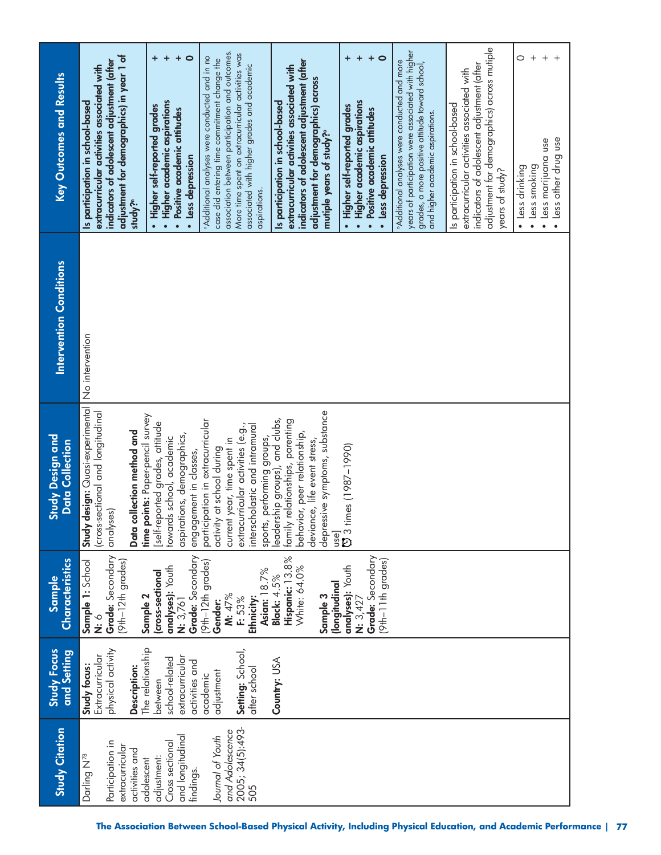| Key Outcomes and Results                          | adjustment for demographics) in year 1 of<br>indicators of adolescent adjustment (after<br>extracurricular activities associated with<br>Is participation in school-based<br>study?" | $\circ$<br>"Additional analyses were conducted and in no<br>$\ddot{}$<br>· Higher academic aspirations<br>· Higher self-reported grades<br>Positive academic attitudes<br>· Less depression<br>$\bullet$ | association between participation and outcomes.<br>More time spent on extracurricular activities was<br>case did entering time commitment change the<br>associated with higher grades and academic<br>aspirations. | indicators of adolescent adjustment (after<br>extracurricular activities associated with<br>adjustment for demographics) across<br>Is participation in school-based<br>mutiple years of study? <sup>o</sup> | $\ddot{}$<br>$\ddot{}$<br>$\circ$<br>· Higher academic aspirations<br>Higher self-reported grades<br>· Positive academic attitudes<br>· Less depression | years of participation were associated with higher<br><b>Additional analyses were conducted and more</b><br>grades, a more positive attitude toward school,<br>and higher academic aspirations. | adjustment for demographics) across mutiple<br>indicators of adolescent adjustment (after<br>extracurricular activities associated with<br>Is participation in school-based<br>years of study? | $^{+}$<br>O<br>$^{+}$<br>· Less other drug use<br>· Less marijuana use<br>· Less smoking<br>· Less drinking |
|---------------------------------------------------|--------------------------------------------------------------------------------------------------------------------------------------------------------------------------------------|----------------------------------------------------------------------------------------------------------------------------------------------------------------------------------------------------------|--------------------------------------------------------------------------------------------------------------------------------------------------------------------------------------------------------------------|-------------------------------------------------------------------------------------------------------------------------------------------------------------------------------------------------------------|---------------------------------------------------------------------------------------------------------------------------------------------------------|-------------------------------------------------------------------------------------------------------------------------------------------------------------------------------------------------|------------------------------------------------------------------------------------------------------------------------------------------------------------------------------------------------|-------------------------------------------------------------------------------------------------------------|
| Intervention Conditions                           | No intervention                                                                                                                                                                      |                                                                                                                                                                                                          |                                                                                                                                                                                                                    |                                                                                                                                                                                                             |                                                                                                                                                         |                                                                                                                                                                                                 |                                                                                                                                                                                                |                                                                                                             |
| <b>Study Design and</b><br><b>Data Collection</b> | design: Quasi-experimental<br>(cross-sectional and longitudinal<br>collection method and<br>analyses)<br>Study<br>Data                                                               | points: Paper-pencil survey<br>participation in extracurricular<br>[self-reported grades, attitude<br>aspirations, demographics,<br>towards school, academic<br>engagement in classes,<br>time p         | interscholastic and intramural<br>extracurricular activities (e.g.,<br>sports, performing groups,<br>current year, time spent in<br>activity at school during                                                      | depressive symptoms, substance<br>leadership groups), and clubs,<br>family relationships, parenting<br>behavior, peer relationship,<br>deviance, life event stress,                                         | use]<br><b>[3</b> 3 times (1987–1990)                                                                                                                   |                                                                                                                                                                                                 |                                                                                                                                                                                                |                                                                                                             |
| Characteristics<br>Sample                         | Grade: Secondary<br>(9th-12th grades)<br>Sample 1: School<br>ó.<br>Ö                                                                                                                 | Grade: Secondary<br>(9th-12th grades)<br>analyses): Youth<br>cross-sectional<br>Sample 2<br>N: 3,761                                                                                                     | Asian: 18.7%<br>M: 47%<br>Ethnicity:<br>F: 53%<br>Gender:                                                                                                                                                          | Hispanic: 13.8%<br>White: 64.0%<br><b>Black: 4.5%</b><br>(Iongitudinal<br>Sample 3                                                                                                                          | Grade: Secondary<br>(9th-11th grades)<br>analyses): Youth<br>N: 3,427                                                                                   |                                                                                                                                                                                                 |                                                                                                                                                                                                |                                                                                                             |
| <b>Study Focus</b><br>and Setting                 | physical activity<br>Extracurricular<br>Study focus:<br>Description:                                                                                                                 | The relationship<br>extracurricular<br>school-related<br>activities and<br>academic<br>between                                                                                                           | Setting: School,<br>after school<br>adjustment                                                                                                                                                                     | Country: USA                                                                                                                                                                                                |                                                                                                                                                         |                                                                                                                                                                                                 |                                                                                                                                                                                                |                                                                                                             |
| <b>Study Citation</b>                             | Participation in<br>extracurricular<br>activities and<br>Darling N <sup>78</sup>                                                                                                     | and longitudinal<br>Cross sectional<br>adjustment:<br>adolescent<br>findings.                                                                                                                            | 2005; 34(5):493-<br>and Adolescence<br>Journal of Youth<br>505                                                                                                                                                     |                                                                                                                                                                                                             |                                                                                                                                                         |                                                                                                                                                                                                 |                                                                                                                                                                                                |                                                                                                             |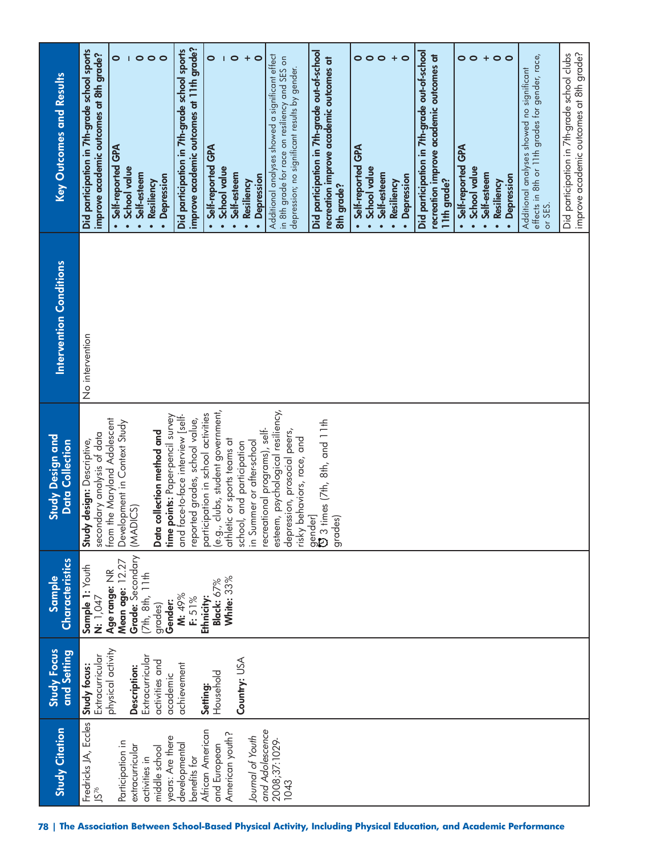| <b>Study Citation</b>                                                                                                                                                                                                                                                                         | Study Focus<br>and Setting                                                                                                                                                    | <b>Characteristics</b><br>Sample                                                                                                                                                                  | <b>Study Design and</b><br><b>Data Collection</b>                                                                                                                                                                                                                                                                                                                                                                                                                                                                                                                                                                                                             | Intervention Conditions | <b>Key Outcomes and Results</b>                                                                                                                                                                                                                                                                                                                                                                                                                                                                                                                                                                                                                                                                                                       |
|-----------------------------------------------------------------------------------------------------------------------------------------------------------------------------------------------------------------------------------------------------------------------------------------------|-------------------------------------------------------------------------------------------------------------------------------------------------------------------------------|---------------------------------------------------------------------------------------------------------------------------------------------------------------------------------------------------|---------------------------------------------------------------------------------------------------------------------------------------------------------------------------------------------------------------------------------------------------------------------------------------------------------------------------------------------------------------------------------------------------------------------------------------------------------------------------------------------------------------------------------------------------------------------------------------------------------------------------------------------------------------|-------------------------|---------------------------------------------------------------------------------------------------------------------------------------------------------------------------------------------------------------------------------------------------------------------------------------------------------------------------------------------------------------------------------------------------------------------------------------------------------------------------------------------------------------------------------------------------------------------------------------------------------------------------------------------------------------------------------------------------------------------------------------|
| Fredricks JA, Eccles<br>and Adolescence<br>African American<br>American youth?<br>years: Are there<br>Journal of Youth<br>2008;37:1029-<br>Participation in<br>developmental<br>extracurricular<br>and European<br>middle school<br>benefits for<br>activities in<br>1043<br>JS <sup>76</sup> | physical activity<br>Extracurricular<br>Extracurricular<br>Country: USA<br>activities and<br>achievement<br>Study focus:<br>Description:<br>Household<br>academic<br>Setting: | Grade: Secondary<br>Mean age: 12.27<br>Sample 1: Youth<br>Age range: NR<br>(7th, 8th, 11th<br>White: 33%<br>Black: 67%<br>M: 49%<br>F: 51%<br>Ethnicity:<br><b>N:</b> 1,047<br>Gender:<br>grades) | clubs, student government,<br>esteem, psychological resiliency,<br>participation in school activities<br>points: Paper-pencil survey<br>and face-to-face interview [self-<br>reported grades, school value,<br>from the Maryland Adolescent<br>gender]<br>ପ୍ର 3 times (7th, 8th, and 11th<br>Development in Context Study<br>recreational programs), self-<br>depression, prosocial peers,<br>collection method and<br>secondary analysis of data<br>risky behaviors, race, and<br>athletic or sports teams at<br>design: Descriptive,<br>in Summer or after-school<br>school, and participation<br>(MADICS)<br>grades)<br>Study<br>(e.9.7)<br>Data<br>time p | No intervention         | improve academic outcomes at 11th grade?<br>Did participation in 7th-grade school sports<br>Did participation in 7th-grade school sports<br>Did participation in 7th-grade out-of-school<br>improve academic outcomes at 8th grade?<br>$\circ$<br>$\bullet$<br>$\bullet$<br>$\circ$<br>$\ddot{}$<br>Additional analyses showed a significant effect<br>$\bullet$<br>$\circ$<br>T<br>in 8th grade for race on resiliency and SES on<br>recreation improve academic outcomes at<br>depression; no significant results by gender.<br>Self-reported GPA<br>Self-reported GPA<br>School value<br>School value<br>Self-esteem<br>Self-esteem<br>Depression<br>Depression<br>Resiliency<br>Resiliency<br>$\bullet$<br>$\bullet$<br>$\bullet$ |
|                                                                                                                                                                                                                                                                                               |                                                                                                                                                                               |                                                                                                                                                                                                   |                                                                                                                                                                                                                                                                                                                                                                                                                                                                                                                                                                                                                                                               |                         | Did participation in 7th-grade out-of-school<br>Did participation in 7th-grade school clubs<br>recreation improve academic outcomes at<br>effects in 8th or 11th grades for gender, race,<br>or SES.<br>$\circ \circ \circ$<br>$\ddot{}$<br>$\circ$<br>$\circ$<br>$\circ$<br>$\ddot{}$<br>$\bullet$<br>Additional analyses showed no significant<br>Self-reported GPA<br>· Self-reported GPA<br>School value<br>School value<br>Self-esteem<br>Self-esteem<br>Depression<br>Depression<br>11th grade?<br>Resiliency<br>Resiliency<br>8th grade?<br>$\bullet$<br>$\bullet$                                                                                                                                                             |
|                                                                                                                                                                                                                                                                                               |                                                                                                                                                                               |                                                                                                                                                                                                   |                                                                                                                                                                                                                                                                                                                                                                                                                                                                                                                                                                                                                                                               |                         | improve academic outcomes at 8th grade?                                                                                                                                                                                                                                                                                                                                                                                                                                                                                                                                                                                                                                                                                               |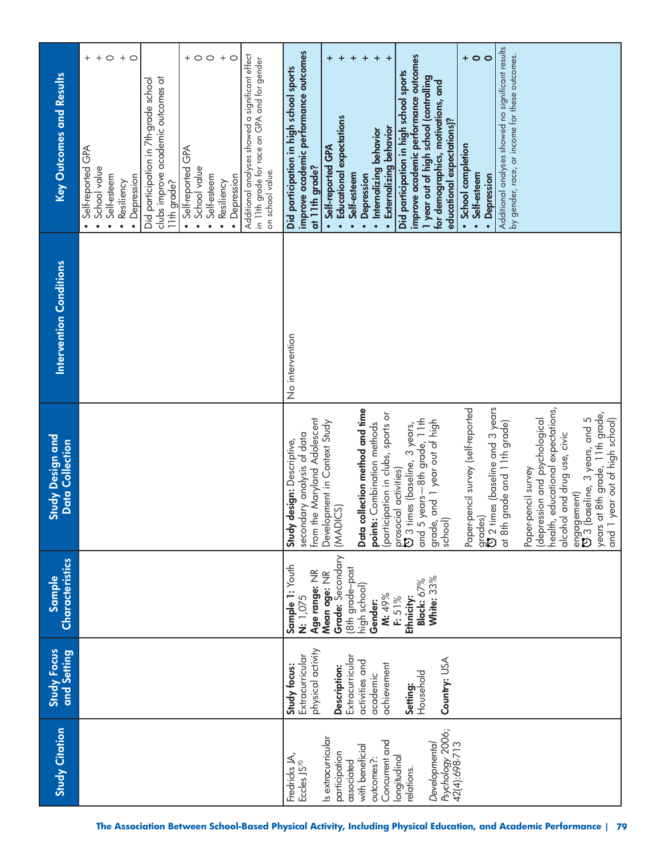| <b>Study Citation</b>                                                                                                                                                                                                                | and Setting<br><b>Study Focus</b>                                                                                                                                             | Characteristics<br>Sample                                                                                                                                                                           | Study Design and<br>Data Collection                                                                                                                                                                                                                                                                                                                                                                                                                                                                                                                                                                                                                                                                                                                                 | <b>Intervention Conditions</b> | Key Outcomes and Results                                                                                                                                                                                                                                                                                                                                                                                                                                                                                                                                                                                                                                                                                                                       |
|--------------------------------------------------------------------------------------------------------------------------------------------------------------------------------------------------------------------------------------|-------------------------------------------------------------------------------------------------------------------------------------------------------------------------------|-----------------------------------------------------------------------------------------------------------------------------------------------------------------------------------------------------|---------------------------------------------------------------------------------------------------------------------------------------------------------------------------------------------------------------------------------------------------------------------------------------------------------------------------------------------------------------------------------------------------------------------------------------------------------------------------------------------------------------------------------------------------------------------------------------------------------------------------------------------------------------------------------------------------------------------------------------------------------------------|--------------------------------|------------------------------------------------------------------------------------------------------------------------------------------------------------------------------------------------------------------------------------------------------------------------------------------------------------------------------------------------------------------------------------------------------------------------------------------------------------------------------------------------------------------------------------------------------------------------------------------------------------------------------------------------------------------------------------------------------------------------------------------------|
|                                                                                                                                                                                                                                      |                                                                                                                                                                               |                                                                                                                                                                                                     |                                                                                                                                                                                                                                                                                                                                                                                                                                                                                                                                                                                                                                                                                                                                                                     |                                | Additional analyses showed a significant effect<br>$\boldsymbol{+}$<br>$\circ$<br>$+$ $\circ$<br>$+$ $\circ$<br>$\circ$<br>$\,+\,$<br>$^{+}$<br>$\circ$<br>in 11th grade for race on GPA and for gender<br>clubs improve academic outcomes at<br>Did participation in 7th-grade school<br>Self-reported GPA<br>Self-reported GPA<br>School value<br>School value<br>on school value.<br>· Depression<br>Self-esteem<br>Depression<br>Self-esteem<br>Resiliency<br>11th grade?<br>Resiliency<br>$\bullet$<br>$\bullet$<br>$\bullet$<br>$\bullet$<br>$\bullet$<br>$\bullet$<br>$\bullet$<br>$\bullet$                                                                                                                                            |
| Psychology 2006;<br>42(4):698-713<br>Is extracurricular<br>Concurrent and<br>Developmental<br>with beneficial<br>participation<br>Fredricks JA,<br>longitudinal<br>outcomes?:<br>Eccles JS <sup>70</sup><br>associated<br>relations. | physical activity<br>Extracurricular<br>Extracurricular<br>Country: USA<br>activities and<br>achievement<br>Study focus:<br>Description:<br>Household<br>academic<br>Setting: | Grade: Secondary<br>Sample 1: Youth<br>(8th grade-post<br>Age range: NR<br>Mean age: NR<br><b>White: 33%</b><br>Black: 67%<br>high school)<br>M: 49%<br>N: 1,075<br>Ethnicity:<br>F: 51%<br>Gender: | health, educational expectations,<br>grades)<br>び 2 times (baseline and 3 years<br>Paper-pencil survey (self-reported<br>collection method and time<br>(participation in clubs, sports or<br>years at 8th grade, 11th grade,<br>and 5 years—8th grade, 11th<br>engagement)<br>۞ 3 (baseline, 3 years, and 5<br>1 year out of high school)<br>from the Maryland Adolescent<br>grade, and 1 year out of high<br>school)<br>(depression and psychological<br>at 8th grade and 11th grade)<br>Development in Context Study<br>points: Combination methods<br>prosocial activities)<br>D 3 times (baseline, 3 years,<br>secondary analysis of data<br>alcohol and drug use, civic<br><b>Study design: Descriptive,</b><br>Paper-pencil survey<br>(MADICS)<br>Data<br>and | No intervention                | Additional analyses showed no significant results<br>improve academic performance outcomes<br>by gender, race, or income for these outcomes.<br>$\circ$<br>improve academic performance outcomes<br>$+$ 0<br>$\ddot{}$<br>$\ddot{}$<br>$\ddot{}$<br>$\ddot{}$<br>+<br>+<br>Did participation in high school sports<br>Did participation in high school sports<br>1 year out of high school (controlling<br>for demographics, motivations, and<br><b>Educational expectations</b><br>educational expectations)?<br>Externalizing behavior<br>Internalizing behavior<br>School completion<br>Self-reported GPA<br>at 11th grade?<br>Self-esteem<br>Self-esteem<br>Depression<br>· Depression<br>$\bullet$<br>$\bullet$<br>$\bullet$<br>$\bullet$ |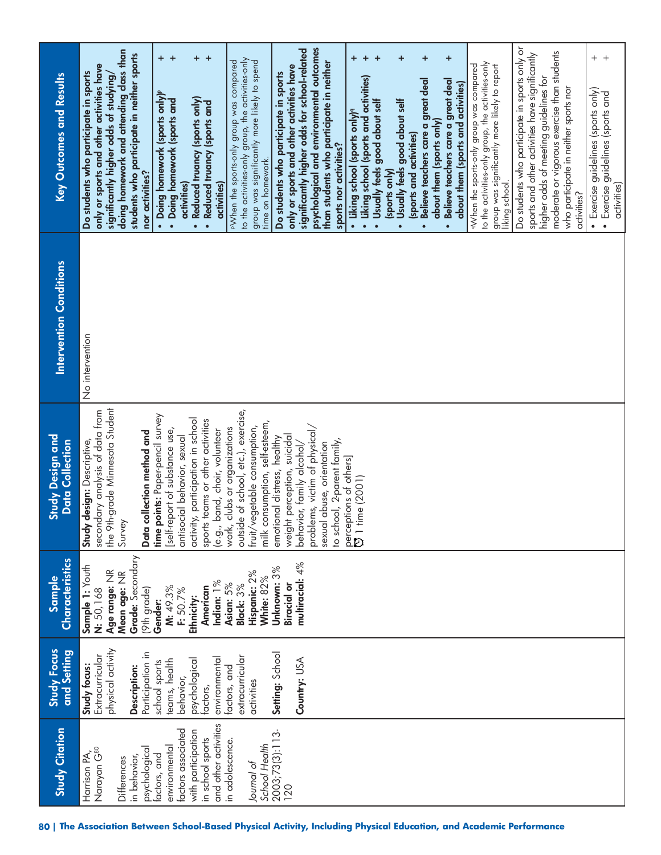| <b>Study Citation</b>                                                                                                 | <b>Study Focus</b><br>and Setting                                                         | Characteristics<br>Sample                                                                                       | Study Design and<br><b>Data Collection</b>                                                                                                                                                                     | <b>Intervention Conditions</b> | <b>Key Outcomes and Results</b>                                                                                                                                                                                                                                                                                   |
|-----------------------------------------------------------------------------------------------------------------------|-------------------------------------------------------------------------------------------|-----------------------------------------------------------------------------------------------------------------|----------------------------------------------------------------------------------------------------------------------------------------------------------------------------------------------------------------|--------------------------------|-------------------------------------------------------------------------------------------------------------------------------------------------------------------------------------------------------------------------------------------------------------------------------------------------------------------|
| Narayan G80<br>psychological<br>Harrison PA,<br>in behavior,<br>Differences                                           | physical activity<br>Participation in<br>Extracurricular<br>Study focus:<br>Description:  | <b>Mean age:</b> NR<br><b>Grade:</b> Secondary<br>Sample 1: Youth<br>Age range: NR<br>(9th grade)<br>N: 50, 168 | the 9th-grade Minnesota Student<br>secondary analysis of data from<br>collection method and<br><b>Study design:</b> Descriptive,<br>Survey<br>Data                                                             | No intervention                | doing homework and attending class than<br>students who participate in neither sports<br>only or sports and other activities have<br>Do students who participate in sports<br>significantly higher odds of studying/<br>nor activities?                                                                           |
| and other activities<br>factors associated<br>with participation<br>in school sports<br>environmental<br>factors, and | environmental<br>psychological<br>teams, health<br>school sports<br>behavior,<br>factors, | Indian: 1%<br>M: 49.3%<br>American<br>F: 50.7%<br>Ethnicity:<br>Gender:                                         | points: Paper-pencil survey<br>activity, participation in school<br>sports teams or other activities<br>(e.g., band, choir, volunteer<br>[self-report of substance use,<br>antisocial behavior, sexual<br>time |                                | $+$<br>$\ddot{}$<br>$\pm$<br>$^{+}$<br>• Doing homework (sports only) <sup>P</sup><br>• Doing homework (sports and<br>Reduced truancy (sports only)<br>• Reduced truancy (sports and<br>activities)<br>activities)<br>$\bullet$                                                                                   |
| 2003;73(3):113-<br>in adolescence.<br>School Health<br>Journal of                                                     | Setting: School<br>extracurricular<br>factors, and<br>activities                          | Unknown: 3%<br>Hispanic: 2%<br>White: 82%<br>Asian: 5%<br>Black: 3%                                             | outside of school, etc.), exercise,<br>milk consumption, self-esteem,<br>work, clubs or organizations<br>fruit/vegetable consumption,<br>emotional distress, healthy                                           |                                | to the activities-only group, the activities-only<br>PWhen the sports-only group was compared<br>group was significantly more likely to spend<br>Do students who participate in sports<br>time on homework.                                                                                                       |
| 120                                                                                                                   | Country: USA                                                                              | multiracial: 4%<br>Biracial or                                                                                  | problems, victim of physical,<br>weight perception, suicidal<br>to school, 2-parent family,<br>sexual abuse, orientation<br>behavior, family alcohol/<br>perceptions of others]                                |                                | psychological and environmental outcomes<br>significantly higher odds for school-related<br>than students who participate in neither<br>only or sports and other activities have<br>sports nor activities?                                                                                                        |
|                                                                                                                       |                                                                                           |                                                                                                                 | <b>D</b> 1 time (2001)                                                                                                                                                                                         |                                | +<br>+<br>+<br>+<br>$\ddot{}$<br>• Liking school (sports and activities)<br>Believe teachers care a great deal<br>Usually feels good about self<br>Usually feels good about self<br>· Liking school (sports only) <sup>9</sup><br>(sports and activities)<br>(sports only)<br>$\bullet$<br>$\bullet$<br>$\bullet$ |
|                                                                                                                       |                                                                                           |                                                                                                                 |                                                                                                                                                                                                                |                                | $\ddot{}$<br>to the activities-only group, the activities-only<br>aWhen the sports-only group was compared<br>group was significantly more likely to report<br>Believe teachers care a great deal<br>about them (sports and activities)<br>about them (sports only)<br>$\bullet$                                  |
|                                                                                                                       |                                                                                           |                                                                                                                 |                                                                                                                                                                                                                |                                | Do students who participate in sports only or<br>moderate or vigorous exercise than students<br>sports and other activities have significantly<br>higher odds of meeting guidelines for<br>who participate in neither sports nor<br>liking school.<br>activities?                                                 |
|                                                                                                                       |                                                                                           |                                                                                                                 |                                                                                                                                                                                                                |                                | $+$ $+$<br>• Exercise guidelines (sports only)<br>Exercise guidelines (sports and<br>activities)<br>$\bullet$                                                                                                                                                                                                     |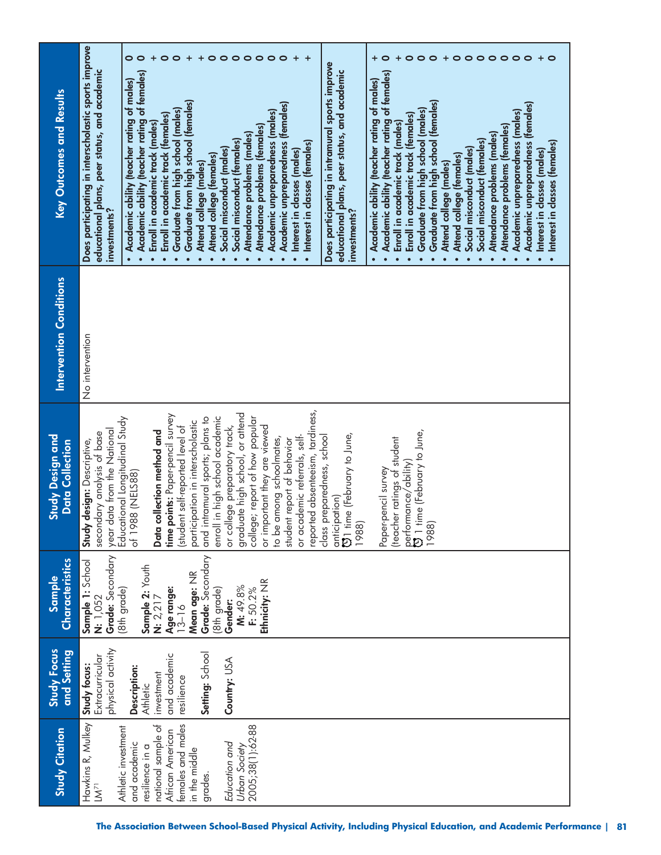| <b>Key Outcomes and Results</b>                   | Does participating in interscholastic sports improve<br>$\bullet$<br>$\circ$<br>$\ddot{}$<br>$\ddot{}$<br>0<br>$\circ$<br>$\circ$<br>$\circ$<br>$\circ$<br>$\circ$<br>$\circ$<br>$\circ$<br>0<br>$\circ$<br>$\circ$<br>$\bullet$<br>$\circ$<br>$\circ$<br>$\circ$<br>$\circ$<br>$\circ$<br>$\circ$<br>$\ddot{}$<br>0<br>Does participating in intramural sports improve<br>educational plans, peer status, and academic<br>educational plans, peer status, and academic<br>Academic ability (teacher rating of females)<br>· Academic ability (teacher rating of females)<br>Academic ability (teacher rating of males)<br>• Academic ability (teacher rating of males)<br>Graduate from high school (females)<br>Graduate from high school (females)<br>Academic unpreparedness (temales)<br>Academic unpreparedness (females)<br>Graduate from high school (males)<br>Graduate from high school (males)<br>Academic unpreparedness (males)<br>Academic unpreparedness (males)<br>Enroll in academic track (females)<br>Enroll in academic track (females)<br>Enroll in academic track (males)<br>Enroll in academic track (males)<br>Attendance problems (females)<br>Attendance problems (females)<br>Attendance problems (males)<br>Attendance problems (males)<br>Social misconduct (females)<br>Social misconduct (females)<br>Interest in classes (females)<br>Social misconduct (males)<br>Social misconduct (males)<br>· Interest in classes (males)<br>· Interest in classes (males)<br>Attend college (temales)<br>Attend college (females)<br>Attend college (males)<br>Attend college (males)<br>investments?<br>investments? | $+$ $\circ$<br>• Interest in classes (females) |
|---------------------------------------------------|--------------------------------------------------------------------------------------------------------------------------------------------------------------------------------------------------------------------------------------------------------------------------------------------------------------------------------------------------------------------------------------------------------------------------------------------------------------------------------------------------------------------------------------------------------------------------------------------------------------------------------------------------------------------------------------------------------------------------------------------------------------------------------------------------------------------------------------------------------------------------------------------------------------------------------------------------------------------------------------------------------------------------------------------------------------------------------------------------------------------------------------------------------------------------------------------------------------------------------------------------------------------------------------------------------------------------------------------------------------------------------------------------------------------------------------------------------------------------------------------------------------------------------------------------------------------------------------------------------------------------------------------|------------------------------------------------|
| <b>Intervention Conditions</b>                    | No intervention                                                                                                                                                                                                                                                                                                                                                                                                                                                                                                                                                                                                                                                                                                                                                                                                                                                                                                                                                                                                                                                                                                                                                                                                                                                                                                                                                                                                                                                                                                                                                                                                                            |                                                |
| <b>Study Design and</b><br><b>Data Collection</b> | reported absenteeism, tardiness,<br>graduate high school, or attend<br>points: Paper-pencil survey<br>enroll in high school academic<br>and intramural sports; plans to<br>college; report of how popular<br>Educational Longitudinal Study<br>cipation in interscholastic<br>or college preparatory track,<br>ent self-reported level of<br>or important they are viewed<br>data from the National<br>collection method and<br>secondary analysis of base<br>$\mathfrak{V}$ 1 time (February to June,<br>time (February to June,<br>class preparedness, school<br>or academic referrals, self-<br>to be among schoolmates,<br>(teacher ratings of student<br>student report of behavior<br><b>Study design: Descriptive,</b><br>performance/ability)<br>Paper-pencil survey<br>of 1988 (NELS88)<br>anticipation)<br>1988)<br>1988)<br>year<br>Data<br>time<br>stud)<br>partio<br>$\bar{\mathfrak{v}}$                                                                                                                                                                                                                                                                                                                                                                                                                                                                                                                                                                                                                                                                                                                                     |                                                |
| Characteristics<br><b>Sample</b>                  | Grade: Secondary<br>Grade: Secondary<br>Sample 1: School<br>Sample 2: Youth<br>Mean age: NR<br>Ethnicity: NR<br>M: 49.8%<br>Age range:<br>13–16<br>F: 50.2%<br>(8th grade)<br>(8th grade)<br>N: 1,052<br>N: 2, 217<br>Gender:                                                                                                                                                                                                                                                                                                                                                                                                                                                                                                                                                                                                                                                                                                                                                                                                                                                                                                                                                                                                                                                                                                                                                                                                                                                                                                                                                                                                              |                                                |
| Study Focus<br>and Setting                        | physical activity<br>Setting: School<br>and academic<br>Extracurricular<br>Country: USA<br>Study focus:<br>Description:<br>investment<br>resilience<br><b>Athletic</b>                                                                                                                                                                                                                                                                                                                                                                                                                                                                                                                                                                                                                                                                                                                                                                                                                                                                                                                                                                                                                                                                                                                                                                                                                                                                                                                                                                                                                                                                     |                                                |
| <b>Study Citation</b>                             | Hawkins R, Mulkey<br>females and males<br>national sample of<br>2005;38(1):62-88<br>Athletic investment<br>African American<br>and academic<br>Education and<br>resilience in a<br>Urban Society<br>in the middle<br>grades.<br>$\mathsf{I}\mathsf{M}^{71}$                                                                                                                                                                                                                                                                                                                                                                                                                                                                                                                                                                                                                                                                                                                                                                                                                                                                                                                                                                                                                                                                                                                                                                                                                                                                                                                                                                                |                                                |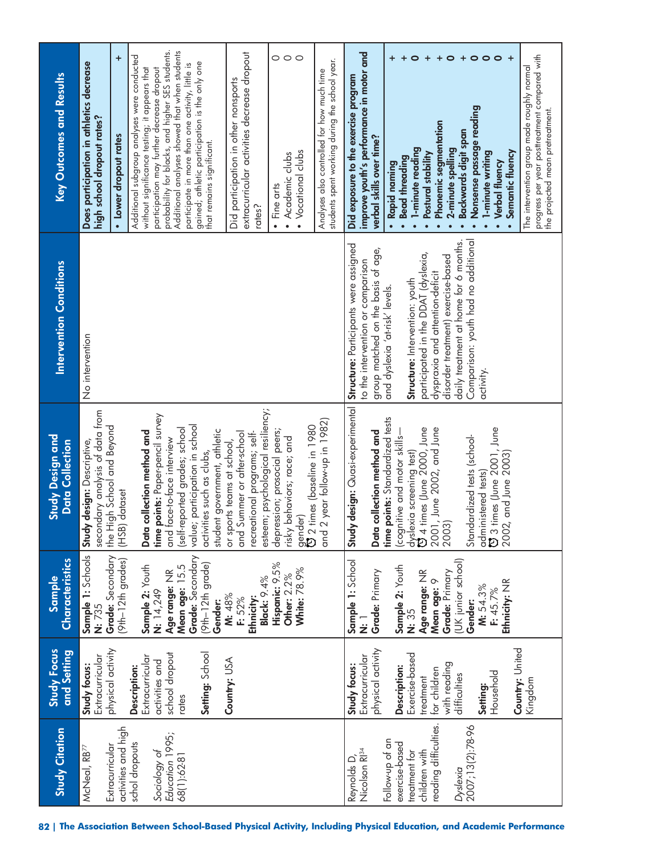| <b>Study Citation</b>                  | Study Focus                       | <b>Characteristics</b><br>Sample                | Study Design and<br>Data Collection                            | <b>Intervention Conditions</b>        | Key Outcomes and Results                                                                           |
|----------------------------------------|-----------------------------------|-------------------------------------------------|----------------------------------------------------------------|---------------------------------------|----------------------------------------------------------------------------------------------------|
| McNeal, RB <sup>77</sup>               | Extracurricular<br>Study focus:   | Sample 1: Schools<br>Grade: Secondary<br>N: 735 | secondary analysis of data from<br>Study design: Descriptive,  | No intervention                       | Does participation in athletics decrease<br>high school dropout rates?                             |
| activities and high<br>Extracurricular | physical activity                 | (9th-12th grades)                               | the High School and Beyond<br>(HSB) dataset                    |                                       | $\ddot{}$<br>• Lower dropout rates                                                                 |
| schol dropouts                         | Description:                      |                                                 |                                                                |                                       | Additional subgroup analyses were conducted                                                        |
|                                        | Extracurricular<br>activities and | Sample 2: Youth<br>N: 14,249                    | time points: Paper-pencil survey<br>Data collection method and |                                       | without significance testing; it appears that<br>participation may further decrease dropout        |
| Education 1995;<br>Sociology of        | school dropout                    | Age range: NR                                   | and face-to-face interview                                     |                                       | probability for blacks, and higher SES students.                                                   |
| 68(1):62-81                            | rates                             | Mean age: 15.5<br>Grade: Secondary              | (self-reported grades; school                                  |                                       | Additional analyses showed that when students                                                      |
|                                        |                                   |                                                 | value; participation in school                                 |                                       | gained; athletic participation is the only one<br>participate in more than one activity, little is |
|                                        | Setting: School                   | $(9th-12th grade)$<br>Gender:                   | student government, athletic<br>activities such as clubs,      |                                       | that remains significant.                                                                          |
|                                        | Country: USA                      | M: 48%<br>F: 52%                                | and Summer or after-school<br>or sports teams at school,       |                                       | Did participation in other nonsports                                                               |
|                                        |                                   | Ethnicity:                                      | recreational programs; self-                                   |                                       | extracurricular activities decrease dropout                                                        |
|                                        |                                   | <b>Black: 9.4%</b>                              | esteem; psychological resiliency;                              |                                       | rate <sub>2</sub>                                                                                  |
|                                        |                                   | Hispanic: 9.5%                                  | depression; prosocial peers;                                   |                                       | • Fine arts                                                                                        |
|                                        |                                   | Other: 2.2%                                     | risky behaviors; race; and                                     |                                       | $\circ$ $\circ$<br>· Academic clubs                                                                |
|                                        |                                   | White: 78.9%                                    | gender)<br>O 2 times (baseline in 1980                         |                                       | • Vocational clubs                                                                                 |
|                                        |                                   |                                                 |                                                                |                                       |                                                                                                    |
|                                        |                                   |                                                 | and 2 year follow-up in 1982)                                  |                                       | students spent working during the school year.<br>Analyses also controlled for how much time       |
| Reynolds D,                            | Study focus:                      | Sample 1: School                                | Study design: Quasi-experimental                               | Structure: Participants were assigned | Did exposure to the exercise program                                                               |
| Nicolson RI <sup>34</sup>              | Extracurricular                   | $\bar{\ddot{\mathbf{z}}}$                       |                                                                | to the intervention or comparison     | improve youth's performance in motor and                                                           |
|                                        | physical activity                 | Grade: Primary                                  | Data collection method and                                     | group matched on the basis of age,    | verbal skills over time?                                                                           |
| Follow-up of an                        |                                   |                                                 | time points: Standardized tests                                | and dyslexia 'at-risk' levels.        | · Rapid naming                                                                                     |
| exercise-based                         | Description:                      | Sample 2: Youth                                 | cognitive and motor skills-                                    |                                       | $\ddot{}$<br><b>Bead threading</b><br>$\bullet$                                                    |
| treatment for                          | Exercise-based                    | N: 35                                           | dyslexia screening test)<br>۞ 4 times (June 2000, June         | Structure: Intervention: youth        | $\bullet$<br>1-minute reading<br>$\bullet$                                                         |
| children with                          | treatment                         | Age range: NR                                   |                                                                | participated in the DDAT (dyslexia,   | $\ddot{}$<br>Postural stability<br>$\bullet$                                                       |
| reading difficulties.                  | for children                      | Mean age: 9                                     |                                                                | dyspraxia and attention-deficit       | $\ddot{}$<br><b>Phonemic segmentation</b><br>$\bullet$                                             |
|                                        | with reading                      | Grade: Primary                                  | une 2002, and June 2002.<br>2003) June 2002, and June          | disorder treatment) exercise-based    | $\circ$<br>2-minute spelling<br>$\bullet$                                                          |
| Dyslexia<br>2007;13(2):78-96           | difficulties                      | (UK junior school)                              |                                                                | daily treatment at home for 6 months. | $\ddot{}$<br>Backwards digit span                                                                  |
|                                        |                                   | Gender:                                         | Standardized tests (school-                                    | Comparison: youth had no additional   | $\circ$<br>Nonsense passage reading<br>$\bullet$                                                   |
|                                        | Setting:                          | M: 54.3%                                        | administered tests)                                            | activity.                             | $\circ$<br>1-minute writing                                                                        |
|                                        | Household                         | Ethnicity: NR<br>F: 45.7%                       | 3 times (June 2001, June<br>2002, and June 2003                |                                       | $\circ$<br><b>Verbal fluency</b>                                                                   |
|                                        |                                   |                                                 |                                                                |                                       | Semantic fluency                                                                                   |
|                                        | Country: United<br>Kingdom        |                                                 |                                                                |                                       | The intervention group made roughly normal                                                         |
|                                        |                                   |                                                 |                                                                |                                       | progress per year posttreatment compared with                                                      |
|                                        |                                   |                                                 |                                                                |                                       | the projected mean pretreatment.                                                                   |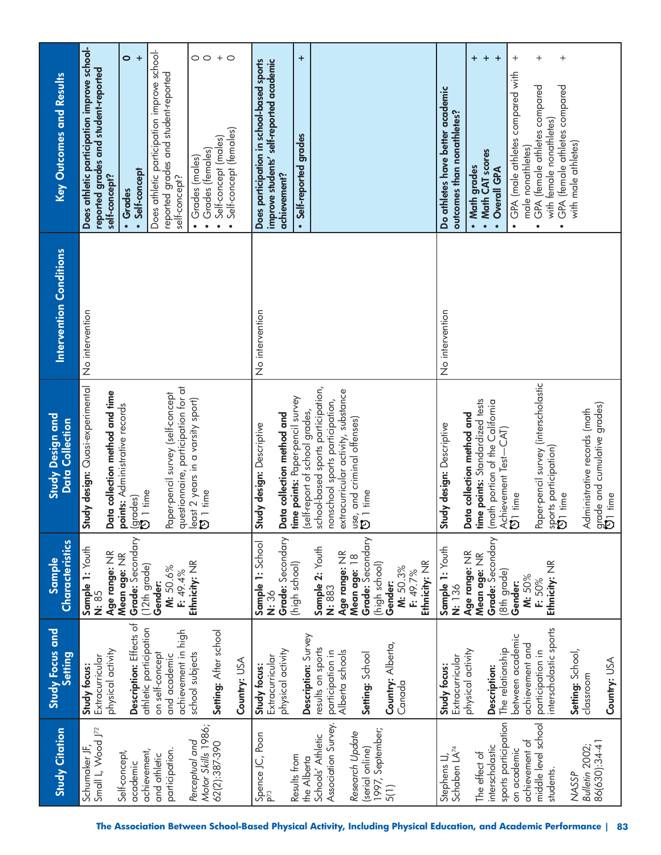| <b>Study Citation</b>                                 | Study Focus and<br>Setting                              | <b>Characteristics</b><br>Sample                 | Study Design and<br><b>Data Collection</b>                                             | Intervention Conditions | Key Outcomes and Results                                                                                                                 |
|-------------------------------------------------------|---------------------------------------------------------|--------------------------------------------------|----------------------------------------------------------------------------------------|-------------------------|------------------------------------------------------------------------------------------------------------------------------------------|
| Small L, Wood J72<br>Schumaker JF,                    | physical activity<br>Extracurricular<br>Study focus:    | Sample 1: Youth<br>Age range: NR<br>N: 85        | Study design: Quasi-experimental<br>Data collection method and time                    | No intervention         | Does athletic participation improve school-<br>reported grades and student-reported<br>self-concept?                                     |
| achievement,<br>Self-concept,<br>academic             | Description: Effects of<br>athletic participation       | Grade: Secondary<br>Mean age: NR<br>(12th grade) | <b>points:</b> Administrative records<br>(grades)<br>Ölltime                           |                         | $\bullet$<br>$\ddot{}$<br>• Self-concept<br>• Grades                                                                                     |
| participation.<br>and athletic                        | achievement in high<br>on self-concept<br>and academic  | M: 50.6%<br>F: 49.4%<br>Gender:                  | questionnaire, participation for at<br>Paper-pencil survey (self-concept               |                         | Does athletic participation improve school-<br>reported grades and student-reported<br>self-concept?                                     |
| Motor Skills 1986;<br>Perceptual and<br>62(2):387-390 | Setting: After school<br>school subjects                | Ethnicity: NR                                    | east 2 years in a varsity sport)<br>$\overline{3}$ 1 time                              |                         | $+$<br>$\circ$<br>Self-concept (males)<br>• Grades (females)<br>• Grades (males)<br>$\bullet$                                            |
|                                                       | Country: USA                                            |                                                  |                                                                                        |                         | $\circ$<br>Self-concept (females)                                                                                                        |
| Spence JC, Poon<br>P <sup>73</sup>                    | physical activity<br>Extracurricular<br>Study focus:    | Grade: Secondary<br>Sample 1: School<br>N: 36    | Data collection method and<br>Study design: Descriptive                                | No intervention         | improve students' self-reported academic<br>Does participation in school-based sports<br>achievement?                                    |
| Results from<br>the Alberta                           | Description: Survey                                     | (high school)                                    | ime points: Paper-pencil survey<br>self-report of school grades,                       |                         | $\ddot{}$<br>Self-reported grades                                                                                                        |
| Association Survey.<br>Schools' Athletic              | results on sports<br>participation in                   | Sample 2: Youth<br>N: 883                        | school-based sports participation,<br>nonschool sports participation,                  |                         |                                                                                                                                          |
| Research Update                                       | Alberta schools                                         | Age range: NR<br>Mean age: 18                    | extracurricular activity, substance<br>use, and criminal offenses)<br>[3] 1 time       |                         |                                                                                                                                          |
| 1997, September;<br>(serial online)                   | Setting: School                                         | Grade: Secondary<br>(high school)                |                                                                                        |                         |                                                                                                                                          |
| 5(1)                                                  | Country: Alberta,<br>Canada                             | Ethnicity: NR<br>M: 50.3%<br>F: 49.7%<br>Gender: |                                                                                        |                         |                                                                                                                                          |
| Stephens LJ,<br>Schaben LA <sup>74</sup>              | Extracurricular<br>Study focus:                         | Sample 1: Youth<br>N: 136                        | Study design: Descriptive                                                              | No intervention         | Do athletes have better academic<br>outcomes than nonathletes?                                                                           |
| The effect of                                         | physical activity                                       | Age range: NR<br>Mean age: NR                    | time points: Standardized tests<br>Data collection method and                          |                         | $\ddot{}$<br>• Math grades                                                                                                               |
| interscholastic                                       | <b>Description:</b>                                     | Grade: Secondary                                 | math portion of the California<br>Achievement Test-CAT)                                |                         | $\ddot{}$<br>$\ddot{}$<br>• Math CAT scores<br>Overall GPA                                                                               |
| sports participation<br>achievement of<br>on academic | between academic<br>achievement and<br>The relationship | (8th grade)<br>M: 50%<br>Gender:                 | <b>D</b> 1 time                                                                        |                         | $^{+}$<br>GPA (male athletes compared with<br>male nonathletes)<br>$\bullet$                                                             |
| middle level school<br>students.                      | nterscholastic sports<br>participation in               | Ethnicity: NR<br>F: 50%                          | Paper-pencil survey (interscholastic<br>sports participation)<br>$\overline{5}$ 1 time |                         | $^{+}$<br>$^{+}$<br>GPA (female athletes compared<br>GPA (female athletes compared<br>with female nonathletes)<br>$\bullet$<br>$\bullet$ |
| Bulletin 2002;<br><b>NASSP</b>                        | Setting: School,                                        |                                                  |                                                                                        |                         | with male athletes)                                                                                                                      |
| 86(630):34-41                                         | Country: USA<br>classroom                               |                                                  | grade and cumulative grades)<br>Administrative records (math<br><b>Di</b> time         |                         |                                                                                                                                          |